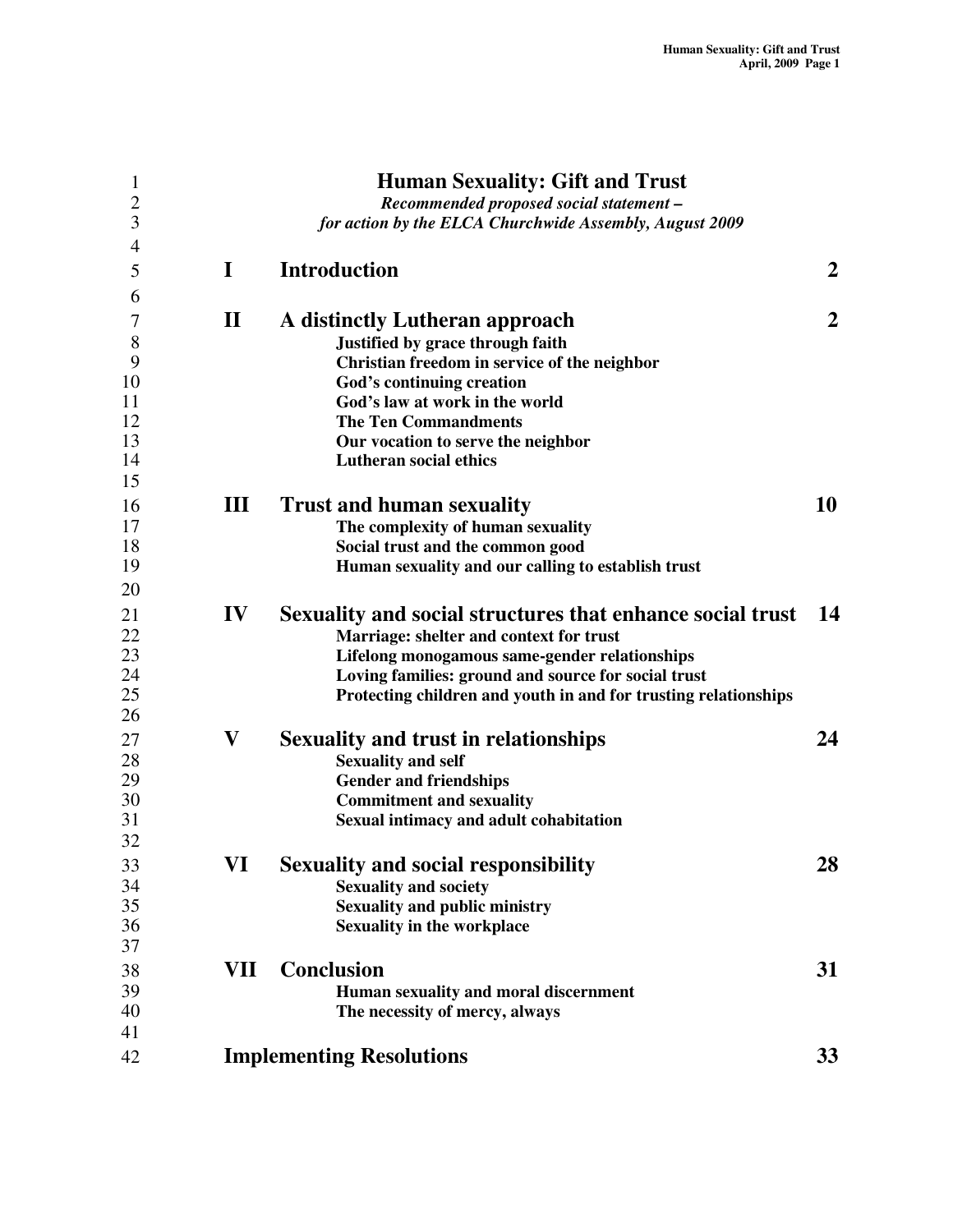| $\mathbf{1}$<br>$\overline{2}$<br>3 |              | <b>Human Sexuality: Gift and Trust</b><br>Recommended proposed social statement -<br>for action by the ELCA Churchwide Assembly, August 2009 |                  |
|-------------------------------------|--------------|----------------------------------------------------------------------------------------------------------------------------------------------|------------------|
| $\overline{4}$                      |              |                                                                                                                                              |                  |
| 5                                   | I            | <b>Introduction</b>                                                                                                                          | $\overline{2}$   |
| 6<br>7                              | $\mathbf{I}$ | A distinctly Lutheran approach                                                                                                               | $\boldsymbol{2}$ |
| 8                                   |              | Justified by grace through faith                                                                                                             |                  |
| 9                                   |              | Christian freedom in service of the neighbor                                                                                                 |                  |
| 10                                  |              | God's continuing creation                                                                                                                    |                  |
| 11                                  |              | God's law at work in the world                                                                                                               |                  |
| 12                                  |              | <b>The Ten Commandments</b>                                                                                                                  |                  |
| 13                                  |              | Our vocation to serve the neighbor                                                                                                           |                  |
| 14                                  |              | <b>Lutheran social ethics</b>                                                                                                                |                  |
| 15                                  |              |                                                                                                                                              |                  |
| 16                                  | Ш            | <b>Trust and human sexuality</b>                                                                                                             | 10               |
| 17                                  |              | The complexity of human sexuality                                                                                                            |                  |
| 18                                  |              | Social trust and the common good                                                                                                             |                  |
| 19                                  |              | Human sexuality and our calling to establish trust                                                                                           |                  |
| 20                                  |              |                                                                                                                                              |                  |
| 21                                  | IV           | Sexuality and social structures that enhance social trust                                                                                    | 14               |
| 22                                  |              | Marriage: shelter and context for trust                                                                                                      |                  |
| 23                                  |              | Lifelong monogamous same-gender relationships                                                                                                |                  |
| 24                                  |              | Loving families: ground and source for social trust                                                                                          |                  |
| 25                                  |              | Protecting children and youth in and for trusting relationships                                                                              |                  |
| 26                                  |              |                                                                                                                                              |                  |
| 27                                  | $\mathbf{V}$ | <b>Sexuality and trust in relationships</b>                                                                                                  | 24               |
| 28                                  |              | <b>Sexuality and self</b>                                                                                                                    |                  |
| 29<br>30                            |              | <b>Gender and friendships</b>                                                                                                                |                  |
| 31                                  |              | <b>Commitment and sexuality</b><br>Sexual intimacy and adult cohabitation                                                                    |                  |
| 32                                  |              |                                                                                                                                              |                  |
|                                     | VI           | <b>Sexuality and social responsibility</b>                                                                                                   | 28               |
| 33<br>34                            |              |                                                                                                                                              |                  |
| 35                                  |              | <b>Sexuality and society</b><br><b>Sexuality and public ministry</b>                                                                         |                  |
| 36                                  |              | <b>Sexuality in the workplace</b>                                                                                                            |                  |
| 37                                  |              |                                                                                                                                              |                  |
| 38                                  | VII          | Conclusion                                                                                                                                   | 31               |
| 39                                  |              | Human sexuality and moral discernment                                                                                                        |                  |
| 40                                  |              | The necessity of mercy, always                                                                                                               |                  |
| 41                                  |              |                                                                                                                                              |                  |
| 42                                  |              | <b>Implementing Resolutions</b>                                                                                                              | 33               |
|                                     |              |                                                                                                                                              |                  |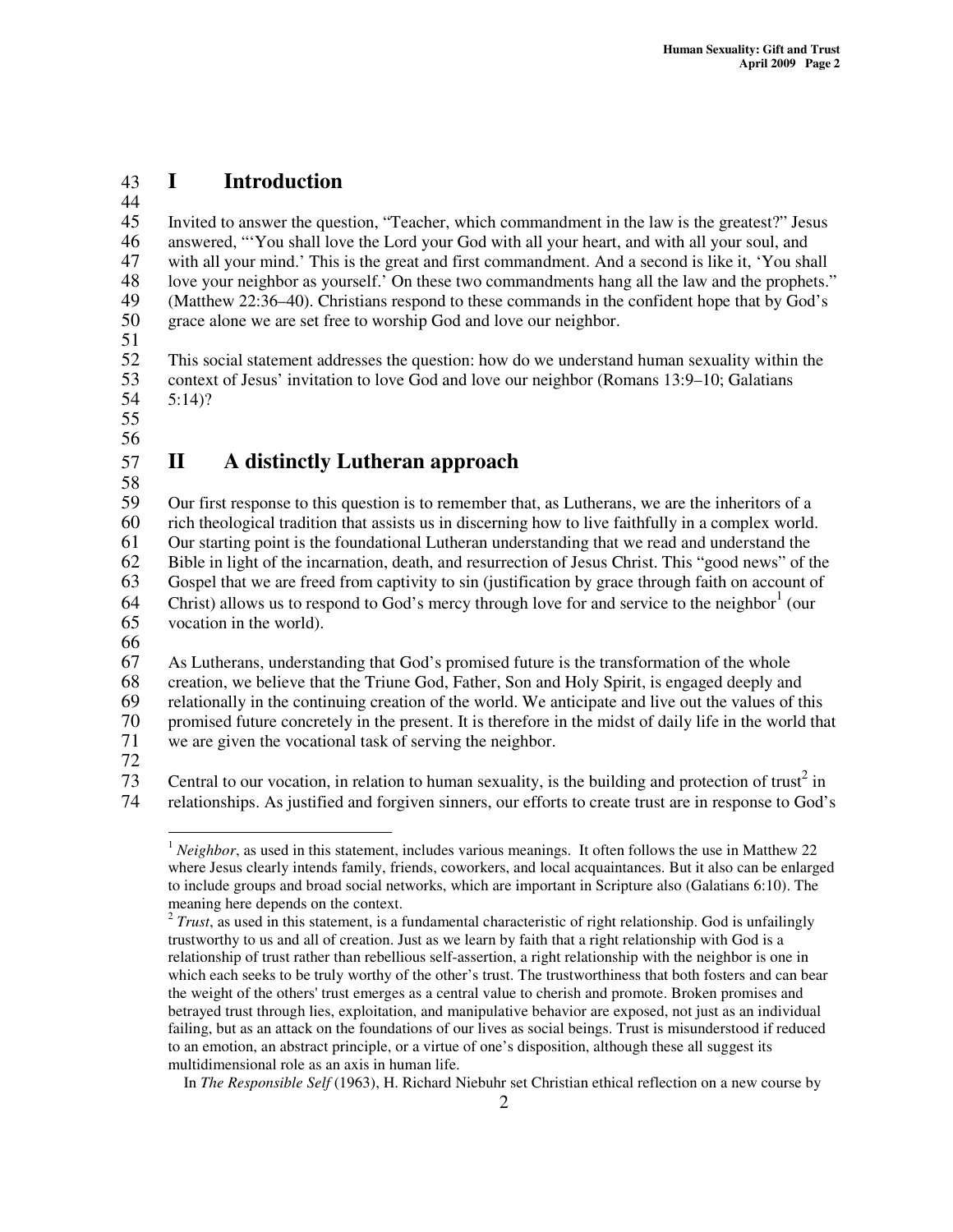## 43 **I Introduction**

44<br>45

Invited to answer the question, "Teacher, which commandment in the law is the greatest?" Jesus 46 answered, "You shall love the Lord your God with all your heart, and with all your soul, and<br>47 with all your mind.' This is the great and first commandment. And a second is like it. 'You sh 47 with all your mind.' This is the great and first commandment. And a second is like it, 'You shall 48 love your neighbor as yourself.' On these two commandments hang all the law and the prophets.' love your neighbor as yourself.' On these two commandments hang all the law and the prophets." 49 (Matthew 22:36–40). Christians respond to these commands in the confident hope that by God's 50 grace alone we are set free to worship God and love our neighbor.

51

52 This social statement addresses the question: how do we understand human sexuality within the 53 context of Jesus' invitation to love God and love our neighbor (Romans 13:9–10; Galatians 5:14)?  $5:14$ ?

55

56

# 57 **II A distinctly Lutheran approach**

58

59 Our first response to this question is to remember that, as Lutherans, we are the inheritors of a rich theological tradition that assists us in discerning how to live faithfully in a complex world. rich theological tradition that assists us in discerning how to live faithfully in a complex world. Our starting point is the foundational Lutheran understanding that we read and understand the Bible in light of the incarnation, death, and resurrection of Jesus Christ. This "good news" of the Gospel that we are freed from captivity to sin (justification by grace through faith on account of 64 Christ) allows us to respond to God's mercy through love for and service to the neighbor<sup>1</sup> (our vocation in the world). As Lutherans, understanding that God's promised future is the transformation of the whole

66

68 creation, we believe that the Triune God, Father, Son and Holy Spirit, is engaged deeply and 69 relationally in the continuing creation of the world. We anticipate and live out the values of this 70 romised future concretely in the present. It is therefore in the midst of daily life in the world that

70 promised future concretely in the present. It is therefore in the midst of daily life in the world that we are given the vocational task of serving the neighbor. we are given the vocational task of serving the neighbor.

72

73 Central to our vocation, in relation to human sexuality, is the building and protection of trust<sup>2</sup> in 74 relationships. As justified and forgiven sinners, our efforts to create trust are in response to God's

In *The Responsible Self* (1963), H. Richard Niebuhr set Christian ethical reflection on a new course by

<sup>&</sup>lt;sup>1</sup> *Neighbor*, as used in this statement, includes various meanings. It often follows the use in Matthew 22 where Jesus clearly intends family, friends, coworkers, and local acquaintances. But it also can be enlarged to include groups and broad social networks, which are important in Scripture also (Galatians 6:10). The meaning here depends on the context.

<sup>&</sup>lt;sup>2</sup> Trust, as used in this statement, is a fundamental characteristic of right relationship. God is unfailingly trustworthy to us and all of creation. Just as we learn by faith that a right relationship with God is a relationship of trust rather than rebellious self-assertion, a right relationship with the neighbor is one in which each seeks to be truly worthy of the other's trust. The trustworthiness that both fosters and can bear the weight of the others'trust emerges as a central value to cherish and promote. Broken promises and betrayed trust through lies, exploitation, and manipulative behavior are exposed, not just as an individual failing, but as an attack on the foundations of our lives as social beings. Trust is misunderstood if reduced to an emotion, an abstract principle, or a virtue of one's disposition, although these all suggest its multidimensional role as an axis in human life.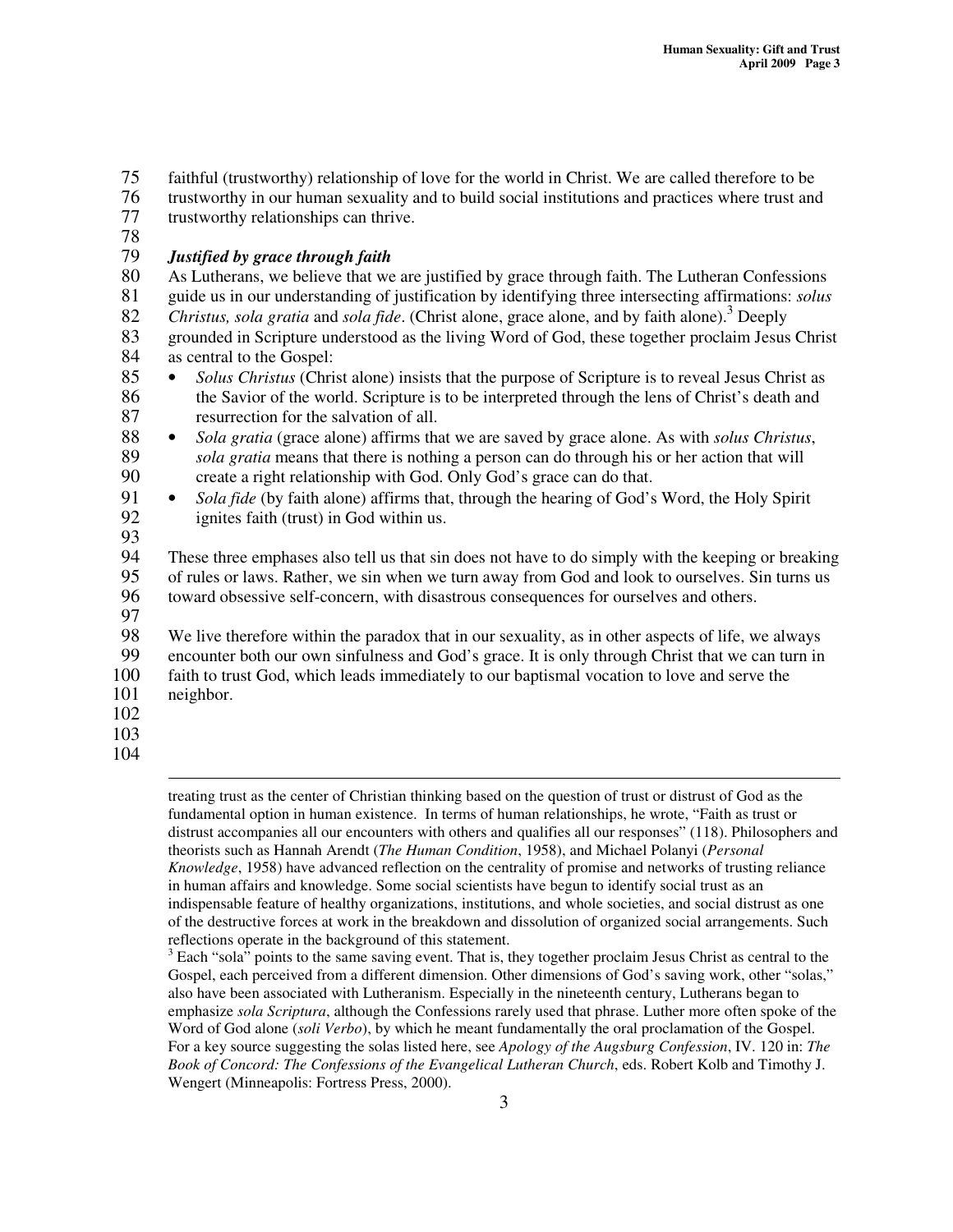75 faithful (trustworthy) relationship of love for the world in Christ. We are called therefore to be

76 trustworthy in our human sexuality and to build social institutions and practices where trust and trustworthy relationships can thrive.

78

#### 79 *Justified by grace through faith*

80 As Lutherans, we believe that we are justified by grace through faith. The Lutheran Confessions<br>81 guide us in our understanding of iustification by identifying three intersecting affirmations: *solus* 81 guide us in our understanding of justification by identifying three intersecting affirmations: *solus*

82 Christus, sola gratia and sola fide. (Christ alone, grace alone, and by faith alone).<sup>3</sup> Deeply

83 grounded in Scripture understood as the living Word of God, these together proclaim Jesus Christ 84 as central to the Gospel:<br>85 • Solus Christus (Chri

- <sup>85</sup> *Solus Christus* (Christ alone) insists that the purpose of Scripture is to reveal Jesus Christ as the Savior of the world. Scripture is to be interpreted through the lens of Christ's death and 86 the Savior of the world. Scripture is to be interpreted through the lens of Christ's death and<br>87 test resurrection for the salvation of all. resurrection for the salvation of all.
- 88 *Sola gratia* (grace alone) affirms that we are saved by grace alone. As with *solus Christus*, 89 *sola gratia* means that there is nothing a person can do through his or her action that will 90 create a right relationship with God. Only God's grace can do that.
- <sup>91</sup> *Sola fide* (by faith alone) affirms that, through the hearing of God's Word, the Holy Spirit ignites faith (trust) in God within us. ignites faith (trust) in God within us.
- 93<br>94

94 These three emphases also tell us that sin does not have to do simply with the keeping or breaking<br>95 of rules or laws. Rather, we sin when we turn away from God and look to ourselves. Sin turns us 95 of rules or laws. Rather, we sin when we turn away from God and look to ourselves. Sin turns us 96 toward obsessive self-concern, with disastrous consequences for ourselves and others.

97<br>98

98 We live therefore within the paradox that in our sexuality, as in other aspects of life, we always encounter both our own sinfulness and God's grace. It is only through Christ that we can turn in

encounter both our own sinfulness and God's grace. It is only through Christ that we can turn in 100 faith to trust God, which leads immediately to our baptismal vocation to love and serve the neighbor.

- neighbor.
- 102
- 103
- 104

treating trust as the center of Christian thinking based on the question of trust or distrust of God as the fundamental option in human existence. In terms of human relationships, he wrote, "Faith as trust or distrust accompanies all our encounters with others and qualifies all our responses" (118). Philosophers and theorists such as Hannah Arendt (*The Human Condition*, 1958), and Michael Polanyi (*Personal Knowledge*, 1958) have advanced reflection on the centrality of promise and networks of trusting reliance in human affairs and knowledge. Some social scientists have begun to identify social trust as an indispensable feature of healthy organizations, institutions, and whole societies, and social distrust as one of the destructive forces at work in the breakdown and dissolution of organized social arrangements. Such reflections operate in the background of this statement.

 $3$  Each "sola" points to the same saving event. That is, they together proclaim Jesus Christ as central to the Gospel, each perceived from a different dimension. Other dimensions of God's saving work, other "solas," also have been associated with Lutheranism. Especially in the nineteenth century, Lutherans began to emphasize *sola Scriptura*, although the Confessions rarely used that phrase. Luther more often spoke of the Word of God alone (*soli Verbo*), by which he meant fundamentally the oral proclamation of the Gospel. For a key source suggesting the solas listed here, see *Apology of the Augsburg Confession*, IV. 120 in: *The Book of Concord: The Confessions of the Evangelical Lutheran Church*, eds. Robert Kolb and Timothy J. Wengert (Minneapolis: Fortress Press, 2000).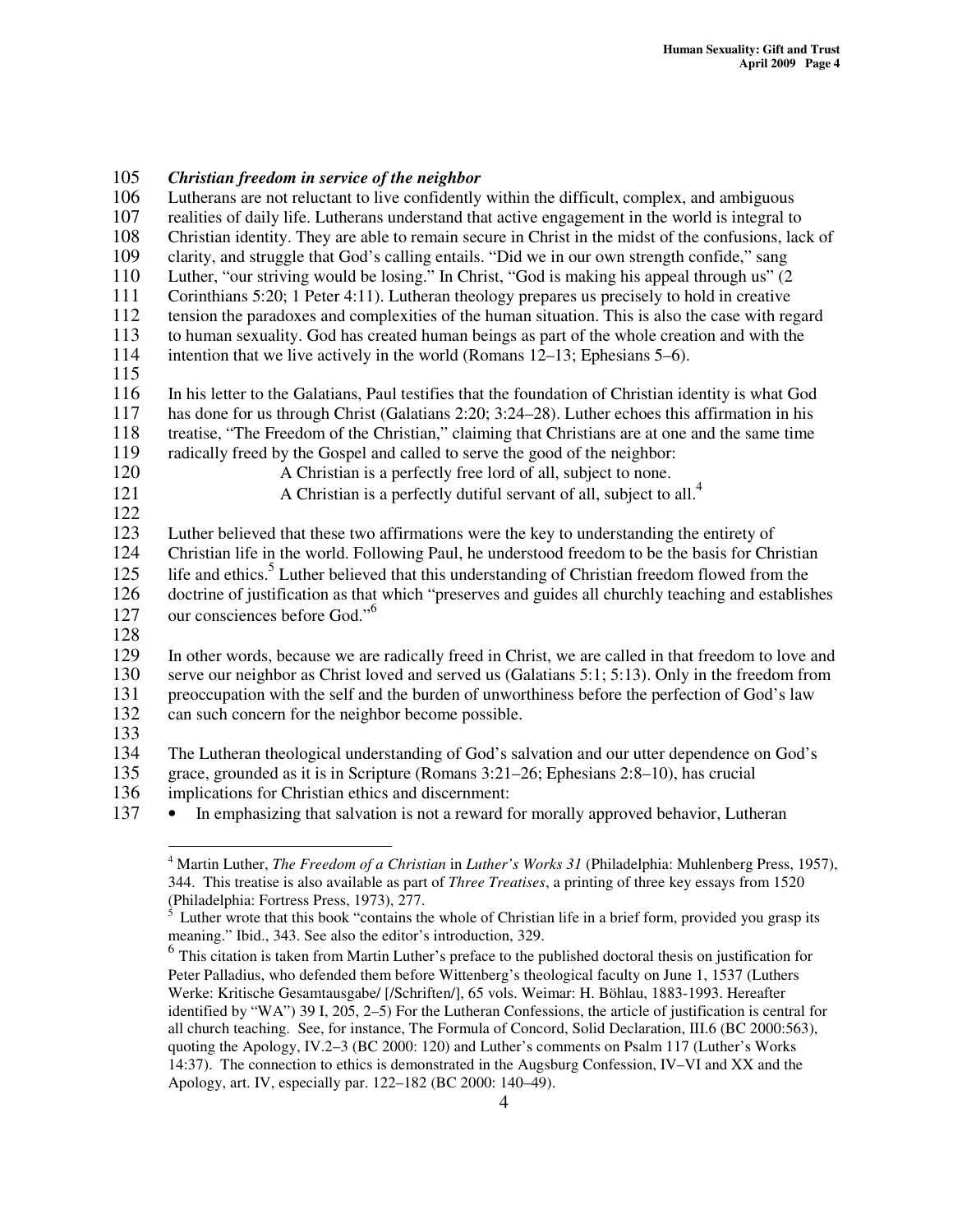105 *Christian freedom in service of the neighbor* Lutherans are not reluctant to live confidently within the difficult, complex, and ambiguous 107 realities of daily life. Lutherans understand that active engagement in the world is integral to 108 Christian identity. They are able to remain secure in Christ in the midst of the confusions, lack of clarity, and struggle that God's calling entails. "Did we in our own strength confide," sang clarity, and struggle that God's calling entails. "Did we in our own strength confide," sang 110 Luther, "our striving would be losing." In Christ, "God is making his appeal through us" (2<br>111 Corinthians 5:20: 1 Peter 4:11). Lutheran theology prepares us precisely to hold in creative Corinthians  $5:20$ ; 1 Peter  $4:11$ ). Lutheran theology prepares us precisely to hold in creative 112 tension the paradoxes and complexities of the human situation. This is also the case with regard<br>113 to human sexuality. God has created human beings as part of the whole creation and with the 113 to human sexuality. God has created human beings as part of the whole creation and with the 114 intention that we live actively in the world (Romans 12–13; Ephesians 5–6).  $\frac{115}{116}$ 116 In his letter to the Galatians, Paul testifies that the foundation of Christian identity is what God 117 has done for us through Christ (Galatians 2:20; 3:24–28). Luther echoes this affirmation in his 118 treatise, "The Freedom of the Christian," claiming that Christians are at one and the same time<br>119 radically freed by the Gospel and called to serve the good of the neighbor: 119 radically freed by the Gospel and called to serve the good of the neighbor:<br>120 A Christian is a perfectly free lord of all, subject to none. A Christian is a perfectly free lord of all, subject to none. A Christian is a perfectly dutiful servant of all, subject to all.<sup>4</sup> 121  $\frac{122}{123}$ 123 Luther believed that these two affirmations were the key to understanding the entirety of Christian life in the world. Following Paul, he understood freedom to be the basis for Chr 124 Christian life in the world. Following Paul, he understood freedom to be the basis for Christian 125 life and ethics.<sup>5</sup> Luther believed that this understanding of Christian freedom flowed from the 126 doctrine of justification as that which "preserves and guides all churchly teaching and establishes our consciences before God."<sup>6</sup> 127 128 129 In other words, because we are radically freed in Christ, we are called in that freedom to love and 130 serve our neighbor as Christ loved and served us (Galatians 5:1; 5:13). Only in the freedom from<br>131 preoccupation with the self and the burden of unworthiness before the perfection of God's law 131 preoccupation with the self and the burden of unworthiness before the perfection of God's law<br>132 can such concern for the neighbor become possible. can such concern for the neighbor become possible. 133 134 The Lutheran theological understanding of God's salvation and our utter dependence on God's 135 grace, grounded as it is in Scripture (Romans 3:21–26; Ephesians 2:8–10), has crucial

- 136 implications for Christian ethics and discernment:
- 137 In emphasizing that salvation is not a reward for morally approved behavior, Lutheran

<sup>4</sup> Martin Luther, *The Freedom of a Christian* in *Luther's Works 31* (Philadelphia: Muhlenberg Press, 1957), 344. This treatise is also available as part of *Three Treatises*, a printing of three key essays from 1520 (Philadelphia: Fortress Press, 1973), 277.

Luther wrote that this book "contains the whole of Christian life in a brief form, provided you grasp its meaning." Ibid., 343. See also the editor's introduction, 329.

<sup>&</sup>lt;sup>6</sup> This citation is taken from Martin Luther's preface to the published doctoral thesis on justification for Peter Palladius, who defended them before Wittenberg's theological faculty on June 1, 1537 (Luthers Werke: Kritische Gesamtausgabe/ [/Schriften/], 65 vols. Weimar: H. Böhlau, 1883-1993. Hereafter identified by "WA") 39 I, 205, 2–5) For the Lutheran Confessions, the article of justification is central for all church teaching. See, for instance, The Formula of Concord, Solid Declaration, III.6 (BC 2000:563), quoting the Apology, IV.2–3 (BC 2000: 120) and Luther's comments on Psalm 117 (Luther's Works 14:37). The connection to ethics is demonstrated in the Augsburg Confession, IV–VI and XX and the Apology, art. IV, especially par. 122–182 (BC 2000: 140–49).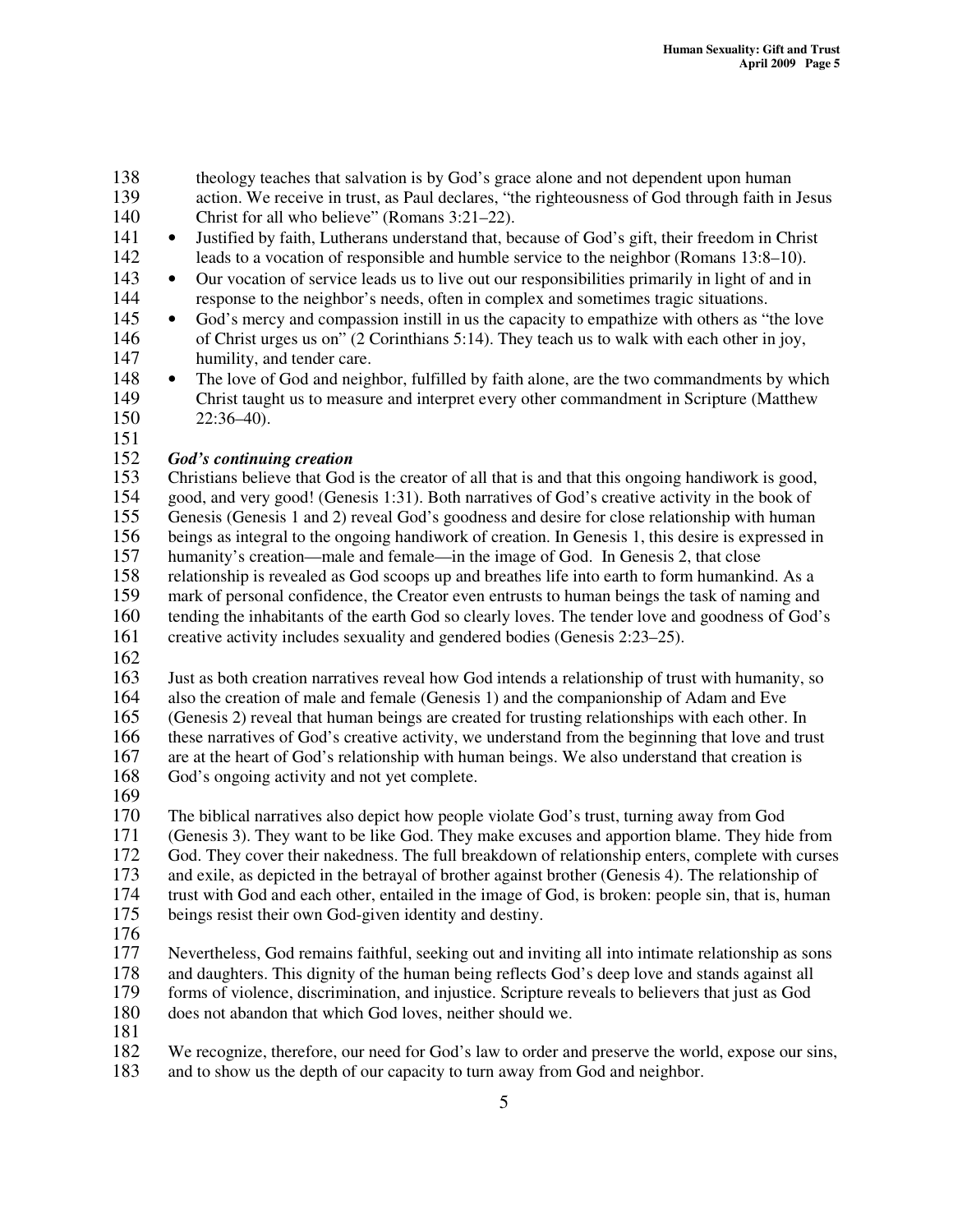- 138 theology teaches that salvation is by God's grace alone and not dependent upon human<br>139 theories. We receive in trust, as Paul declares, "the righteousness of God through faith in
- action. We receive in trust, as Paul declares, "the righteousness of God through faith in Jesus 140 Christ for all who believe" (Romans 3:21–22).
- <sup>141</sup> Justified by faith, Lutherans understand that, because of God's gift, their freedom in Christ<br>142 leads to a vocation of responsible and humble service to the neighbor (Romans 13:8–10). 142 leads to a vocation of responsible and humble service to the neighbor (Romans 13:8–10).

143 • Our vocation of service leads us to live out our responsibilities primarily in light of and in 144 response to the neighbor's needs, often in complex and sometimes tragic situations.

<sup>145</sup> • God's mercy and compassion instill in us the capacity to empathize with others as "the love of Christ urges us on" (2 Corinthians 5:14). They teach us to walk with each other in joy. 146 of Christ urges us on" (2 Corinthians 5:14). They teach us to walk with each other in joy,<br>147 humility, and tender care. humility, and tender care.

148 • The love of God and neighbor, fulfilled by faith alone, are the two commandments by which 149 Christ taught us to measure and interpret every other commandment in Scripture (Matthew 150 22:36–40).

151

# 152 *God's continuing creation*

153 Christians believe that God is the creator of all that is and that this ongoing handiwork is good,<br>154 good, and very good! (Genesis 1:31). Both narratives of God's creative activity in the book of 154 good, and very good! (Genesis 1:31). Both narratives of God's creative activity in the book of 155 Genesis (Genesis 1 and 2) reveal God's goodness and desire for close relationship with human Genesis (Genesis 1 and 2) reveal God's goodness and desire for close relationship with human 156 beings as integral to the ongoing handiwork of creation. In Genesis 1, this desire is expressed in humanity's creation—male and female—in the image of God. In Genesis 2, that close humanity's creation—male and female—in the image of God. In Genesis 2, that close 158 relationship is revealed as God scoops up and breathes life into earth to form humankind. As a 159 mark of personal confidence, the Creator even entrusts to human beings the task of naming and 160 tending the inhabitants of the earth God so clearly loves. The tender love and goodness of God's

- 161 creative activity includes sexuality and gendered bodies (Genesis 2:23–25).
- 162

163 Just as both creation narratives reveal how God intends a relationship of trust with humanity, so

164 also the creation of male and female (Genesis 1) and the companionship of Adam and Eve

165 (Genesis 2) reveal that human beings are created for trusting relationships with each other. In

166 these narratives of God's creative activity, we understand from the beginning that love and trust

167 are at the heart of God's relationship with human beings. We also understand that creation is 168 God's ongoing activity and not yet complete.

169<br>170 170 The biblical narratives also depict how people violate God's trust, turning away from God 171 (Genesis 3). They want to be like God. They make excuses and apportion blame. They hid

(Genesis 3). They want to be like God. They make excuses and apportion blame. They hide from

172 God. They cover their nakedness. The full breakdown of relationship enters, complete with curses

173 and exile, as depicted in the betrayal of brother against brother (Genesis 4). The relationship of

174 trust with God and each other, entailed in the image of God, is broken: people sin, that is, human

- 175 beings resist their own God-given identity and destiny.
- 176<br>177

Nevertheless, God remains faithful, seeking out and inviting all into intimate relationship as sons

178 and daughters. This dignity of the human being reflects God's deep love and stands against all<br>179 forms of violence, discrimination, and injustice. Scripture reveals to believers that just as God

forms of violence, discrimination, and injustice. Scripture reveals to believers that just as God

- 180 does not abandon that which God loves, neither should we.
- 181

182 We recognize, therefore, our need for God's law to order and preserve the world, expose our sins,

183 and to show us the depth of our capacity to turn away from God and neighbor.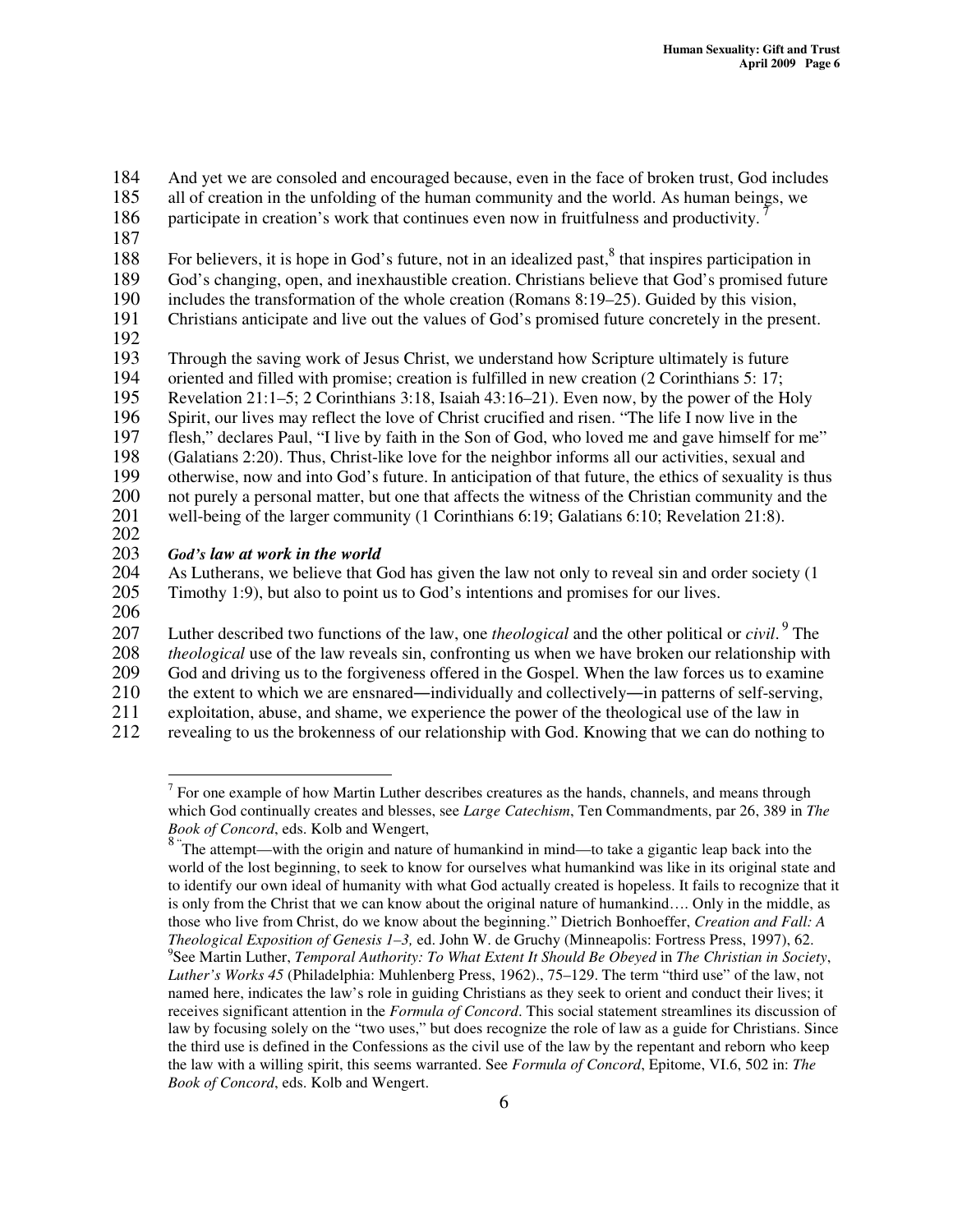184 And yet we are consoled and encouraged because, even in the face of broken trust, God includes all of creation in the unfolding of the human community and the world. As human beings, we

- all of creation in the unfolding of the human community and the world. As human beings, we
- participate in creation's work that continues even now in fruitfulness and productivity.<sup>7</sup> 186
- 187

188 For believers, it is hope in God's future, not in an idealized past,<sup>8</sup> that inspires participation in

189 God's changing, open, and inexhaustible creation. Christians believe that God's promised future<br>190 includes the transformation of the whole creation (Romans 8:19–25). Guided by this vision,

190 includes the transformation of the whole creation (Romans 8:19–25). Guided by this vision,<br>191 Christians anticipate and live out the values of God's promised future concretely in the prese

191 Christians anticipate and live out the values of God's promised future concretely in the present.

192

193 Through the saving work of Jesus Christ, we understand how Scripture ultimately is future<br>194 oriented and filled with promise; creation is fulfilled in new creation (2 Corinthians 5: 17;

194 oriented and filled with promise; creation is fulfilled in new creation (2 Corinthians 5: 17;

195 Revelation 21:1–5; 2 Corinthians 3:18, Isaiah 43:16–21). Even now, by the power of the Holy

196 Spirit, our lives may reflect the love of Christ crucified and risen. "The life I now live in the 197 flesh," declares Paul, "I live by faith in the Son of God, who loved me and gave himself for a

197 flesh," declares Paul, "I live by faith in the Son of God, who loved me and gave himself for me"<br>198 (Galatians 2:20). Thus, Christ-like love for the neighbor informs all our activities, sexual and

198 (Galatians 2:20). Thus, Christ-like love for the neighbor informs all our activities, sexual and<br>199 otherwise, now and into God's future. In anticipation of that future, the ethics of sexuality is t

199 otherwise, now and into God's future. In anticipation of that future, the ethics of sexuality is thus not purely a personal matter, but one that affects the witness of the Christian community and the not purely a personal matter, but one that affects the witness of the Christian community and the

201 well-being of the larger community (1 Corinthians 6:19; Galatians 6:10; Revelation 21:8).

202

203 *God's law at work in the world* As Lutherans, we believe that God has given the law not only to reveal sin and order society (1) 205 Timothy 1:9), but also to point us to God's intentions and promises for our lives.

206

207 Luther described two functions of the law, one *theological* and the other political or *civil*.<sup>9</sup> The

208 *theological* use of the law reveals sin, confronting us when we have broken our relationship with

209 God and driving us to the forgiveness offered in the Gospel. When the law forces us to examine

210 the extent to which we are ensnared—individually and collectively—in patterns of self-serving,

211 exploitation, abuse, and shame, we experience the power of the theological use of the law in

212 revealing to us the brokenness of our relationship with God. Knowing that we can do nothing to

 $<sup>7</sup>$  For one example of how Martin Luther describes creatures as the hands, channels, and means through</sup> which God continually creates and blesses, see *Large Catechism*, Ten Commandments, par 26, 389 in *The Book of Concord*, eds. Kolb and Wengert,

<sup>&</sup>lt;sup>8</sup> The attempt—with the origin and nature of humankind in mind—to take a gigantic leap back into the world of the lost beginning, to seek to know for ourselves what humankind was like in its original state and to identify our own ideal of humanity with what God actually created is hopeless. It fails to recognize that it is only from the Christ that we can know about the original nature of humankind…. Only in the middle, as those who live from Christ, do we know about the beginning." Dietrich Bonhoeffer, *Creation and Fall: A Theological Exposition of Genesis 1–3,* ed. John W. de Gruchy (Minneapolis: Fortress Press, 1997), 62. 9 See Martin Luther, *Temporal Authority: To What Extent It Should Be Obeyed* in *The Christian in Society*, *Luther's Works 45* (Philadelphia: Muhlenberg Press, 1962)., 75–129. The term "third use" of the law, not named here, indicates the law's role in guiding Christians as they seek to orient and conduct their lives; it receives significant attention in the *Formula of Concord*. This social statement streamlines its discussion of law by focusing solely on the "two uses," but does recognize the role of law as a guide for Christians. Since the third use is defined in the Confessions as the civil use of the law by the repentant and reborn who keep the law with a willing spirit, this seems warranted. See *Formula of Concord*, Epitome, VI.6, 502 in: *The Book of Concord*, eds. Kolb and Wengert.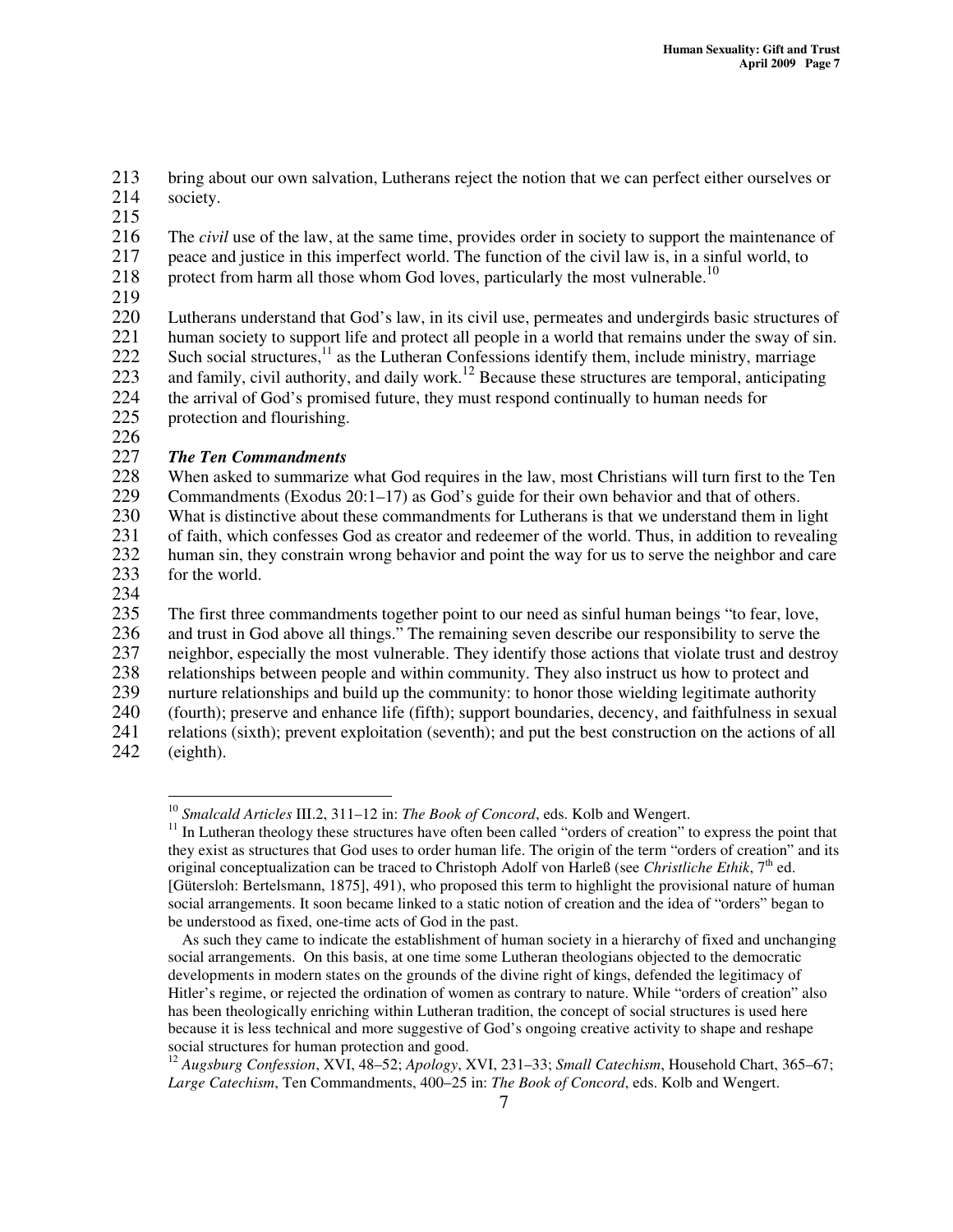213 bring about our own salvation, Lutherans reject the notion that we can perfect either ourselves or society. society.

215

216 The *civil* use of the law, at the same time, provides order in society to support the maintenance of 217 peace and justice in this imperfect world. The function of the civil law is, in a sinful world, to

- protect from harm all those whom God loves, particularly the most vulnerable.<sup>10</sup> 218
- 219<br>220

220 Lutherans understand that God's law, in its civil use, permeates and undergirds basic structures of human society to support life and protect all people in a world that remains under the sway of sin. human society to support life and protect all people in a world that remains under the sway of sin. 222 Such social structures,<sup>11</sup> as the Lutheran Confessions identify them, include ministry, marriage 223 and family, civil authority, and daily work.<sup>12</sup> Because these structures are temporal, anticipating 224 the arrival of God's promised future, they must respond continually to human needs for 225 protection and flourishing.

226

# 227 *The Ten Commandments*

228 When asked to summarize what God requires in the law, most Christians will turn first to the Ten<br>229 Commandments (Exodus 20:1–17) as God's guide for their own behavior and that of others. Commandments (Exodus  $20:1-17$ ) as God's guide for their own behavior and that of others. 230 What is distinctive about these commandments for Lutherans is that we understand them in light 231 of faith, which confesses God as creator and redeemer of the world. Thus, in addition to revealing

232 human sin, they constrain wrong behavior and point the way for us to serve the neighbor and care<br>233 for the world.

for the world.

234<br>235

235 The first three commandments together point to our need as sinful human beings "to fear, love,<br>236 and trust in God above all things." The remaining seven describe our responsibility to serve the

236 and trust in God above all things." The remaining seven describe our responsibility to serve the neighbor, especially the most vulnerable. They identify those actions that violate trust and destro

237 neighbor, especially the most vulnerable. They identify those actions that violate trust and destroy<br>238 relationships between people and within community. They also instruct us how to protect and

238 relationships between people and within community. They also instruct us how to protect and<br>239 unture relationships and build up the community: to honor those wielding legitimate authority

nurture relationships and build up the community: to honor those wielding legitimate authority

240 (fourth); preserve and enhance life (fifth); support boundaries, decency, and faithfulness in sexual

241 relations (sixth); prevent exploitation (seventh); and put the best construction on the actions of all (eighth).

 $(eighth)$ .

<sup>10</sup> *Smalcald Articles* III.2, 311–12 in: *The Book of Concord*, eds. Kolb and Wengert.

<sup>&</sup>lt;sup>11</sup> In Lutheran theology these structures have often been called "orders of creation" to express the point that they exist as structures that God uses to order human life. The origin of the term "orders of creation" and its original conceptualization can be traced to Christoph Adolf von Harleß (see *Christliche Ethik*, 7<sup>th</sup> ed. [Gütersloh: Bertelsmann, 1875], 491), who proposed this term to highlight the provisional nature of human social arrangements. It soon became linked to a static notion of creation and the idea of "orders" began to be understood as fixed, one-time acts of God in the past.

As such they came to indicate the establishment of human society in a hierarchy of fixed and unchanging social arrangements. On this basis, at one time some Lutheran theologians objected to the democratic developments in modern states on the grounds of the divine right of kings, defended the legitimacy of Hitler's regime, or rejected the ordination of women as contrary to nature. While "orders of creation" also has been theologically enriching within Lutheran tradition, the concept of social structures is used here because it is less technical and more suggestive of God's ongoing creative activity to shape and reshape social structures for human protection and good.

<sup>12</sup> *Augsburg Confession*, XVI, 48–52; *Apology*, XVI, 231–33; *Small Catechism*, Household Chart, 365–67; *Large Catechism*, Ten Commandments, 400–25 in: *The Book of Concord*, eds. Kolb and Wengert.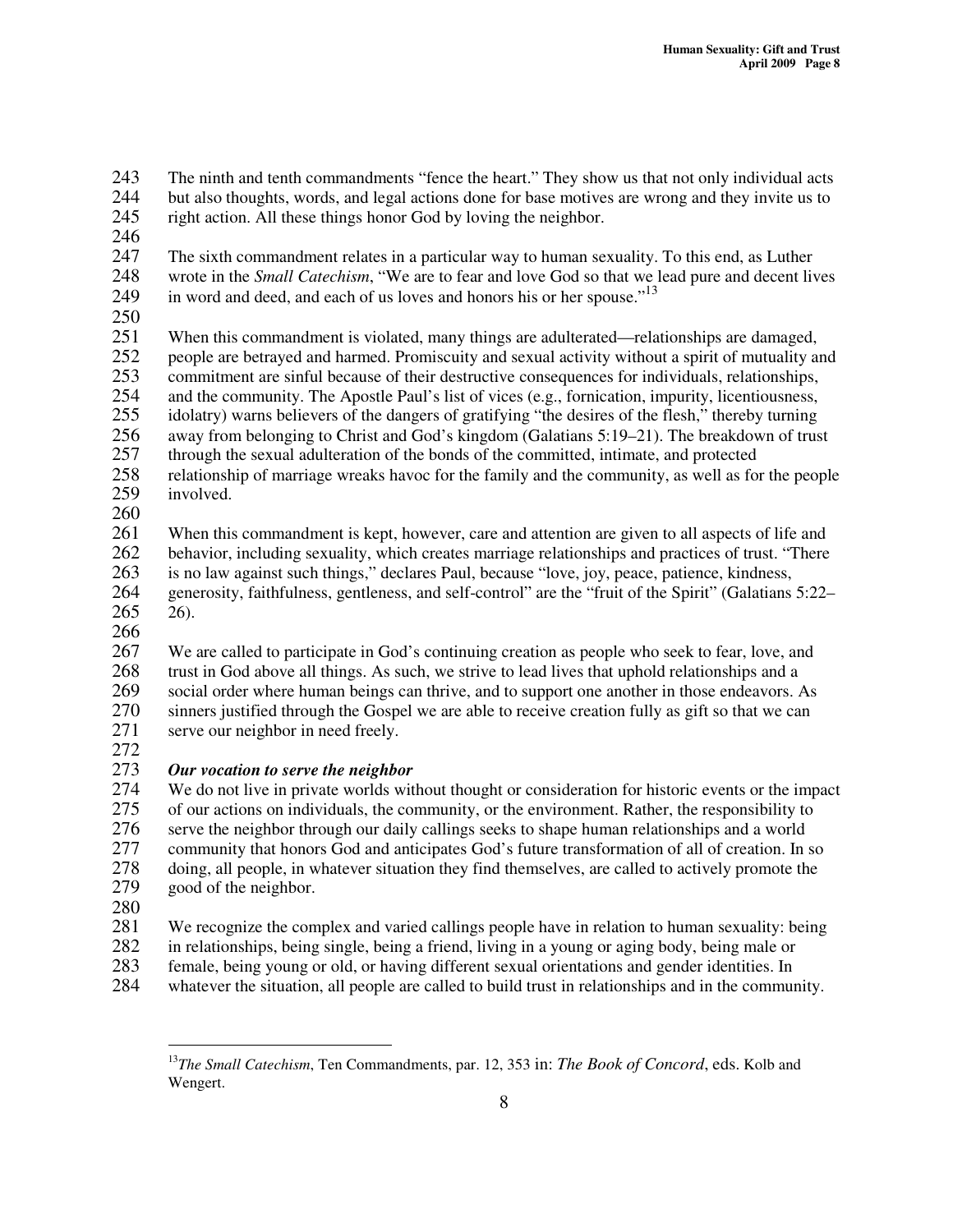243 The ninth and tenth commandments "fence the heart." They show us that not only individual acts<br>244 but also thoughts, words, and legal actions done for base motives are wrong and they invite us to

- 244 but also thoughts, words, and legal actions done for base motives are wrong and they invite us to
- 245 right action. All these things honor God by loving the neighbor.
- 246
- 247 The sixth commandment relates in a particular way to human sexuality. To this end, as Luther 248 wrote in the *Small Catechism*, "We are to fear and love God so that we lead pure and decent lives in word and deed, and each of us loves and honors his or her spouse."<sup>13</sup> 249
- 

250<br>251 When this commandment is violated, many things are adulterated—relationships are damaged, 252 people are betrayed and harmed. Promiscuity and sexual activity without a spirit of mutuality and<br>253 commitment are sinful because of their destructive consequences for individuals, relationships, 253 commitment are sinful because of their destructive consequences for individuals, relationships,<br>254 and the community. The Apostle Paul's list of vices (e.g., fornication, impurity, licentiousness, 254 and the community. The Apostle Paul's list of vices (e.g., fornication, impurity, licentiousness, idolatry) warns believers of the dangers of gratifying "the desires of the flesh," thereby turning idolatry) warns believers of the dangers of gratifying "the desires of the flesh," thereby turning

256 away from belonging to Christ and God's kingdom (Galatians 5:19–21). The breakdown of trust through the sexual adulteration of the bonds of the committed, intimate, and protected 257 through the sexual adulteration of the bonds of the committed, intimate, and protected

- 258 relationship of marriage wreaks havoc for the family and the community, as well as for the people 259 involved.
- $\frac{260}{261}$

261 When this commandment is kept, however, care and attention are given to all aspects of life and behavior, including sexuality, which creates marriage relationships and practices of trust. "There 262 behavior, including sexuality, which creates marriage relationships and practices of trust. "There 263 is no law against such things," declares Paul, because "love, joy, peace, patience, kindness,

264 generosity, faithfulness, gentleness, and self-control" are the "fruit of the Spirit" (Galatians 5:22– 265 26).

266

267 We are called to participate in God's continuing creation as people who seek to fear, love, and trust in God above all things. As such, we strive to lead lives that uphold relationships and a 268 trust in God above all things. As such, we strive to lead lives that uphold relationships and a 269 social order where human beings can thrive, and to support one another in those endeavors. As<br>270 sinners iustified through the Gospel we are able to receive creation fully as gift so that we can 270 sinners justified through the Gospel we are able to receive creation fully as gift so that we can serve our neighbor in need freely. serve our neighbor in need freely.

# 272<br>273 273 *Our vocation to serve the neighbor*

We do not live in private worlds without thought or consideration for historic events or the impact 275 of our actions on individuals, the community, or the environment. Rather, the responsibility to serve the neighbor through our daily callings seeks to shape human relationships and a world 276 serve the neighbor through our daily callings seeks to shape human relationships and a world<br>277 community that honors God and anticipates God's future transformation of all of creation. In community that honors God and anticipates God's future transformation of all of creation. In so 278 doing, all people, in whatever situation they find themselves, are called to actively promote the 279 good of the neighbor.

280

281 We recognize the complex and varied callings people have in relation to human sexuality: being<br>282 in relationships, being single, being a friend, living in a young or aging body, being male or

- 282 in relationships, being single, being a friend, living in a young or aging body, being male or female, being young or old, or having different sexual orientations and gender identities. In
- 283 female, being young or old, or having different sexual orientations and gender identities. In
- 284 whatever the situation, all people are called to build trust in relationships and in the community.

<sup>13</sup> *The Small Catechism*, Ten Commandments, par. 12, 353 in: *The Book of Concord*, eds. Kolb and Wengert.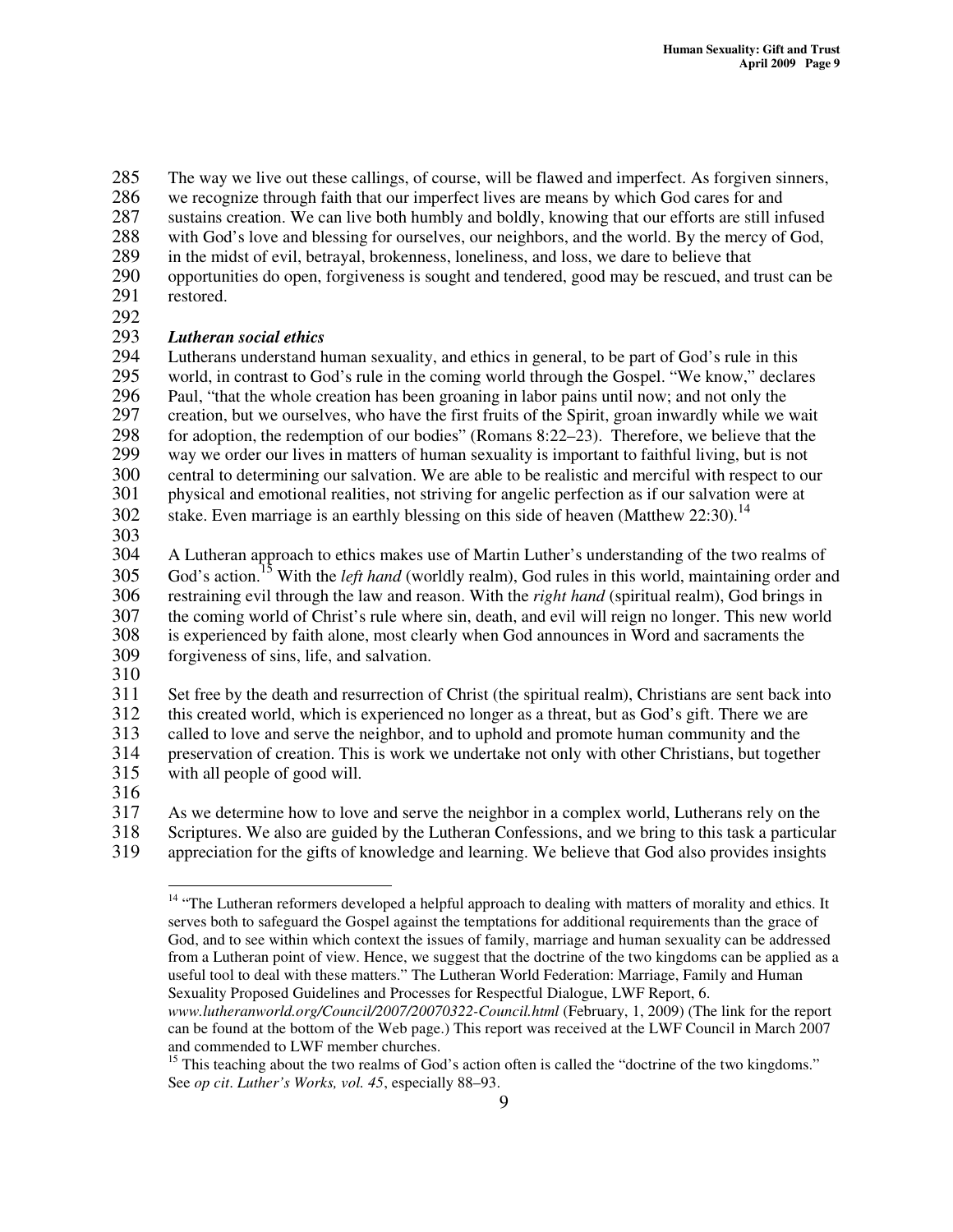285 The way we live out these callings, of course, will be flawed and imperfect. As forgiven sinners,<br>286 we recognize through faith that our imperfect lives are means by which God cares for and

we recognize through faith that our imperfect lives are means by which God cares for and

287 sustains creation. We can live both humbly and boldly, knowing that our efforts are still infused

- 288 with God's love and blessing for ourselves, our neighbors, and the world. By the mercy of God,
- 289 in the midst of evil, betrayal, brokenness, loneliness, and loss, we dare to believe that
- 290 opportunities do open, forgiveness is sought and tendered, good may be rescued, and trust can be restored.
- 292<br>293

293 *Lutheran social ethics* 294 Lutherans understand human sexuality, and ethics in general, to be part of God's rule in this world, in contrast to God's rule in the coming world through the Gospel. "We know," declar 295 world, in contrast to God's rule in the coming world through the Gospel. "We know," declares 296 Paul. "that the whole creation has been groaning in labor pains until now: and not only the 296 Paul, "that the whole creation has been groaning in labor pains until now; and not only the creation, but we ourselves, who have the first fruits of the Spirit, groan inwardly while we creation, but we ourselves, who have the first fruits of the Spirit, groan inwardly while we wait 298 for adoption, the redemption of our bodies" (Romans 8:22–23). Therefore, we believe that the way we order our lives in matters of human sexuality is important to faithful living, but is not way we order our lives in matters of human sexuality is important to faithful living, but is not

300 central to determining our salvation. We are able to be realistic and merciful with respect to our

- 301 physical and emotional realities, not striving for angelic perfection as if our salvation were at stake. Even marriage is an earthly blessing on this side of heaven (Matthew 22:30).<sup>14</sup> 302
- 303

304 A Lutheran approach to ethics makes use of Martin Luther's understanding of the two realms of 305 God's action.<sup>15</sup> With the *left hand* (worldly realm), God rules in this world, maintaining order and 306 restraining evil through the law and reason. With the *right hand* (spiritual realm), God brings in the coming world of Christ's rule where sin, death, and evil will reign no longer. This new world the coming world of Christ's rule where sin, death, and evil will reign no longer. This new world 308 is experienced by faith alone, most clearly when God announces in Word and sacraments the 309 forgiveness of sins, life, and salvation.

 $\frac{310}{311}$ 

311 Set free by the death and resurrection of Christ (the spiritual realm), Christians are sent back into this created world, which is experienced no longer as a threat, but as God's gift. There we are

this created world, which is experienced no longer as a threat, but as God's gift. There we are

313 called to love and serve the neighbor, and to uphold and promote human community and the

314 preservation of creation. This is work we undertake not only with other Christians, but together 315 with all people of good will.

- 
- $\frac{316}{317}$

317 As we determine how to love and serve the neighbor in a complex world, Lutherans rely on the 318 Scriptures. We also are guided by the Lutheran Confessions, and we bring to this task a particul

- 318 Scriptures. We also are guided by the Lutheran Confessions, and we bring to this task a particular appreciation for the gifts of knowledge and learning. We believe that God also provides insights
- appreciation for the gifts of knowledge and learning. We believe that God also provides insights

<sup>&</sup>lt;sup>14</sup> "The Lutheran reformers developed a helpful approach to dealing with matters of morality and ethics. It serves both to safeguard the Gospel against the temptations for additional requirements than the grace of God, and to see within which context the issues of family, marriage and human sexuality can be addressed from a Lutheran point of view. Hence, we suggest that the doctrine of the two kingdoms can be applied as a useful tool to deal with these matters." The Lutheran World Federation: Marriage, Family and Human Sexuality Proposed Guidelines and Processes for Respectful Dialogue, LWF Report, 6.

*www.lutheranworld.org/Council/2007/20070322-Council.html* (February, 1, 2009) (The link for the report can be found at the bottom of the Web page.) This report was received at the LWF Council in March 2007 and commended to LWF member churches.

 $15$  This teaching about the two realms of God's action often is called the "doctrine of the two kingdoms." See *op cit*. *Luther's Works, vol. 45*, especially 88–93.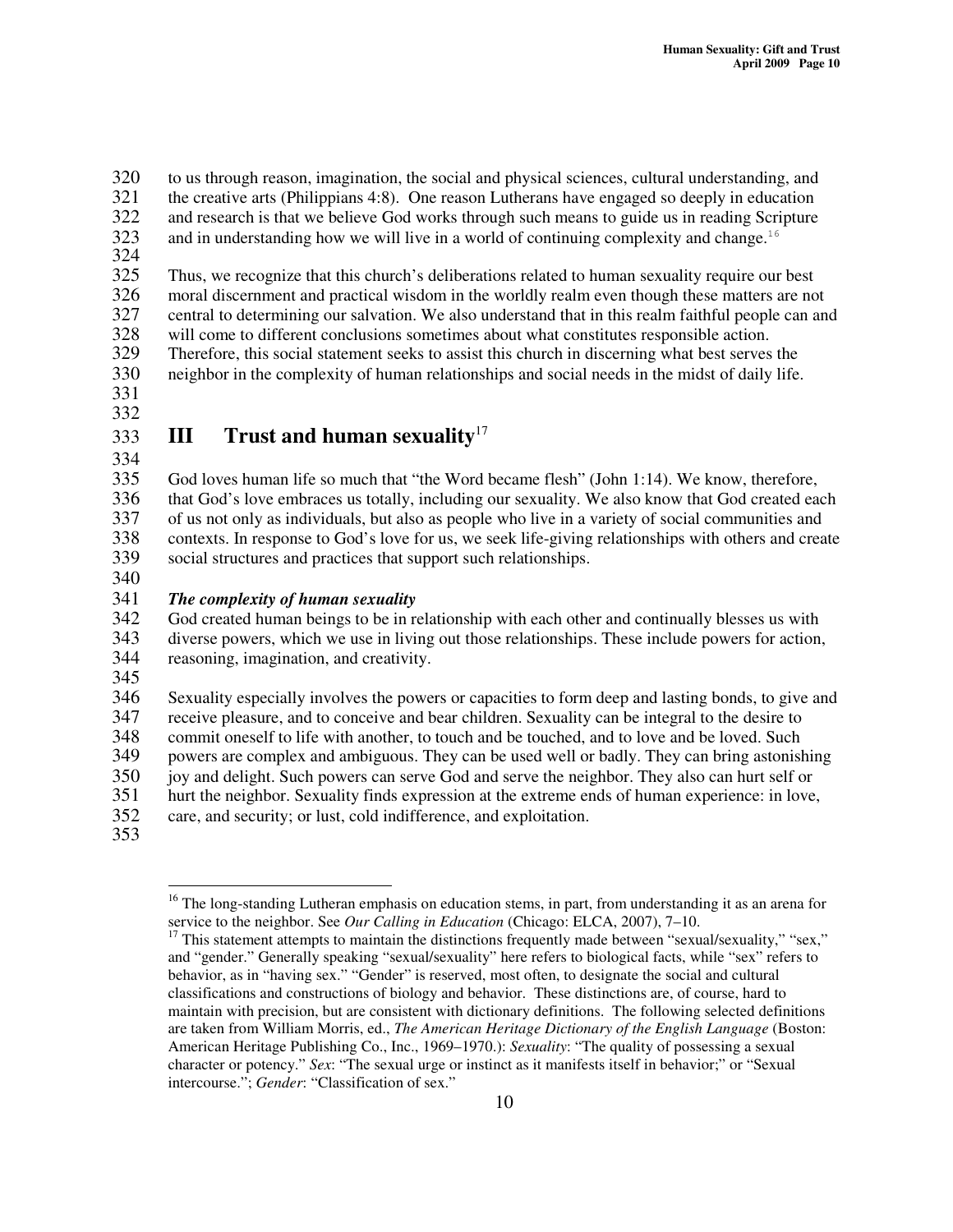320 to us through reason, imagination, the social and physical sciences, cultural understanding, and<br>321 the creative arts (Philippians 4:8). One reason Lutherans have engaged so deeply in education

- 321 the creative arts (Philippians 4:8). One reason Lutherans have engaged so deeply in education
- 322 and research is that we believe God works through such means to guide us in reading Scripture
- 323 and in understanding how we will live in a world of continuing complexity and change.<sup>16</sup>
- 324<br>325

Thus, we recognize that this church's deliberations related to human sexuality require our best 326 moral discernment and practical wisdom in the worldly realm even though these matters are not 327 central to determining our salvation. We also understand that in this realm faithful people can and

328 will come to different conclusions sometimes about what constitutes responsible action.<br>329 Therefore, this social statement seeks to assist this church in discerning what best serves

329 Therefore, this social statement seeks to assist this church in discerning what best serves the neighbor in the complexity of human relationships and social needs in the midst of daily life. neighbor in the complexity of human relationships and social needs in the midst of daily life.

- 331
- 332

#### **III Trust and human sexuality** 17 333

334

335 God loves human life so much that "the Word became flesh" (John 1:14). We know, therefore,<br>336 that God's love embraces us totally, including our sexuality. We also know that God created ea 336 that God's love embraces us totally, including our sexuality. We also know that God created each of us not only as individuals, but also as people who live in a variety of social communities and 337 of us not only as individuals, but also as people who live in a variety of social communities and<br>338 contexts. In response to God's love for us, we seek life-giving relationships with others and crea 338 contexts. In response to God's love for us, we seek life-giving relationships with others and create social structures and practices that support such relationships. social structures and practices that support such relationships.

340

# 341 *The complexity of human sexuality*

God created human beings to be in relationship with each other and continually blesses us with 343 diverse powers, which we use in living out those relationships. These include powers for action,

- 344 reasoning, imagination, and creativity.
- 345

346 Sexuality especially involves the powers or capacities to form deep and lasting bonds, to give and 347 receive pleasure, and to conceive and bear children. Sexuality can be integral to the desire to commit oneself to life with another, to touch and be touched, and to love and be loved. Such

348 commit oneself to life with another, to touch and be touched, and to love and be loved. Such powers are complex and ambiguous. They can be used well or badly. They can bring astonished

349 powers are complex and ambiguous. They can be used well or badly. They can bring astonishing<br>350 iov and delight. Such powers can serve God and serve the neighbor. They also can hurt self or

350 joy and delight. Such powers can serve God and serve the neighbor. They also can hurt self or hurt the neighbor. Sexuality finds expression at the extreme ends of human experience: in love 351 hurt the neighbor. Sexuality finds expression at the extreme ends of human experience: in love,

352 care, and security; or lust, cold indifference, and exploitation.

353

<sup>&</sup>lt;sup>16</sup> The long-standing Lutheran emphasis on education stems, in part, from understanding it as an arena for service to the neighbor. See *Our Calling in Education* (Chicago: ELCA, 2007), 7–10.

<sup>&</sup>lt;sup>17</sup> This statement attempts to maintain the distinctions frequently made between "sexual/sexuality," "sex," and "gender." Generally speaking "sexual/sexuality" here refers to biological facts, while "sex" refers to behavior, as in "having sex." "Gender" is reserved, most often, to designate the social and cultural classifications and constructions of biology and behavior. These distinctions are, of course, hard to maintain with precision, but are consistent with dictionary definitions. The following selected definitions are taken from William Morris, ed., *The American Heritage Dictionary of the English Language* (Boston: American Heritage Publishing Co., Inc., 1969–1970.): *Sexuality*: "The quality of possessing a sexual character or potency." *Sex*: "The sexual urge or instinct as it manifests itself in behavior;" or "Sexual intercourse."; *Gender*: "Classification of sex."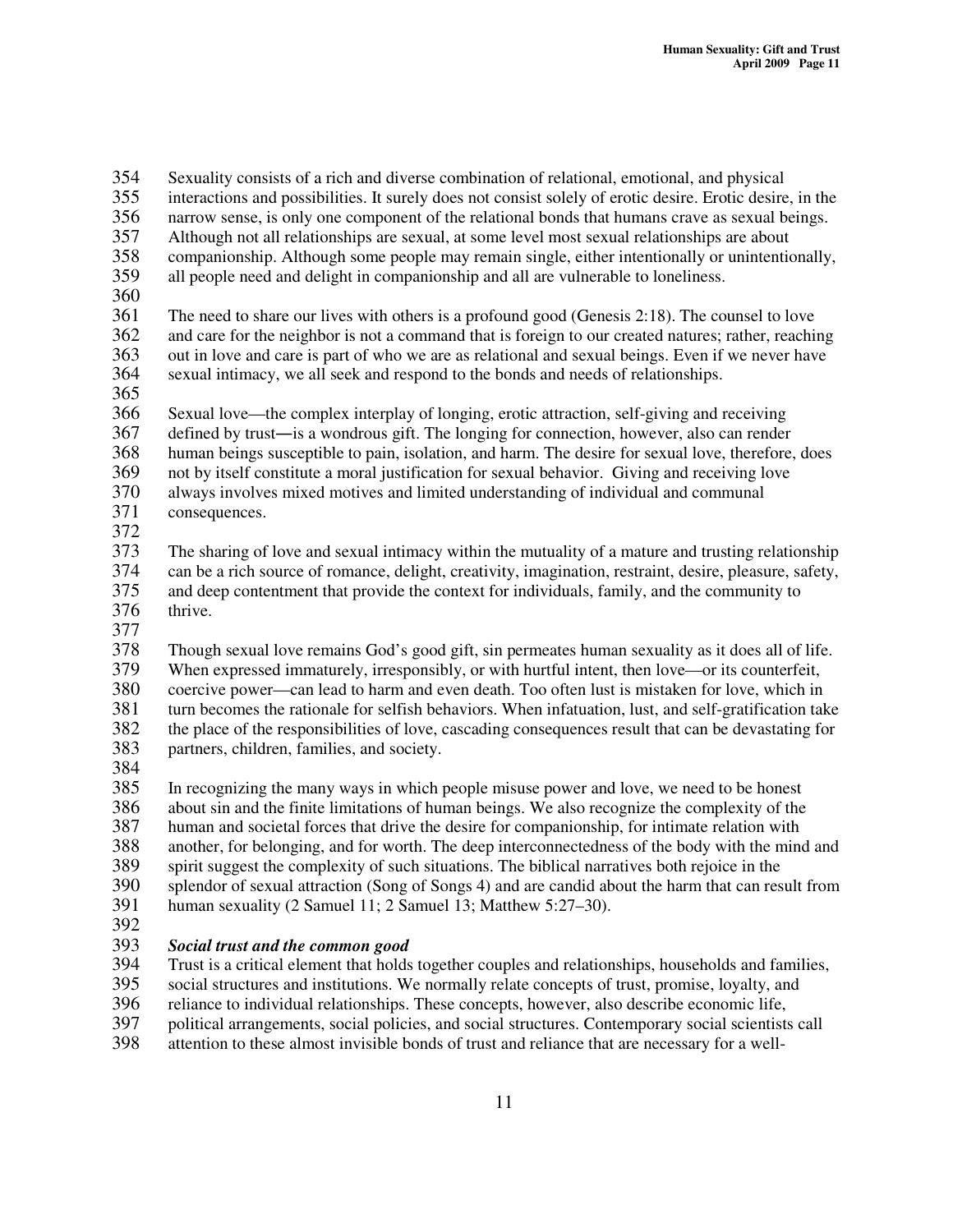354 Sexuality consists of a rich and diverse combination of relational, emotional, and physical 355 interactions and possibilities. It surely does not consist solely of erotic desire. Erotic desire, in the 356 narrow sense, is only one component of the relational bonds that humans crave as sexual beings. 357 Although not all relationships are sexual, at some level most sexual relationships are about 358 companionship. Although some people may remain single, either intentionally or unintentionally, 359 all people need and delight in companionship and all are vulnerable to loneliness. 360 361 The need to share our lives with others is a profound good (Genesis 2:18). The counsel to love<br>362 and care for the neighbor is not a command that is foreign to our created natures; rather, reaching and care for the neighbor is not a command that is foreign to our created natures; rather, reaching 363 out in love and care is part of who we are as relational and sexual beings. Even if we never have 364 sexual intimacy, we all seek and respond to the bonds and needs of relationships. 365 366 Sexual love—the complex interplay of longing, erotic attraction, self-giving and receiving<br>367 defined by trust—is a wondrous gift. The longing for connection, however, also can render 367 defined by trust—is a wondrous gift. The longing for connection, however, also can render<br>368 human beings susceptible to pain, isolation, and harm. The desire for sexual love, therefore, 368 human beings susceptible to pain, isolation, and harm. The desire for sexual love, therefore, does not by itself constitute a moral iustification for sexual behavior. Giving and receiving love 369 not by itself constitute a moral justification for sexual behavior. Giving and receiving love 370 always involves mixed motives and limited understanding of individual and communal 371 consequences. 372 373 The sharing of love and sexual intimacy within the mutuality of a mature and trusting relationship 374 can be a rich source of romance, delight, creativity, imagination, restraint, desire, pleasure, safety, and deep contentment that provide the context for individuals, family, and the community to 375 and deep contentment that provide the context for individuals, family, and the community to thrive. thrive. 377 378 Though sexual love remains God's good gift, sin permeates human sexuality as it does all of life. 379 When expressed immaturely, irresponsibly, or with hurtful intent, then love—or its counterfeit, 380 coercive power—can lead to harm and even death. Too often lust is mistaken for love, which in 381 turn becomes the rationale for selfish behaviors. When infatuation, lust, and self-gratification take the place of the responsibilities of love, cascading consequences result that can be devastating for 382 the place of the responsibilities of love, cascading consequences result that can be devastating for nartners, children, families, and society. partners, children, families, and society. 384<br>385 In recognizing the many ways in which people misuse power and love, we need to be honest

386 about sin and the finite limitations of human beings. We also recognize the complexity of the 387 human and societal forces that drive the desire for companionship, for intimate relation with 388 another, for belonging, and for worth. The deep interconnectedness of the body with the mind and 389 spirit suggest the complexity of such situations. The biblical narratives both rejoice in the<br>390 splendor of sexual attraction (Song of Songs 4) and are candid about the harm that can res 390 splendor of sexual attraction (Song of Songs 4) and are candid about the harm that can result from<br>391 human sexuality (2 Samuel 11; 2 Samuel 13; Matthew 5:27–30). human sexuality (2 Samuel 11; 2 Samuel 13; Matthew 5:27–30).

392<br>393

# 393 *Social trust and the common good*

394 Trust is a critical element that holds together couples and relationships, households and families, social structures and institutions. We normally relate concepts of trust, promise, loyalty, and

social structures and institutions. We normally relate concepts of trust, promise, loyalty, and

396 reliance to individual relationships. These concepts, however, also describe economic life,

397 political arrangements, social policies, and social structures. Contemporary social scientists call<br>398 attention to these almost invisible bonds of trust and reliance that are necessary for a well-

attention to these almost invisible bonds of trust and reliance that are necessary for a well-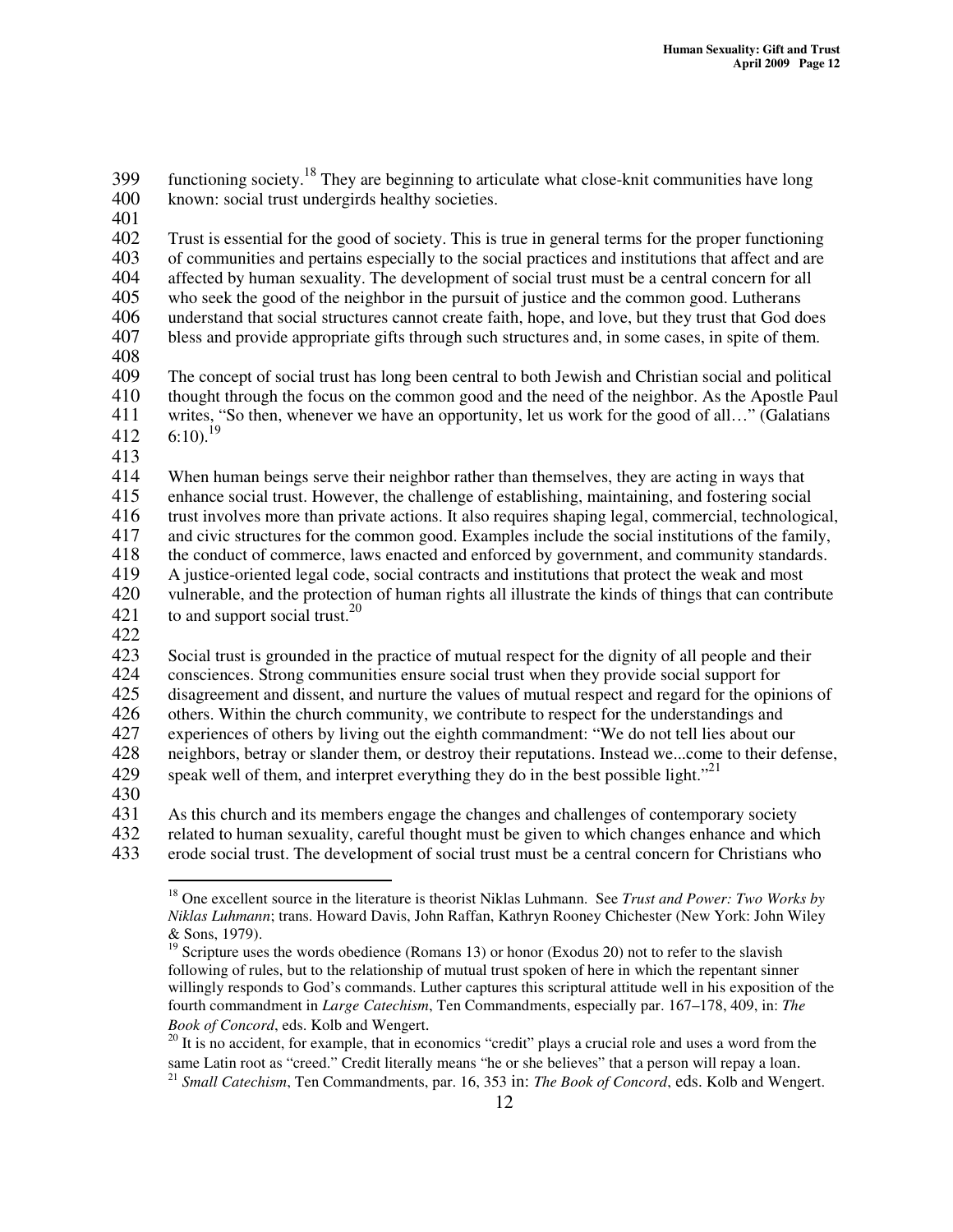399 functioning society.<sup>18</sup> They are beginning to articulate what close-knit communities have long 400 known: social trust undergirds healthy societies. 401 402 Trust is essential for the good of society. This is true in general terms for the proper functioning of communities and pertains especially to the social practices and institutions that affect and are 403 of communities and pertains especially to the social practices and institutions that affect and are 404 affected by human sexuality. The development of social trust must be a central concern for all 405 who seek the good of the neighbor in the pursuit of justice and the common good. Lutherans 406 understand that social structures cannot create faith, hope, and love, but they trust that God does 407 bless and provide appropriate gifts through such structures and, in some cases, in spite of them. 408<br>409 409 The concept of social trust has long been central to both Jewish and Christian social and political thought through the focus on the common good and the need of the neighbor. As the Apostle Paul 410 thought through the focus on the common good and the need of the neighbor. As the Apostle Paul 411 writes, "So then, whenever we have an opportunity, let us work for the good of all…" (Galatians  $6:10.19$ 412 413<br>414 414 When human beings serve their neighbor rather than themselves, they are acting in ways that enhance social trust. However, the challenge of establishing, maintaining, and fostering social 415 enhance social trust. However, the challenge of establishing, maintaining, and fostering social 416 trust involves more than private actions. It also requires shaping legal, commercial, technological, 417 and civic structures for the common good. Examples include the social institutions of the family, 418 the conduct of commerce, laws enacted and enforced by government, and community standards.<br>419 A justice-oriented legal code, social contracts and institutions that protect the weak and most A justice-oriented legal code, social contracts and institutions that protect the weak and most 420 vulnerable, and the protection of human rights all illustrate the kinds of things that can contribute to and support social trust.<sup>20</sup> 421 422 423 Social trust is grounded in the practice of mutual respect for the dignity of all people and their 424 consciences. Strong communities ensure social trust when they provide social support for<br>425 disagreement and dissent, and nurture the values of mutual respect and regard for the opin

425 disagreement and dissent, and nurture the values of mutual respect and regard for the opinions of others. Within the church community, we contribute to respect for the understandings and

426 others. Within the church community, we contribute to respect for the understandings and experiences of others by living out the eighth commandment: "We do not tell lies about ou 427 experiences of others by living out the eighth commandment: "We do not tell lies about our<br>428 eighbors, betray or slander them, or destroy their reputations. Instead we...come to their def

428 neighbors, betray or slander them, or destroy their reputations. Instead we...come to their defense,

speak well of them, and interpret everything they do in the best possible light."<sup>21</sup> 429

430

431 As this church and its members engage the changes and challenges of contemporary society

432 related to human sexuality, careful thought must be given to which changes enhance and which

433 erode social trust. The development of social trust must be a central concern for Christians who

<sup>18</sup> One excellent source in the literature is theorist Niklas Luhmann. See *Trust and Power: Two Works by Niklas Luhmann*; trans. Howard Davis, John Raffan, Kathryn Rooney Chichester (New York: John Wiley & Sons, 1979).

<sup>&</sup>lt;sup>19</sup> Scripture uses the words obedience (Romans 13) or honor (Exodus 20) not to refer to the slavish following of rules, but to the relationship of mutual trust spoken of here in which the repentant sinner willingly responds to God's commands. Luther captures this scriptural attitude well in his exposition of the fourth commandment in *Large Catechism*, Ten Commandments, especially par. 167–178, 409, in: *The Book of Concord*, eds. Kolb and Wengert.

<sup>&</sup>lt;sup>20</sup> It is no accident, for example, that in economics "credit" plays a crucial role and uses a word from the same Latin root as "creed." Credit literally means "he or she believes" that a person will repay a loan. 21 *Small Catechism*, Ten Commandments, par. 16, 353 in: *The Book of Concord*, eds. Kolb and Wengert.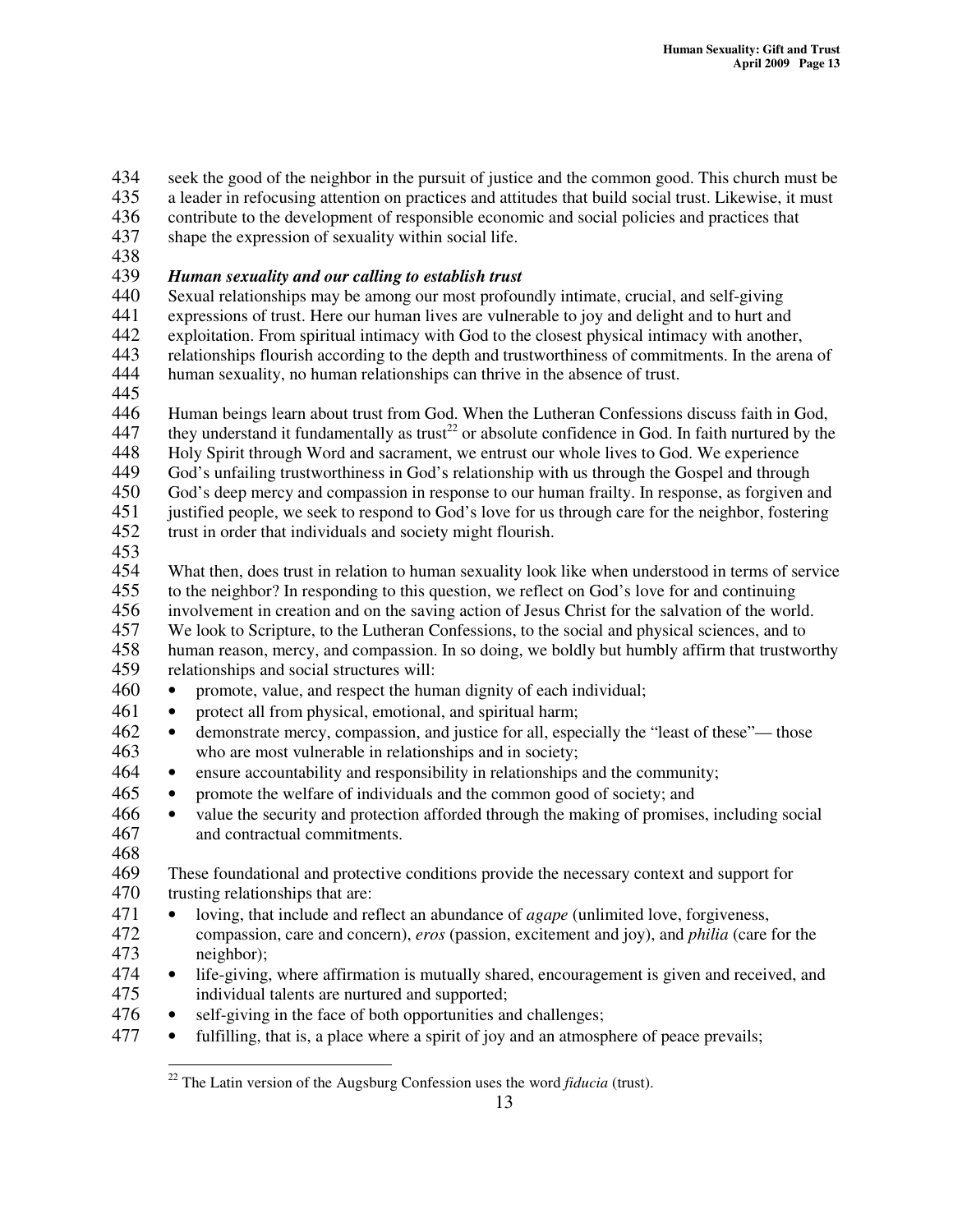seek the good of the neighbor in the pursuit of justice and the common good. This church must be a leader in refocusing attention on practices and attitudes that build social trust. Likewise, it must

a leader in refocusing attention on practices and attitudes that build social trust. Likewise, it must

436 contribute to the development of responsible economic and social policies and practices that

- 437 shape the expression of sexuality within social life.
- 438

# 439 *Human sexuality and our calling to establish trust*

440 Sexual relationships may be among our most profoundly intimate, crucial, and self-giving<br>441 expressions of trust. Here our human lives are vulnerable to joy and delight and to hurt and

441 expressions of trust. Here our human lives are vulnerable to joy and delight and to hurt and<br>442 exploitation. From spiritual intimacy with God to the closest physical intimacy with another

exploitation. From spiritual intimacy with God to the closest physical intimacy with another,

443 relationships flourish according to the depth and trustworthiness of commitments. In the arena of 444 human sexuality, no human relationships can thrive in the absence of trust.

445

446 Human beings learn about trust from God. When the Lutheran Confessions discuss faith in God, they understand it fundamentally as trust<sup>22</sup> or absolute confidence in God. In faith nurtured by the

447 they understand it fundamentally as trust<sup>22</sup> or absolute confidence in God. In faith nurtured by the

448 Holy Spirit through Word and sacrament, we entrust our whole lives to God. We experience 449 God's unfailing trustworthiness in God's relationship with us through the Gospel and through God's unfailing trustworthiness in God's relationship with us through the Gospel and through

450 God's deep mercy and compassion in response to our human frailty. In response, as forgiven and

451 justified people, we seek to respond to God's love for us through care for the neighbor, fostering trust in order that individuals and society might flourish. trust in order that individuals and society might flourish.

453

454 What then, does trust in relation to human sexuality look like when understood in terms of service<br>455 to the neighbor? In responding to this question, we reflect on God's love for and continuing

455 to the neighbor? In responding to this question, we reflect on God's love for and continuing<br>456 involvement in creation and on the saving action of Jesus Christ for the salvation of the worl

456 involvement in creation and on the saving action of Jesus Christ for the salvation of the world.<br>457 We look to Scripture, to the Lutheran Confessions, to the social and physical sciences, and to We look to Scripture, to the Lutheran Confessions, to the social and physical sciences, and to

458 human reason, mercy, and compassion. In so doing, we boldly but humbly affirm that trustworthy<br>459 relationships and social structures will: relationships and social structures will:

- 460 promote, value, and respect the human dignity of each individual;
- 461 protect all from physical, emotional, and spiritual harm;
- 462 demonstrate mercy, compassion, and justice for all, especially the "least of these"— those 463 who are most vulnerable in relationships and in society;
- 464 ensure accountability and responsibility in relationships and the community;
- 465 promote the welfare of individuals and the common good of society; and
- 466 value the security and protection afforded through the making of promises, including social 467 and contractual commitments.
- 468

469 These foundational and protective conditions provide the necessary context and support for 470 trusting relationships that are:

471 • loving, that include and reflect an abundance of *agape* (unlimited love, forgiveness, compassion, care and concern), *eros* (passion, excitement and joy), and *philia* (care) 472 compassion, care and concern), *eros* (passion, excitement and joy), and *philia* (care for the neighbor);

<sup>474</sup> • life-giving, where affirmation is mutually shared, encouragement is given and received, and individual talents are nurtured and supported; individual talents are nurtured and supported;

- 476 self-giving in the face of both opportunities and challenges;
- 477 fulfilling, that is, a place where a spirit of joy and an atmosphere of peace prevails;

<sup>22</sup> The Latin version of the Augsburg Confession uses the word *fiducia* (trust).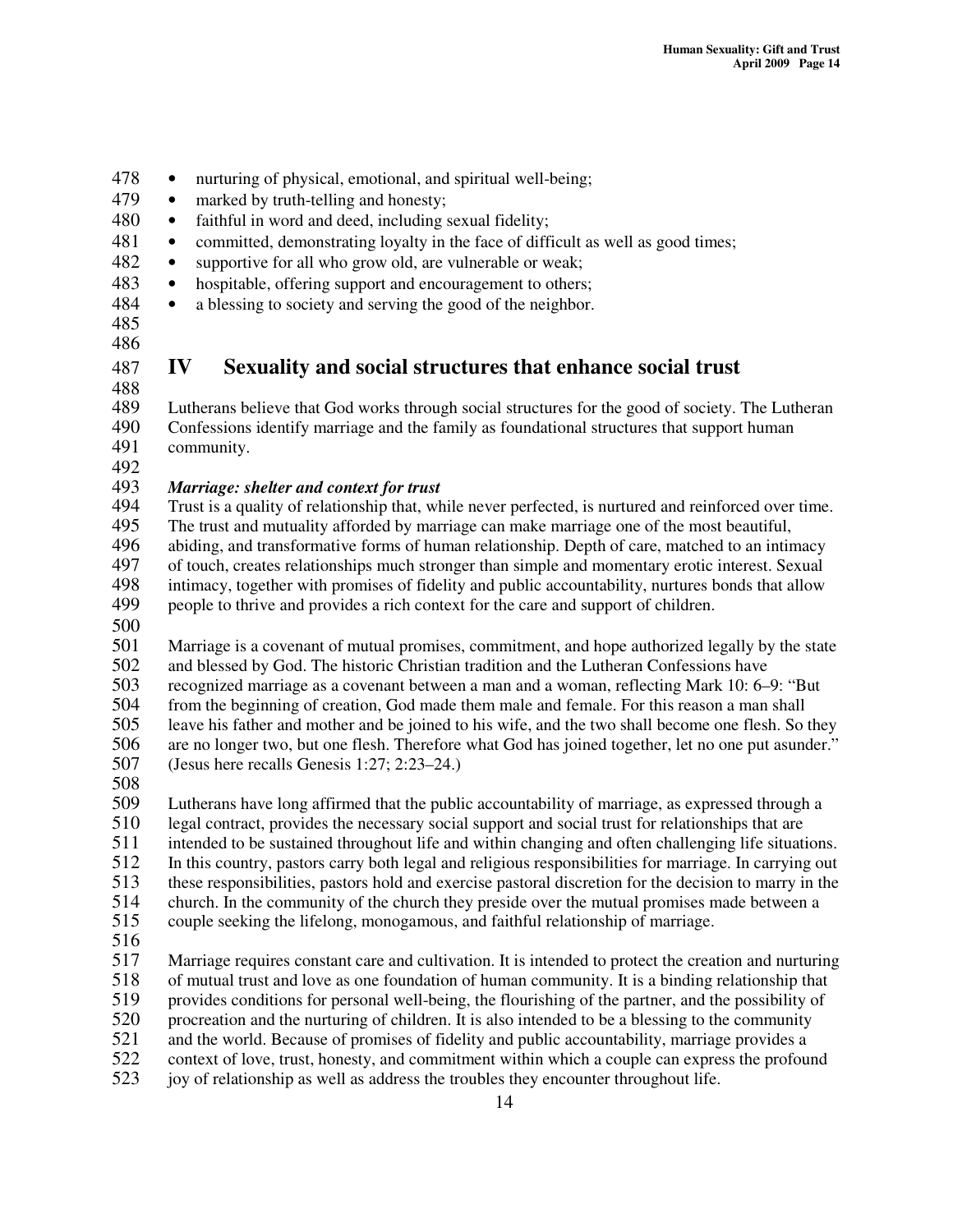- 478 nurturing of physical, emotional, and spiritual well-being;
- 479 marked by truth-telling and honesty;
- 480 faithful in word and deed, including sexual fidelity;
- 481 committed, demonstrating loyalty in the face of difficult as well as good times;
- 482 supportive for all who grow old, are vulnerable or weak;
- 483 hospitable, offering support and encouragement to others;
- 484 a blessing to society and serving the good of the neighbor.
- 485
- 486
- 

# 487 **IV Sexuality and social structures that enhance social trust**

- 488 489 Lutherans believe that God works through social structures for the good of society. The Lutheran<br>490 Confessions identify marriage and the family as foundational structures that support human
- 490 Confessions identify marriage and the family as foundational structures that support human<br>491 community. community.
- 492<br>493

# 493 *Marriage: shelter and context for trust*

- Trust is a quality of relationship that, while never perfected, is nurtured and reinforced over time. 495 The trust and mutuality afforded by marriage can make marriage one of the most beautiful, 496 abiding, and transformative forms of human relationship. Depth of care, matched to an intimacy<br>497 of touch, creates relationships much stronger than simple and momentary erotic interest. Sexual 497 of touch, creates relationships much stronger than simple and momentary erotic interest. Sexual 498 intimacy, together with promises of fidelity and public accountability, nurtures bonds that allow
- 499 people to thrive and provides a rich context for the care and support of children.
- 500

501 Marriage is a covenant of mutual promises, commitment, and hope authorized legally by the state 502 and blessed by God. The historic Christian tradition and the Lutheran Confessions have<br>503 recognized marriage as a covenant between a man and a woman, reflecting Mark 10: 6– 503 recognized marriage as a covenant between a man and a woman, reflecting Mark 10: 6–9: "But from the beginning of creation. God made them male and female. For this reason a man shall 504 from the beginning of creation, God made them male and female. For this reason a man shall<br>505 leave his father and mother and be ioined to his wife, and the two shall become one flesh. So leave his father and mother and be joined to his wife, and the two shall become one flesh. So they 506 are no longer two, but one flesh. Therefore what God has joined together, let no one put asunder."<br>507 (Jesus here recalls Genesis 1:27: 2:23–24.)  $(Jeusus here recalls Genesis 1:27: 2:23–24.)$ 

508

509 Lutherans have long affirmed that the public accountability of marriage, as expressed through a<br>510 legal contract, provides the necessary social support and social trust for relationships that are

510 legal contract, provides the necessary social support and social trust for relationships that are<br>511 intended to be sustained throughout life and within changing and often challenging life situations

- 511 intended to be sustained throughout life and within changing and often challenging life situations.<br>512 In this country, pastors carry both legal and religious responsibilities for marriage. In carrying out
- 512 In this country, pastors carry both legal and religious responsibilities for marriage. In carrying out

513 these responsibilities, pastors hold and exercise pastoral discretion for the decision to marry in the

514 church. In the community of the church they preside over the mutual promises made between a

515 couple seeking the lifelong, monogamous, and faithful relationship of marriage.

516<br>517

517 Marriage requires constant care and cultivation. It is intended to protect the creation and nurturing<br>518 of mutual trust and love as one foundation of human community. It is a binding relationship that

518 of mutual trust and love as one foundation of human community. It is a binding relationship that provides conditions for personal well-being, the flourishing of the partner, and the possibility of 519 provides conditions for personal well-being, the flourishing of the partner, and the possibility of

520 procreation and the nurturing of children. It is also intended to be a blessing to the community

521 and the world. Because of promises of fidelity and public accountability, marriage provides a

- 522 context of love, trust, honesty, and commitment within which a couple can express the profound
- 523 joy of relationship as well as address the troubles they encounter throughout life.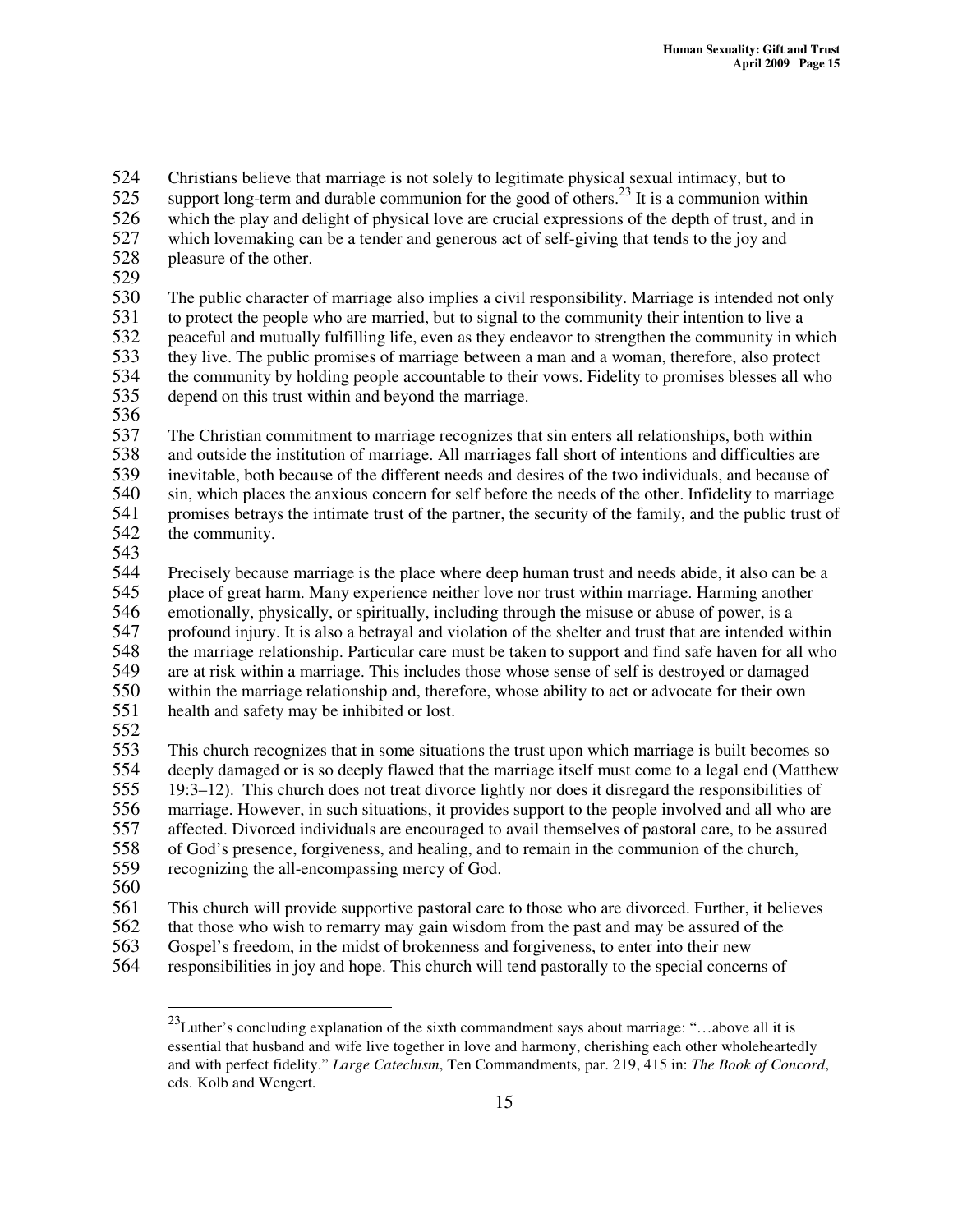524 Christians believe that marriage is not solely to legitimate physical sexual intimacy, but to support long-term and durable communion for the good of others.<sup>23</sup> It is a communion with

525 support long-term and durable communion for the good of others.<sup>23</sup> It is a communion within

- 526 which the play and delight of physical love are crucial expressions of the depth of trust, and in<br>527 which lovemaking can be a tender and generous act of self-giving that tends to the joy and
- 527 which lovemaking can be a tender and generous act of self-giving that tends to the joy and pleasure of the other. pleasure of the other.
- 529

530 The public character of marriage also implies a civil responsibility. Marriage is intended not only 531 to protect the people who are married, but to signal to the community their intention to live a<br>532 eaceful and mutually fulfilling life, even as they endeavor to strengthen the community in w 532 peaceful and mutually fulfilling life, even as they endeavor to strengthen the community in which 533 they live. The public promises of marriage between a man and a woman, therefore, also protect the community by holding people accountable to their vows. Fidelity to promises blesses all wh 534 the community by holding people accountable to their vows. Fidelity to promises blesses all who<br>535 depend on this trust within and beyond the marriage. depend on this trust within and beyond the marriage.

536

 The Christian commitment to marriage recognizes that sin enters all relationships, both within and outside the institution of marriage. All marriages fall short of intentions and difficulties are inevitable, both because of the different needs and desires of the two individuals, and because of sin, which places the anxious concern for self before the needs of the other. Infidelity to marriage 541 promises betrays the intimate trust of the partner, the security of the family, and the public trust of the community. the community.

543

544 Precisely because marriage is the place where deep human trust and needs abide, it also can be a 545 place of great harm. Many experience neither love nor trust within marriage. Harming another 546 emotionally, physically, or spiritually, including through the misuse or abuse of power, is a 547 profound injury. It is also a betrayal and violation of the shelter and trust that are intended within<br>548 the marriage relationship. Particular care must be taken to support and find safe haven for all who 548 the marriage relationship. Particular care must be taken to support and find safe haven for all who<br>549 are at risk within a marriage. This includes those whose sense of self is destroyed or damaged 549 are at risk within a marriage. This includes those whose sense of self is destroyed or damaged<br>550 within the marriage relationship and, therefore, whose ability to act or advocate for their own 550 within the marriage relationship and, therefore, whose ability to act or advocate for their own<br>551 health and safety may be inhibited or lost. health and safety may be inhibited or lost.

552

553 This church recognizes that in some situations the trust upon which marriage is built becomes so deeply damaged or is so deeply flawed that the marriage itself must come to a legal end (Matthew deeply damaged or is so deeply flawed that the marriage itself must come to a legal end (Matthew 555 19:3–12). This church does not treat divorce lightly nor does it disregard the responsibilities of 556 marriage. However, in such situations, it provides support to the people involved and all who are<br>557 affected. Divorced individuals are encouraged to avail themselves of pastoral care, to be assured 557 affected. Divorced individuals are encouraged to avail themselves of pastoral care, to be assured<br>558 of God's presence, forgiveness, and healing, and to remain in the communion of the church, 558 of God's presence, forgiveness, and healing, and to remain in the communion of the church, 559 recognizing the all-encompassing mercy of God.

560

561 This church will provide supportive pastoral care to those who are divorced. Further, it believes that those who wish to remarry may gain wisdom from the past and may be assured of the

562 that those who wish to remarry may gain wisdom from the past and may be assured of the

563 Gospel's freedom, in the midst of brokenness and forgiveness, to enter into their new<br>564 responsibilities in joy and hope. This church will tend pastorally to the special concern

responsibilities in joy and hope. This church will tend pastorally to the special concerns of

<sup>&</sup>lt;sup>23</sup>Luther's concluding explanation of the sixth commandment says about marriage: "...above all it is essential that husband and wife live together in love and harmony, cherishing each other wholeheartedly and with perfect fidelity." *Large Catechism*, Ten Commandments, par. 219, 415 in: *The Book of Concord*, eds. Kolb and Wengert.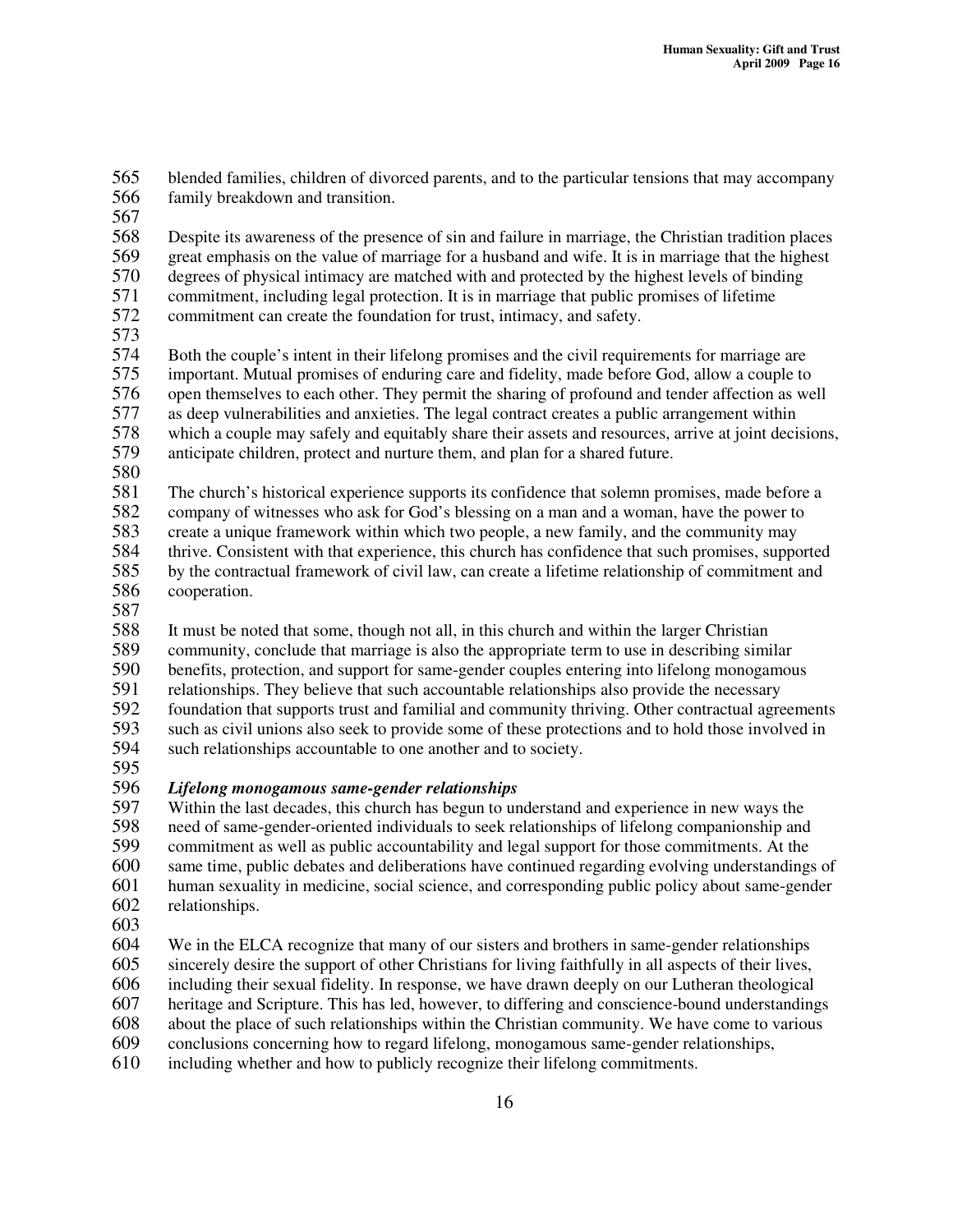565 blended families, children of divorced parents, and to the particular tensions that may accompany<br>566 family breakdown and transition. family breakdown and transition.

567

568 Despite its awareness of the presence of sin and failure in marriage, the Christian tradition places 569 great emphasis on the value of marriage for a husband and wife. It is in marriage that the highest 570 degrees of physical intimacy are matched with and protected by the highest levels of binding<br>571 commitment, including legal protection. It is in marriage that public promises of lifetime 571 commitment, including legal protection. It is in marriage that public promises of lifetime<br>572 commitment can create the foundation for trust, intimacy, and safety. commitment can create the foundation for trust, intimacy, and safety.

573

574 Both the couple's intent in their lifelong promises and the civil requirements for marriage are<br>575 important. Mutual promises of enduring care and fidelity, made before God, allow a couple to 575 important. Mutual promises of enduring care and fidelity, made before God, allow a couple to<br>576 open themselves to each other. They permit the sharing of profound and tender affection as we 576 open themselves to each other. They permit the sharing of profound and tender affection as well 577 as deep vulnerabilities and anxieties. The legal contract creates a public arrangement within<br>578 which a couple may safely and equitably share their assets and resources, arrive at joint deci-578 which a couple may safely and equitably share their assets and resources, arrive at joint decisions,<br>579 anticipate children, protect and nurture them, and plan for a shared future. anticipate children, protect and nurture them, and plan for a shared future.

580<br>581

The church's historical experience supports its confidence that solemn promises, made before a

582 company of witnesses who ask for God's blessing on a man and a woman, have the power to create a unique framework within which two people, a new family, and the community may

583 create a unique framework within which two people, a new family, and the community may

- 584 thrive. Consistent with that experience, this church has confidence that such promises, supported 585 by the contractual framework of civil law, can create a lifetime relationship of commitment and cooperation. cooperation.
- 

587<br>588 It must be noted that some, though not all, in this church and within the larger Christian 589 community, conclude that marriage is also the appropriate term to use in describing similar<br>590 benefits, protection, and support for same-gender couples entering into lifelong monogamou 590 benefits, protection, and support for same-gender couples entering into lifelong monogamous<br>591 relationships. They believe that such accountable relationships also provide the necessary relationships. They believe that such accountable relationships also provide the necessary 592 foundation that supports trust and familial and community thriving. Other contractual agreements<br>593 such as civil unions also seek to provide some of these protections and to hold those involved in 593 such as civil unions also seek to provide some of these protections and to hold those involved in such relationships accountable to one another and to society.

such relationships accountable to one another and to society.

595<br>596

# 596 *Lifelong monogamous same-gender relationships*

Within the last decades, this church has begun to understand and experience in new ways the 598 need of same-gender-oriented individuals to seek relationships of lifelong companionship and<br>599 commitment as well as public accountability and legal support for those commitments. At the 599 commitment as well as public accountability and legal support for those commitments. At the 600 same time, public debates and deliberations have continued regarding evolving understandings of<br>601 human sexuality in medicine, social science, and corresponding public policy about same-gender human sexuality in medicine, social science, and corresponding public policy about same-gender

- 602 relationships.
- 603

604 We in the ELCA recognize that many of our sisters and brothers in same-gender relationships 605 sincerely desire the support of other Christians for living faithfully in all aspects of their lives,

606 including their sexual fidelity. In response, we have drawn deeply on our Lutheran theological

607 heritage and Scripture. This has led, however, to differing and conscience-bound understandings

608 about the place of such relationships within the Christian community. We have come to various conclusions concerning how to regard lifelong, monogamous same-gender relationships,

609 conclusions concerning how to regard lifelong, monogamous same-gender relationships,<br>610 including whether and how to publicly recognize their lifelong commitments. including whether and how to publicly recognize their lifelong commitments.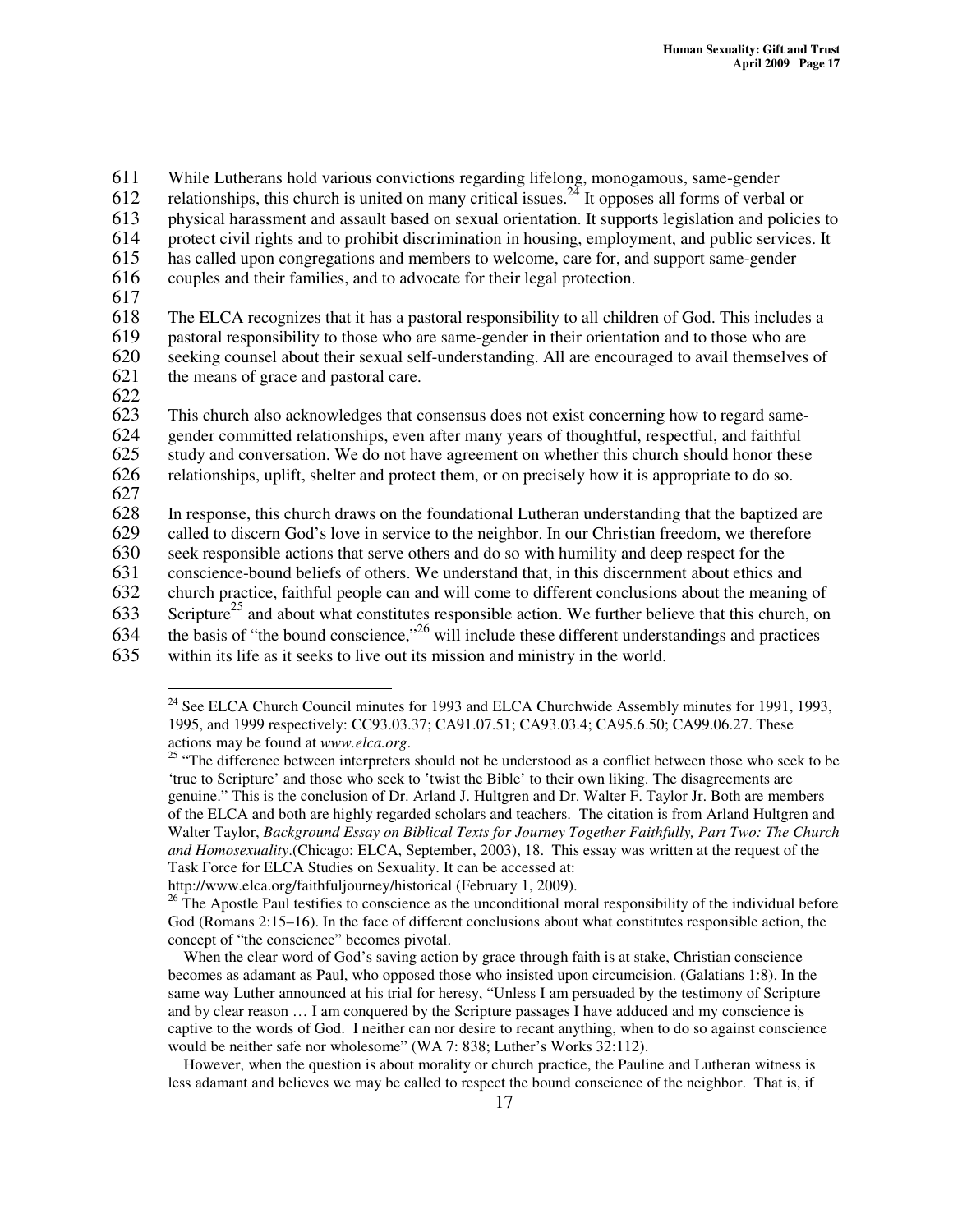611 While Lutherans hold various convictions regarding lifelong, monogamous, same-gender 612 relationships, this church is united on many critical issues.<sup>24</sup> It opposes all forms of verbal or

613 physical harassment and assault based on sexual orientation. It supports legislation and policies to

- 614 protect civil rights and to prohibit discrimination in housing, employment, and public services. It has called upon congregations and members to welcome, care for, and support same-gender has called upon congregations and members to welcome, care for, and support same-gender
- 616 couples and their families, and to advocate for their legal protection.
- 617

618 The ELCA recognizes that it has a pastoral responsibility to all children of God. This includes a 619 pastoral responsibility to those who are same-gender in their orientation and to those who are 620 seeking counsel about their sexual self-understanding. All are encouraged to avail themselves of the means of grace and pastoral care. the means of grace and pastoral care.

622<br>623 This church also acknowledges that consensus does not exist concerning how to regard same-

624 gender committed relationships, even after many years of thoughtful, respectful, and faithful

625 study and conversation. We do not have agreement on whether this church should honor these

626 relationships, uplift, shelter and protect them, or on precisely how it is appropriate to do so.

627

628 In response, this church draws on the foundational Lutheran understanding that the baptized are called to discern God's love in service to the neighbor. In our Christian freedom, we therefore

called to discern God's love in service to the neighbor. In our Christian freedom, we therefore

630 seek responsible actions that serve others and do so with humility and deep respect for the

631 conscience-bound beliefs of others. We understand that, in this discernment about ethics and

632 church practice, faithful people can and will come to different conclusions about the meaning of

- 633 Scripture<sup>25</sup> and about what constitutes responsible action. We further believe that this church, on
- 634 the basis of "the bound conscience,"  $^{26}$  will include these different understandings and practices
- 635 within its life as it seeks to live out its mission and ministry in the world.

http://www.elca.org/faithfuljourney/historical (February 1, 2009).

When the clear word of God's saving action by grace through faith is at stake, Christian conscience becomes as adamant as Paul, who opposed those who insisted upon circumcision. (Galatians 1:8). In the same way Luther announced at his trial for heresy, "Unless I am persuaded by the testimony of Scripture and by clear reason … I am conquered by the Scripture passages I have adduced and my conscience is captive to the words of God. I neither can nor desire to recant anything, when to do so against conscience would be neither safe nor wholesome" (WA 7: 838; Luther's Works 32:112).

However, when the question is about morality or church practice, the Pauline and Lutheran witness is less adamant and believes we may be called to respect the bound conscience of the neighbor. That is, if

<sup>&</sup>lt;sup>24</sup> See ELCA Church Council minutes for 1993 and ELCA Churchwide Assembly minutes for 1991, 1993, 1995, and 1999 respectively: CC93.03.37; CA91.07.51; CA93.03.4; CA95.6.50; CA99.06.27. These actions may be found at *www.elca.org*.

<sup>&</sup>lt;sup>25</sup> "The difference between interpreters should not be understood as a conflict between those who seek to be 'true to Scripture' and those who seek to 'twist the Bible' to their own liking. The disagreements are genuine." This is the conclusion of Dr. Arland J. Hultgren and Dr. Walter F. Taylor Jr. Both are members of the ELCA and both are highly regarded scholars and teachers. The citation is from Arland Hultgren and Walter Taylor, *Background Essay on Biblical Texts for Journey Together Faithfully, Part Two: The Church and Homosexuality*.(Chicago: ELCA, September, 2003), 18. This essay was written at the request of the Task Force for ELCA Studies on Sexuality. It can be accessed at:

 $26$  The Apostle Paul testifies to conscience as the unconditional moral responsibility of the individual before God (Romans 2:15–16). In the face of different conclusions about what constitutes responsible action, the concept of "the conscience" becomes pivotal.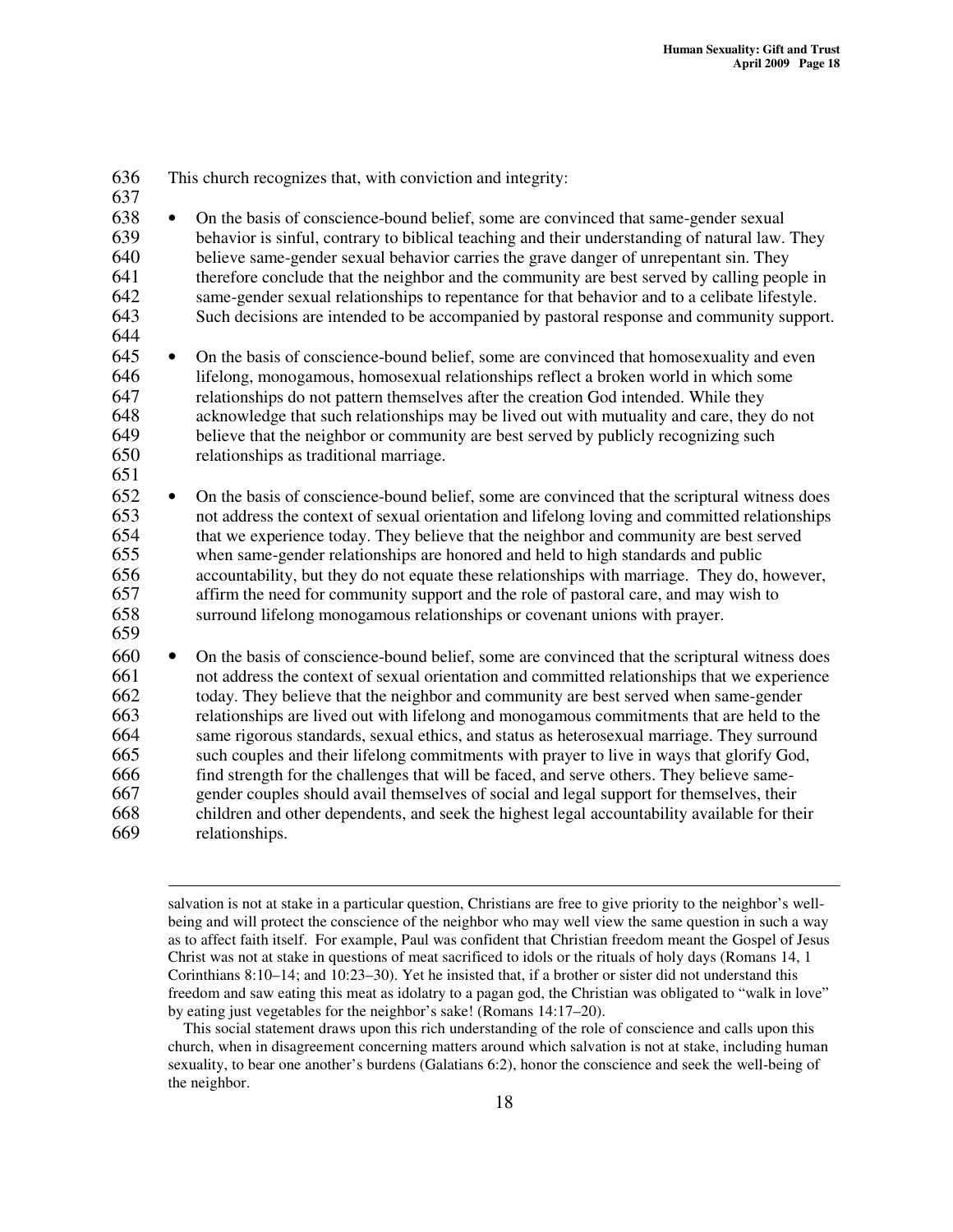| 636<br>637                                                         | This church recognizes that, with conviction and integrity:                                                                                                                                                                                                                                                                                                                                                                                                                                                                                                                                                                                                                                                                                                                                                                                                                                          |
|--------------------------------------------------------------------|------------------------------------------------------------------------------------------------------------------------------------------------------------------------------------------------------------------------------------------------------------------------------------------------------------------------------------------------------------------------------------------------------------------------------------------------------------------------------------------------------------------------------------------------------------------------------------------------------------------------------------------------------------------------------------------------------------------------------------------------------------------------------------------------------------------------------------------------------------------------------------------------------|
| 638                                                                | On the basis of conscience-bound belief, some are convinced that same-gender sexual                                                                                                                                                                                                                                                                                                                                                                                                                                                                                                                                                                                                                                                                                                                                                                                                                  |
| 639                                                                | $\bullet$                                                                                                                                                                                                                                                                                                                                                                                                                                                                                                                                                                                                                                                                                                                                                                                                                                                                                            |
| 640                                                                | behavior is sinful, contrary to biblical teaching and their understanding of natural law. They                                                                                                                                                                                                                                                                                                                                                                                                                                                                                                                                                                                                                                                                                                                                                                                                       |
| 641                                                                | believe same-gender sexual behavior carries the grave danger of unrepentant sin. They                                                                                                                                                                                                                                                                                                                                                                                                                                                                                                                                                                                                                                                                                                                                                                                                                |
| 642                                                                | therefore conclude that the neighbor and the community are best served by calling people in                                                                                                                                                                                                                                                                                                                                                                                                                                                                                                                                                                                                                                                                                                                                                                                                          |
| 643                                                                | same-gender sexual relationships to repentance for that behavior and to a celibate lifestyle.                                                                                                                                                                                                                                                                                                                                                                                                                                                                                                                                                                                                                                                                                                                                                                                                        |
| 644                                                                | Such decisions are intended to be accompanied by pastoral response and community support.                                                                                                                                                                                                                                                                                                                                                                                                                                                                                                                                                                                                                                                                                                                                                                                                            |
| 645                                                                | On the basis of conscience-bound belief, some are convinced that homosexuality and even                                                                                                                                                                                                                                                                                                                                                                                                                                                                                                                                                                                                                                                                                                                                                                                                              |
| 646                                                                | $\bullet$                                                                                                                                                                                                                                                                                                                                                                                                                                                                                                                                                                                                                                                                                                                                                                                                                                                                                            |
| 647                                                                | lifelong, monogamous, homosexual relationships reflect a broken world in which some                                                                                                                                                                                                                                                                                                                                                                                                                                                                                                                                                                                                                                                                                                                                                                                                                  |
| 648                                                                | relationships do not pattern themselves after the creation God intended. While they                                                                                                                                                                                                                                                                                                                                                                                                                                                                                                                                                                                                                                                                                                                                                                                                                  |
| 649                                                                | acknowledge that such relationships may be lived out with mutuality and care, they do not                                                                                                                                                                                                                                                                                                                                                                                                                                                                                                                                                                                                                                                                                                                                                                                                            |
| 650                                                                | believe that the neighbor or community are best served by publicly recognizing such                                                                                                                                                                                                                                                                                                                                                                                                                                                                                                                                                                                                                                                                                                                                                                                                                  |
| 651                                                                | relationships as traditional marriage.                                                                                                                                                                                                                                                                                                                                                                                                                                                                                                                                                                                                                                                                                                                                                                                                                                                               |
| 652                                                                | On the basis of conscience-bound belief, some are convinced that the scriptural witness does                                                                                                                                                                                                                                                                                                                                                                                                                                                                                                                                                                                                                                                                                                                                                                                                         |
| 653                                                                | $\bullet$                                                                                                                                                                                                                                                                                                                                                                                                                                                                                                                                                                                                                                                                                                                                                                                                                                                                                            |
| 654                                                                | not address the context of sexual orientation and lifelong loving and committed relationships                                                                                                                                                                                                                                                                                                                                                                                                                                                                                                                                                                                                                                                                                                                                                                                                        |
| 655                                                                | that we experience today. They believe that the neighbor and community are best served                                                                                                                                                                                                                                                                                                                                                                                                                                                                                                                                                                                                                                                                                                                                                                                                               |
| 656                                                                | when same-gender relationships are honored and held to high standards and public                                                                                                                                                                                                                                                                                                                                                                                                                                                                                                                                                                                                                                                                                                                                                                                                                     |
| 657                                                                | accountability, but they do not equate these relationships with marriage. They do, however,                                                                                                                                                                                                                                                                                                                                                                                                                                                                                                                                                                                                                                                                                                                                                                                                          |
| 658                                                                | affirm the need for community support and the role of pastoral care, and may wish to                                                                                                                                                                                                                                                                                                                                                                                                                                                                                                                                                                                                                                                                                                                                                                                                                 |
| 659                                                                | surround lifelong monogamous relationships or covenant unions with prayer.                                                                                                                                                                                                                                                                                                                                                                                                                                                                                                                                                                                                                                                                                                                                                                                                                           |
| 660<br>661<br>662<br>663<br>664<br>665<br>666<br>667<br>668<br>669 | On the basis of conscience-bound belief, some are convinced that the scriptural witness does<br>$\bullet$<br>not address the context of sexual orientation and committed relationships that we experience<br>today. They believe that the neighbor and community are best served when same-gender<br>relationships are lived out with lifelong and monogamous commitments that are held to the<br>same rigorous standards, sexual ethics, and status as heterosexual marriage. They surround<br>such couples and their lifelong commitments with prayer to live in ways that glorify God,<br>find strength for the challenges that will be faced, and serve others. They believe same-<br>gender couples should avail themselves of social and legal support for themselves, their<br>children and other dependents, and seek the highest legal accountability available for their<br>relationships. |

salvation is not at stake in a particular question, Christians are free to give priority to the neighbor's wellbeing and will protect the conscience of the neighbor who may well view the same question in such a way as to affect faith itself. For example, Paul was confident that Christian freedom meant the Gospel of Jesus Christ was not at stake in questions of meat sacrificed to idols or the rituals of holy days (Romans 14, 1 Corinthians 8:10–14; and 10:23–30). Yet he insisted that, if a brother or sister did not understand this freedom and saw eating this meat as idolatry to a pagan god, the Christian was obligated to "walk in love" by eating just vegetables for the neighbor's sake! (Romans 14:17–20).

This social statement draws upon this rich understanding of the role of conscience and calls upon this church, when in disagreement concerning matters around which salvation is not at stake, including human sexuality, to bear one another's burdens (Galatians 6:2), honor the conscience and seek the well-being of the neighbor.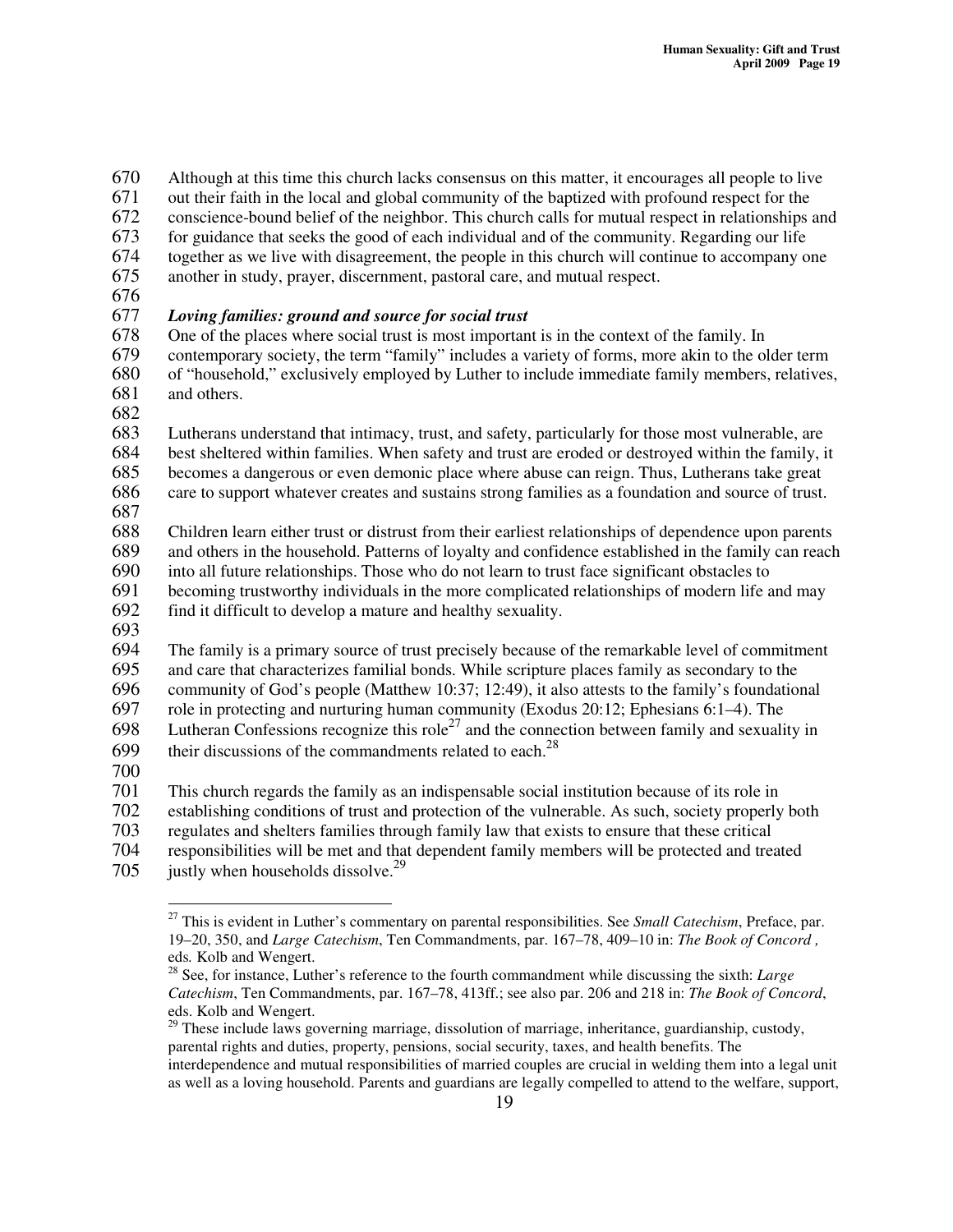Although at this time this church lacks consensus on this matter, it encourages all people to live out their faith in the local and global community of the baptized with profound respect for the

conscience-bound belief of the neighbor. This church calls for mutual respect in relationships and

for guidance that seeks the good of each individual and of the community. Regarding our life

- together as we live with disagreement, the people in this church will continue to accompany one
- another in study, prayer, discernment, pastoral care, and mutual respect.
- 

# *Loving families: ground and source for social trust*

One of the places where social trust is most important is in the context of the family. In contemporary society, the term "family" includes a variety of forms, more akin to the older term of "household," exclusively employed by Luther to include immediate family members, relatives, and others.

Lutherans understand that intimacy, trust, and safety, particularly for those most vulnerable, are

684 best sheltered within families. When safety and trust are eroded or destroyed within the family, it becomes a dangerous or even demonic place where abuse can reign. Thus, Lutherans take great becomes a dangerous or even demonic place where abuse can reign. Thus, Lutherans take great

care to support whatever creates and sustains strong families as a foundation and source of trust.

 Children learn either trust or distrust from their earliest relationships of dependence upon parents and others in the household. Patterns of loyalty and confidence established in the family can reach into all future relationships. Those who do not learn to trust face significant obstacles to

691 becoming trustworthy individuals in the more complicated relationships of modern life and may<br>692 find it difficult to develop a mature and healthy sexuality.

find it difficult to develop a mature and healthy sexuality.

 The family is a primary source of trust precisely because of the remarkable level of commitment and care that characterizes familial bonds. While scripture places family as secondary to the community of God's people (Matthew 10:37; 12:49), it also attests to the family's foundational role in protecting and nurturing human community (Exodus 20:12; Ephesians 6:1–4). The 698 Lutheran Confessions recognize this role<sup>27</sup> and the connection between family and sexuality in

their discussions of the commandments related to each.<sup>28</sup> 

This church regards the family as an indispensable social institution because of its role in

establishing conditions of trust and protection of the vulnerable. As such, society properly both

regulates and shelters families through family law that exists to ensure that these critical

- responsibilities will be met and that dependent family members will be protected and treated
- justly when households dissolve.<sup>29</sup>

 This is evident in Luther's commentary on parental responsibilities. See *Small Catechism*, Preface, par. 19–20, 350, and *Large Catechism*, Ten Commandments, par. 167–78, 409–10 in: *The Book of Concord ,* eds*.* Kolb and Wengert.

 See, for instance, Luther's reference to the fourth commandment while discussing the sixth: *Large Catechism*, Ten Commandments, par. 167–78, 413ff.; see also par. 206 and 218 in: *The Book of Concord*, eds. Kolb and Wengert.

 These include laws governing marriage, dissolution of marriage, inheritance, guardianship, custody, parental rights and duties, property, pensions, social security, taxes, and health benefits. The interdependence and mutual responsibilities of married couples are crucial in welding them into a legal unit as well as a loving household. Parents and guardians are legally compelled to attend to the welfare, support,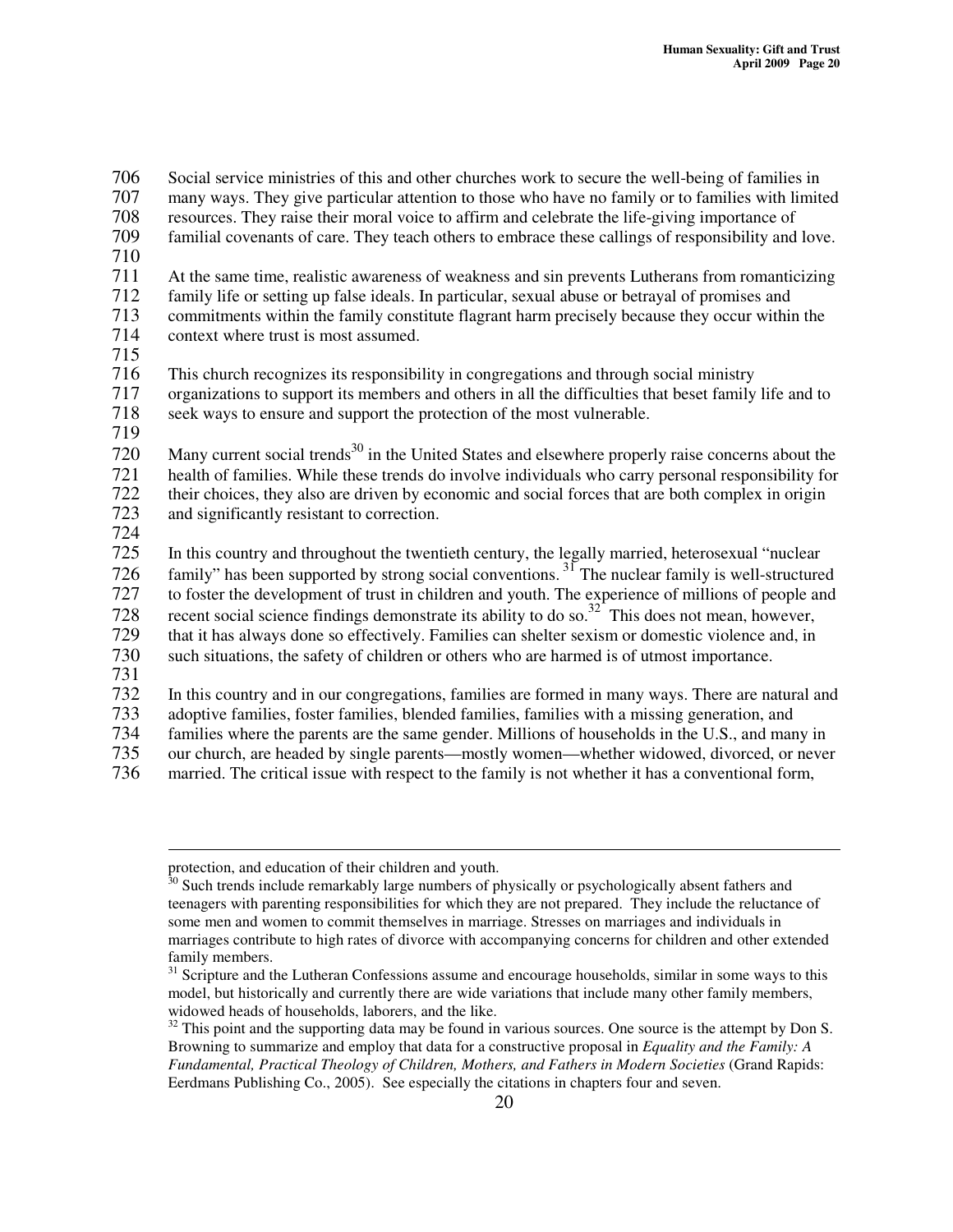706 Social service ministries of this and other churches work to secure the well-being of families in<br>707 many ways. They give particular attention to those who have no family or to families with limite

many ways. They give particular attention to those who have no family or to families with limited

- 708 resources. They raise their moral voice to affirm and celebrate the life-giving importance of
- 709 familial covenants of care. They teach others to embrace these callings of responsibility and love. 710
- 711 At the same time, realistic awareness of weakness and sin prevents Lutherans from romanticizing<br>712 family life or setting up false ideals. In particular, sexual abuse or betraval of promises and

712 family life or setting up false ideals. In particular, sexual abuse or betrayal of promises and 713 commitments within the family constitute flagrant harm precisely because they occur within the

- context where trust is most assumed.
- 715

716 This church recognizes its responsibility in congregations and through social ministry<br>717 organizations to support its members and others in all the difficulties that beset family

717 organizations to support its members and others in all the difficulties that beset family life and to 718 seek ways to ensure and support the protection of the most vulnerable.

719

720 Many current social trends<sup>30</sup> in the United States and elsewhere properly raise concerns about the health of families. While these trends do involve individuals who carry personal responsibility for their choices, they also are driven by economic and social forces that are both complex in origin and significantly resistant to correction.

724

In this country and throughout the twentieth century, the legally married, heterosexual "nuclear 726 family" has been supported by strong social conventions.  $3^{7}$  The nuclear family is well-structured

727 to foster the development of trust in children and youth. The experience of millions of people and 728 recent social science findings demonstrate its ability to do so.<sup>32</sup> This does not mean, however,

729 that it has always done so effectively. Families can shelter sexism or domestic violence and, in

730 such situations, the safety of children or others who are harmed is of utmost importance.

731 732 In this country and in our congregations, families are formed in many ways. There are natural and adoptive families, foster families, blended families, families with a missing generation, and

733 adoptive families, foster families, blended families, families with a missing generation, and<br>734 families where the parents are the same gender. Millions of households in the U.S., and man

families where the parents are the same gender. Millions of households in the U.S., and many in

735 our church, are headed by single parents—mostly women—whether widowed, divorced, or never

736 married. The critical issue with respect to the family is not whether it has a conventional form,

protection, and education of their children and youth.

<sup>&</sup>lt;sup>30</sup> Such trends include remarkably large numbers of physically or psychologically absent fathers and teenagers with parenting responsibilities for which they are not prepared. They include the reluctance of some men and women to commit themselves in marriage. Stresses on marriages and individuals in marriages contribute to high rates of divorce with accompanying concerns for children and other extended family members.

<sup>&</sup>lt;sup>31</sup> Scripture and the Lutheran Confessions assume and encourage households, similar in some ways to this model, but historically and currently there are wide variations that include many other family members, widowed heads of households, laborers, and the like.

 $32$  This point and the supporting data may be found in various sources. One source is the attempt by Don S. Browning to summarize and employ that data for a constructive proposal in *Equality and the Family: A Fundamental, Practical Theology of Children, Mothers, and Fathers in Modern Societies* (Grand Rapids: Eerdmans Publishing Co., 2005). See especially the citations in chapters four and seven.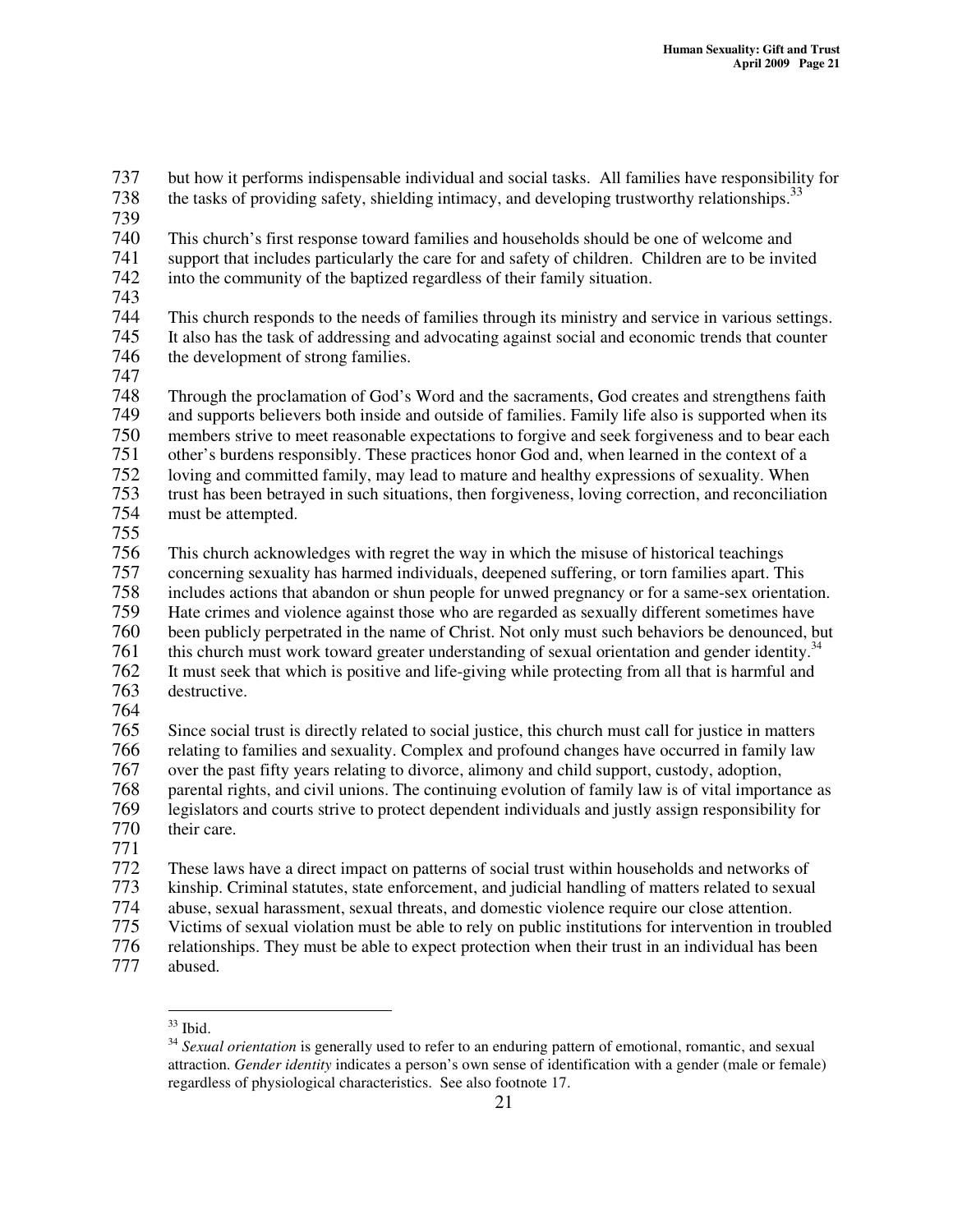737 but how it performs indispensable individual and social tasks. All families have responsibility for

- the tasks of providing safety, shielding intimacy, and developing trustworthy relationships.<sup>33</sup> 738
- 739

740 This church's first response toward families and households should be one of welcome and<br>741 support that includes particularly the care for and safety of children. Children are to be invisupport that includes particularly the care for and safety of children. Children are to be invited 742 into the community of the baptized regardless of their family situation.

743

744 This church responds to the needs of families through its ministry and service in various settings.<br>745 It also has the task of addressing and advocating against social and economic trends that counter It also has the task of addressing and advocating against social and economic trends that counter 746 the development of strong families.

747<br>748

Through the proclamation of God's Word and the sacraments, God creates and strengthens faith<br>
749 and supports believers both inside and outside of families. Family life also is supported when its and supports believers both inside and outside of families. Family life also is supported when its members strive to meet reasonable expectations to forgive and seek forgiveness and to bear each other's burdens responsibly. These practices honor God and, when learned in the context of a loving and committed family, may lead to mature and healthy expressions of sexuality. When trust has been betrayed in such situations, then forgiveness, loving correction, and reconciliation

- 754 must be attempted.
- 755

This church acknowledges with regret the way in which the misuse of historical teachings concerning sexuality has harmed individuals, deepened suffering, or torn families apart. This includes actions that abandon or shun people for unwed pregnancy or for a same-sex orientation. Hate crimes and violence against those who are regarded as sexually different sometimes have been publicly perpetrated in the name of Christ. Not only must such behaviors be denounced, but this church must work toward greater understanding of sexual orientation and gender identity.<sup>34</sup> 761<br>762 It must seek that which is positive and life-giving while protecting from all that is harmful and

- destructive.
- 764<br>765

 Since social trust is directly related to social justice, this church must call for justice in matters 766 relating to families and sexuality. Complex and profound changes have occurred in family law over the past fifty years relating to divorce, alimony and child support, custody, adoption, over the past fifty years relating to divorce, alimony and child support, custody, adoption, parental rights, and civil unions. The continuing evolution of family law is of vital importance as legislators and courts strive to protect dependent individuals and justly assign responsibility for their care.

771

772 These laws have a direct impact on patterns of social trust within households and networks of

773 kinship. Criminal statutes, state enforcement, and judicial handling of matters related to sexual

- 774 abuse, sexual harassment, sexual threats, and domestic violence require our close attention.<br>775 Victims of sexual violation must be able to rely on public institutions for intervention in trou
- 775 Victims of sexual violation must be able to rely on public institutions for intervention in troubled<br>776 relationships. They must be able to expect protection when their trust in an individual has been
- 776 relationships. They must be able to expect protection when their trust in an individual has been<br>777 abused.
- abused.

 $33$  Ibid.

<sup>&</sup>lt;sup>34</sup> Sexual orientation is generally used to refer to an enduring pattern of emotional, romantic, and sexual attraction. *Gender identity* indicates a person's own sense of identification with a gender (male or female) regardless of physiological characteristics. See also footnote 17.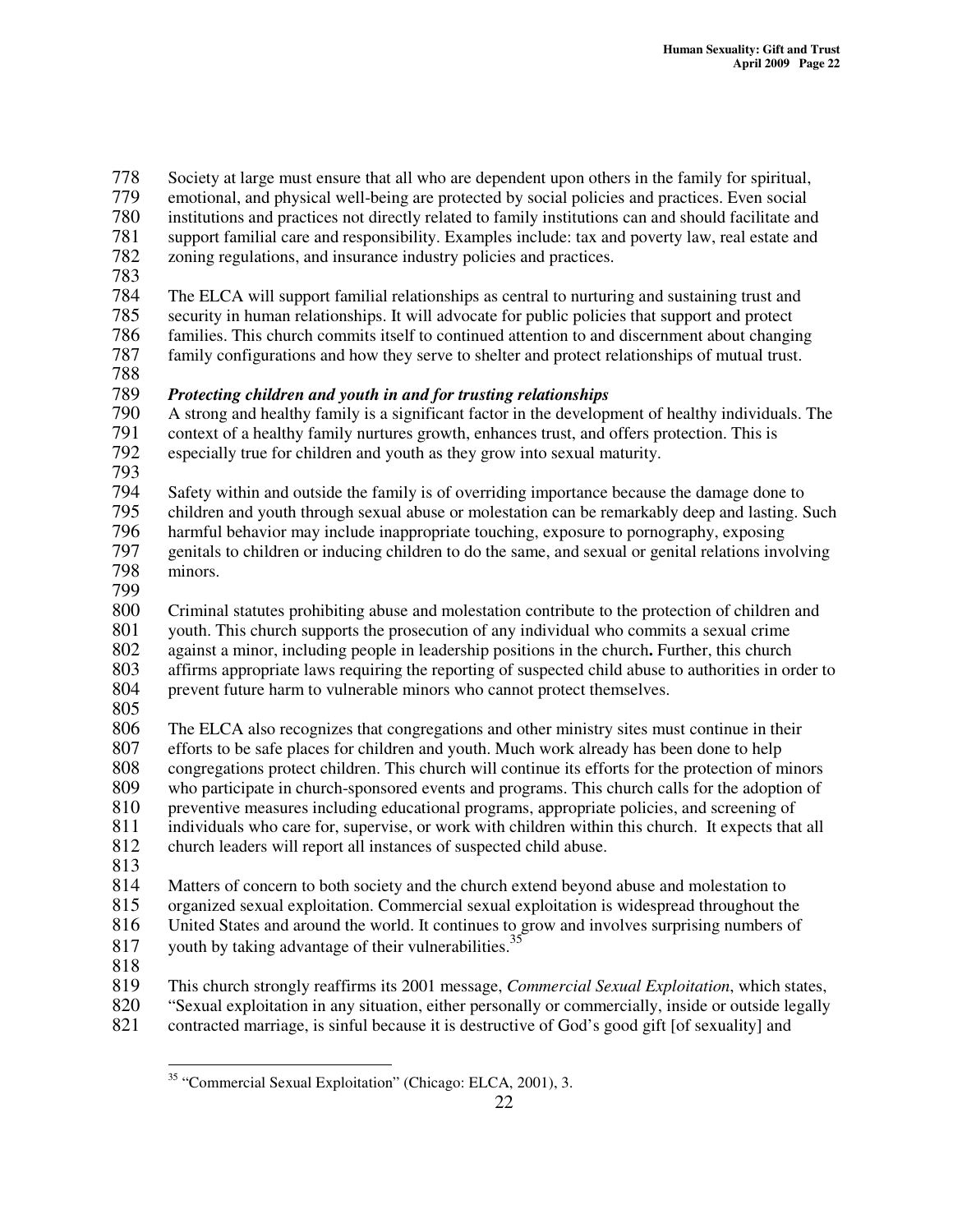778 Society at large must ensure that all who are dependent upon others in the family for spiritual,<br>779 emotional, and physical well-being are protected by social policies and practices. Even social 779 emotional, and physical well-being are protected by social policies and practices. Even social 780 institutions and practices not directly related to family institutions can and should facilitate and 781 support familial care and responsibility. Examples include: tax and poverty law, real estate and 782 zoning regulations, and insurance industry policies and practices. zoning regulations, and insurance industry policies and practices. 783 784 The ELCA will support familial relationships as central to nurturing and sustaining trust and<br>785 security in human relationships. It will advocate for public policies that support and protect 785 security in human relationships. It will advocate for public policies that support and protect families. This church commits itself to continued attention to and discernment about changing 787 family configurations and how they serve to shelter and protect relationships of mutual trust. 788 789 *Protecting children and youth in and for trusting relationships* 790 A strong and healthy family is a significant factor in the development of healthy individuals. The context of a healthy family nurtures growth, enhances trust, and offers protection. This is 791 context of a healthy family nurtures growth, enhances trust, and offers protection. This is<br>792 especially true for children and youth as they grow into sexual maturity. especially true for children and youth as they grow into sexual maturity. 793 Safety within and outside the family is of overriding importance because the damage done to 795 children and youth through sexual abuse or molestation can be remarkably deep and lasting. Such harmful behavior may include inappropriate touching, exposure to pornography, exposing harmful behavior may include inappropriate touching, exposure to pornography, exposing 797 genitals to children or inducing children to do the same, and sexual or genital relations involving 798 minors. 799<br>800 800 Criminal statutes prohibiting abuse and molestation contribute to the protection of children and 801 vouth. This church supports the prosecution of any individual who commits a sexual crime 801 youth. This church supports the prosecution of any individual who commits a sexual crime 802 against a minor, including people in leadership positions in the church**.** Further, this church 803 affirms appropriate laws requiring the reporting of suspected child abuse to authorities in order to 804 prevent future harm to vulnerable minors who cannot protect themselves. 805<br>806 806 The ELCA also recognizes that congregations and other ministry sites must continue in their<br>807 efforts to be safe places for children and youth. Much work already has been done to help efforts to be safe places for children and youth. Much work already has been done to help 808 congregations protect children. This church will continue its efforts for the protection of minors who participate in church-sponsored events and programs. This church calls for the adoption of who participate in church-sponsored events and programs. This church calls for the adoption of 810 preventive measures including educational programs, appropriate policies, and screening of 811 individuals who care for, supervise, or work with children within this church. It expects that all 812 church leaders will report all instances of suspected child abuse.  $\frac{813}{814}$ Matters of concern to both society and the church extend beyond abuse and molestation to 815 organized sexual exploitation. Commercial sexual exploitation is widespread throughout the 816 United States and around the world. It continues to grow and involves surprising numbers of 816 United States and around the world. It continues to grow and involves surprising numbers of youth by taking advantage of their vulnerabilities.<sup>35</sup> 817 818<br>819 819 This church strongly reaffirms its 2001 message, *Commercial Sexual Exploitation*, which states, 820 "Sexual exploitation in any situation, either personally or commercially, inside or outside legally

821 contracted marriage, is sinful because it is destructive of God's good gift [of sexuality] and

<sup>&</sup>lt;sup>35</sup> "Commercial Sexual Exploitation" (Chicago: ELCA, 2001), 3.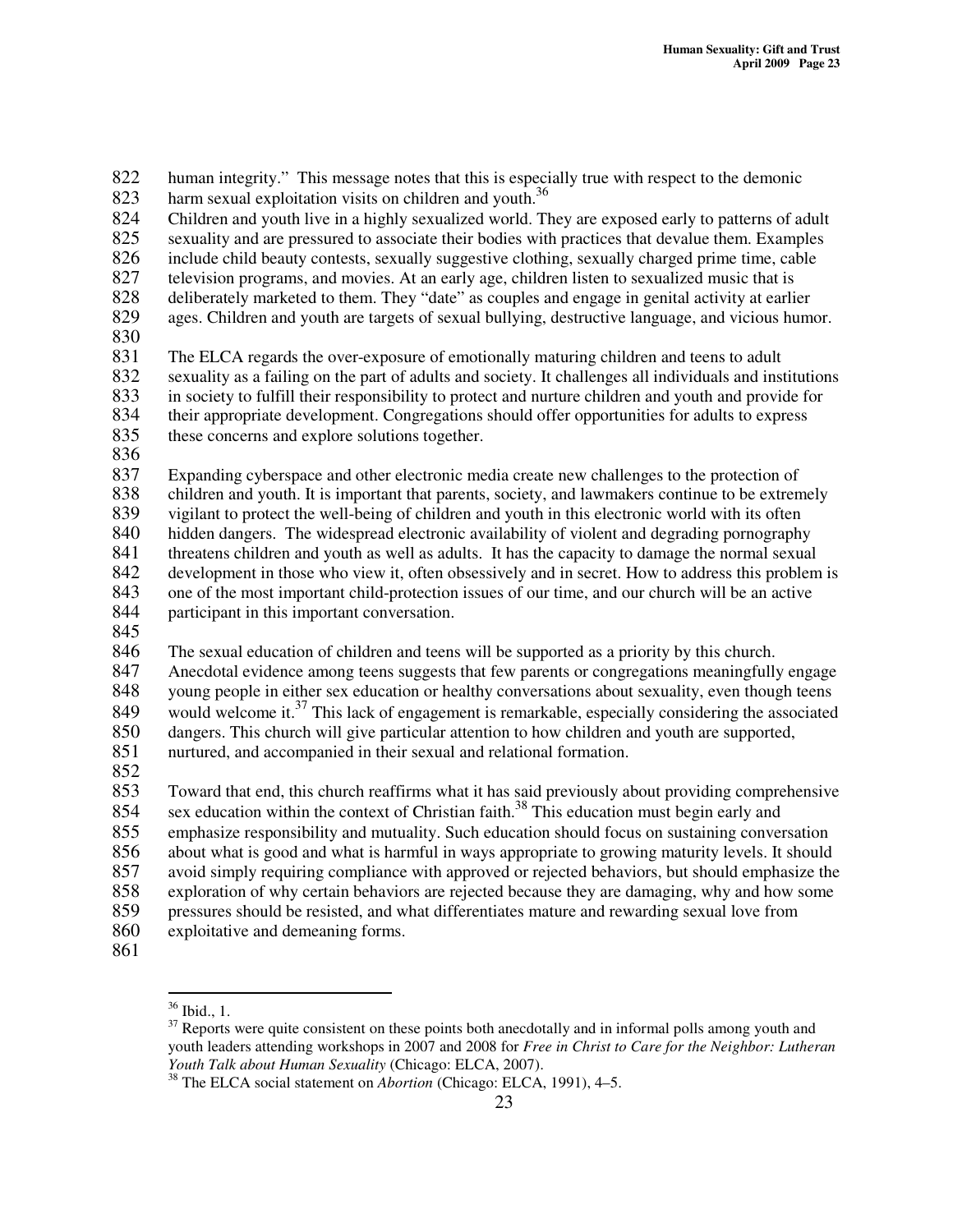822 human integrity." This message notes that this is especially true with respect to the demonic harm sexual exploitation visits on children and youth.<sup>36</sup> 823 824 Children and youth live in a highly sexualized world. They are exposed early to patterns of adult sexuality and are pressured to associate their bodies with practices that devalue them. Examples 825 sexuality and are pressured to associate their bodies with practices that devalue them. Examples include child beauty contests, sexually suggestive clothing, sexually charged prime time, cable 826 include child beauty contests, sexually suggestive clothing, sexually charged prime time, cable 827 television programs, and movies. At an early age, children listen to sexualized music that is 828 deliberately marketed to them. They "date" as couples and engage in genital activity at earlier 829 ages. Children and youth are targets of sexual bullying, destructive language, and vicious humor. 830 831 The ELCA regards the over-exposure of emotionally maturing children and teens to adult sexuality as a failing on the part of adults and society. It challenges all individuals and inst 832 sexuality as a failing on the part of adults and society. It challenges all individuals and institutions<br>833 in society to fulfill their responsibility to protect and nurture children and youth and provide for 833 in society to fulfill their responsibility to protect and nurture children and youth and provide for their appropriate development. Congregations should offer opportunities for adults to express 834 their appropriate development. Congregations should offer opportunities for adults to express 835 these concerns and explore solutions together. 836 837 Expanding cyberspace and other electronic media create new challenges to the protection of 838 children and youth. It is important that parents, society, and lawmakers continue to be extremely 839 vigilant to protect the well-being of children and youth in this electronic world with its often<br>840 hidden dangers. The widespread electronic availability of violent and degrading pornography 840 hidden dangers. The widespread electronic availability of violent and degrading pornography<br>841 threatens children and youth as well as adults. It has the capacity to damage the normal sexual 841 threatens children and youth as well as adults. It has the capacity to damage the normal sexual 842 development in those who view it, often obsessively and in secret. How to address this problem is 843 one of the most important child-protection issues of our time, and our church will be an active 844 participant in this important conversation. 845 846 The sexual education of children and teens will be supported as a priority by this church.<br>847 Anecdotal evidence among teens suggests that few parents or congregations meaningfully Anecdotal evidence among teens suggests that few parents or congregations meaningfully engage 848 young people in either sex education or healthy conversations about sexuality, even though teens would welcome it.<sup>37</sup> This lack of engagement is remarkable, especially considering the associated 849 would welcome it.<sup>37</sup> This lack of engagement is remarkable, especially considering the associated 850 dangers. This church will give particular attention to how children and youth are supported, 851 nurtured, and accompanied in their sexual and relational formation. 852 853 Toward that end, this church reaffirms what it has said previously about providing comprehensive 854 sex education within the context of Christian faith.<sup>38</sup> This education must begin early and

855 emphasize responsibility and mutuality. Such education should focus on sustaining conversation<br>856 about what is good and what is harmful in ways appropriate to growing maturity levels. It should

- 856 about what is good and what is harmful in ways appropriate to growing maturity levels. It should avoid simply requiring compliance with approved or rejected behaviors, but should emphasize the avoid simply requiring compliance with approved or rejected behaviors, but should emphasize the
- 
- 858 exploration of why certain behaviors are rejected because they are damaging, why and how some<br>859 pressures should be resisted, and what differentiates mature and rewarding sexual love from 859 pressures should be resisted, and what differentiates mature and rewarding sexual love from
- 860 exploitative and demeaning forms.
- 861

<sup>36</sup> Ibid., 1.

 $37$  Reports were quite consistent on these points both anecdotally and in informal polls among youth and youth leaders attending workshops in 2007 and 2008 for *Free in Christ to Care for the Neighbor: Lutheran Youth Talk about Human Sexuality* (Chicago: ELCA, 2007).

<sup>38</sup> The ELCA social statement on *Abortion* (Chicago: ELCA, 1991), 4–5.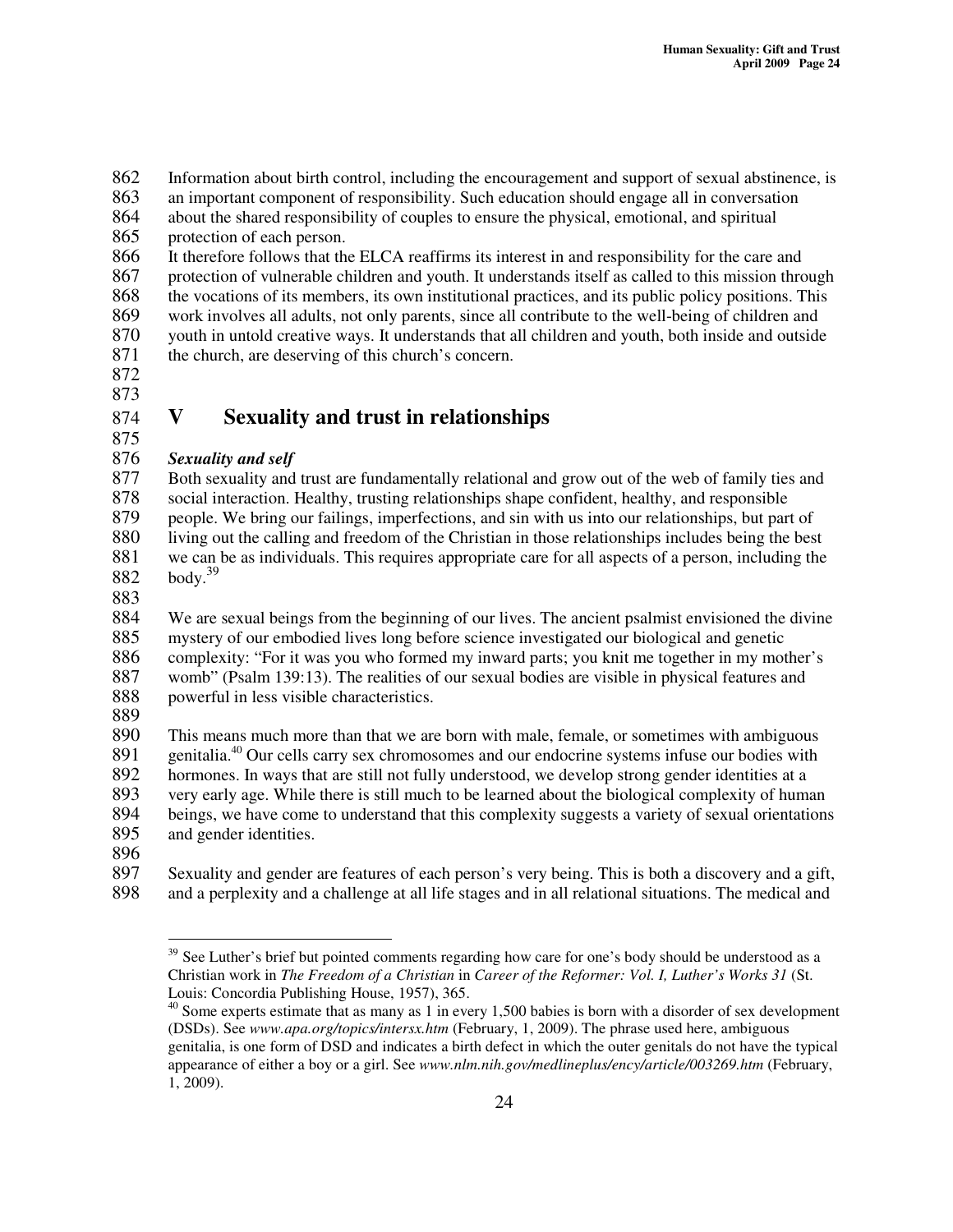862 Information about birth control, including the encouragement and support of sexual abstinence, is<br>863 an important component of responsibility. Such education should engage all in conversation

an important component of responsibility. Such education should engage all in conversation

864 about the shared responsibility of couples to ensure the physical, emotional, and spiritual 865 protection of each person.

 It therefore follows that the ELCA reaffirms its interest in and responsibility for the care and protection of vulnerable children and youth. It understands itself as called to this mission through the vocations of its members, its own institutional practices, and its public policy positions. This 869 work involves all adults, not only parents, since all contribute to the well-being of children and youth in untold creative ways. It understands that all children and youth, both inside and outside youth in untold creative ways. It understands that all children and youth, both inside and outside the church, are deserving of this church's concern.

872

### 873 874 **V Sexuality and trust in relationships**

#### 875<br>876 876 *Sexuality and self*

877 Both sexuality and trust are fundamentally relational and grow out of the web of family ties and 878 social interaction. Healthy, trusting relationships shape confident, healthy, and responsible 879 people. We bring our failings, imperfections, and sin with us into our relationships, but part of 880 living out the calling and freedom of the Christian in those relationships includes being the best we can be as individuals. This requires appropriate care for all aspects of a person, including the we can be as individuals. This requires appropriate care for all aspects of a person, including the body. 39 882

883<br>884 We are sexual beings from the beginning of our lives. The ancient psalmist envisioned the divine 885 mystery of our embodied lives long before science investigated our biological and genetic 886 complexity: "For it was you who formed my inward parts; you knit me together in my mother's 887 womb" (Psalm 139:13). The realities of our sexual bodies are visible in physical features and 888 powerful in less visible characteristics.

889

890 This means much more than that we are born with male, female, or sometimes with ambiguous genitalia.<sup>40</sup> Our cells carry sex chromosomes and our endocrine systems infuse our bodies with 891 genitalia.<sup>40</sup> Our cells carry sex chromosomes and our endocrine systems infuse our bodies with 892 hormones. In ways that are still not fully understood, we develop strong gender identities at a<br>893 very early age. While there is still much to be learned about the biological complexity of human 893 very early age. While there is still much to be learned about the biological complexity of human 894 beings, we have come to understand that this complexity suggests a variety of sexual orientations 895 and gender identities.

896<br>897

Sexuality and gender are features of each person's very being. This is both a discovery and a gift, 898 and a perplexity and a challenge at all life stages and in all relational situations. The medical and

<sup>&</sup>lt;sup>39</sup> See Luther's brief but pointed comments regarding how care for one's body should be understood as a Christian work in *The Freedom of a Christian* in *Career of the Reformer: Vol. I, Luther's Works 31* (St. Louis: Concordia Publishing House, 1957), 365.

 $40$  Some experts estimate that as many as 1 in every 1,500 babies is born with a disorder of sex development (DSDs). See *www.apa.org/topics/intersx.htm* (February, 1, 2009). The phrase used here, ambiguous genitalia, is one form of DSD and indicates a birth defect in which the outer genitals do not have the typical appearance of either a boy or a girl. See *www.nlm.nih.gov/medlineplus/ency/article/003269.htm* (February, 1, 2009).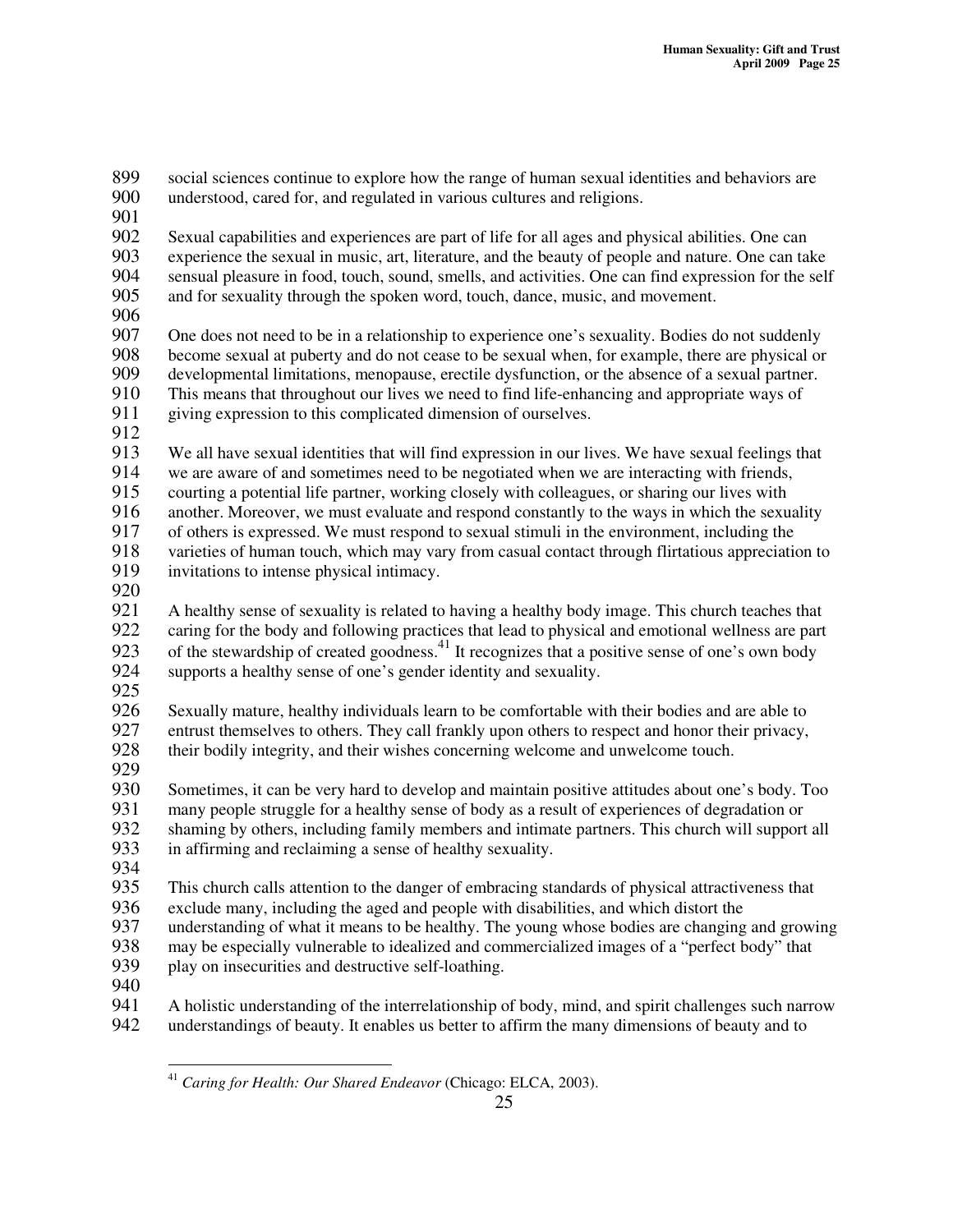899 social sciences continue to explore how the range of human sexual identities and behaviors are<br>900 understood, cared for, and regulated in various cultures and religions. understood, cared for, and regulated in various cultures and religions. 901

902 Sexual capabilities and experiences are part of life for all ages and physical abilities. One can experience the sexual in music, art, literature, and the beauty of people and nature. One can tal experience the sexual in music, art, literature, and the beauty of people and nature. One can take 904 sensual pleasure in food, touch, sound, smells, and activities. One can find expression for the self and for sexuality through the spoken word, touch, dance, music, and movement. and for sexuality through the spoken word, touch, dance, music, and movement.

906<br>907 907 One does not need to be in a relationship to experience one's sexuality. Bodies do not suddenly 908 become sexual at puberty and do not cease to be sexual when, for example, there are physical or 909 developmental limitations, menopause, erectile dysfunction, or the absence of a sexual partner.<br>910 This means that throughout our lives we need to find life-enhancing and appropriate ways of 910 This means that throughout our lives we need to find life-enhancing and appropriate ways of giving expression to this complicated dimension of ourselves. giving expression to this complicated dimension of ourselves.

912<br>913

913 We all have sexual identities that will find expression in our lives. We have sexual feelings that we are aware of and sometimes need to be negotiated when we are interacting with friends, 914 we are aware of and sometimes need to be negotiated when we are interacting with friends,<br>915 courting a potential life partner, working closely with colleagues, or sharing our lives with 915 courting a potential life partner, working closely with colleagues, or sharing our lives with

916 another. Moreover, we must evaluate and respond constantly to the ways in which the sexuality<br>917 of others is expressed. We must respond to sexual stimuli in the environment, including the

917 of others is expressed. We must respond to sexual stimuli in the environment, including the

918 varieties of human touch, which may vary from casual contact through flirtatious appreciation to 919 invitations to intense physical intimacy.

920<br>921

921 A healthy sense of sexuality is related to having a healthy body image. This church teaches that caring for the body and following practices that lead to physical and emotional wellness are part 922 caring for the body and following practices that lead to physical and emotional wellness are part 923 of the stewardship of created goodness.<sup>41</sup> It recognizes that a positive sense of one's own body 924 supports a healthy sense of one's gender identity and sexuality.

925<br>926

926 Sexually mature, healthy individuals learn to be comfortable with their bodies and are able to entrust themselves to others. They call frankly upon others to respect and honor their privacy. entrust themselves to others. They call frankly upon others to respect and honor their privacy, 928 their bodily integrity, and their wishes concerning welcome and unwelcome touch.

929<br>930 Sometimes, it can be very hard to develop and maintain positive attitudes about one's body. Too 931 many people struggle for a healthy sense of body as a result of experiences of degradation or shaming by others, including family members and intimate partners. This church will support 932 shaming by others, including family members and intimate partners. This church will support all in affirming and reclaiming a sense of healthy sexuality. in affirming and reclaiming a sense of healthy sexuality.

934

935 This church calls attention to the danger of embracing standards of physical attractiveness that exclude many, including the aged and people with disabilities, and which distort the

936 exclude many, including the aged and people with disabilities, and which distort the understanding of what it means to be healthy. The young whose bodies are changing

937 understanding of what it means to be healthy. The young whose bodies are changing and growing<br>938 may be especially vulnerable to idealized and commercialized images of a "perfect body" that

938 may be especially vulnerable to idealized and commercialized images of a "perfect body" that play on insecurities and destructive self-loathing.

- play on insecurities and destructive self-loathing.
- 940

941 A holistic understanding of the interrelationship of body, mind, and spirit challenges such narrow 942 understandings of beauty. It enables us better to affirm the many dimensions of beauty and to

<sup>41</sup> *Caring for Health: Our Shared Endeavor* (Chicago: ELCA, 2003).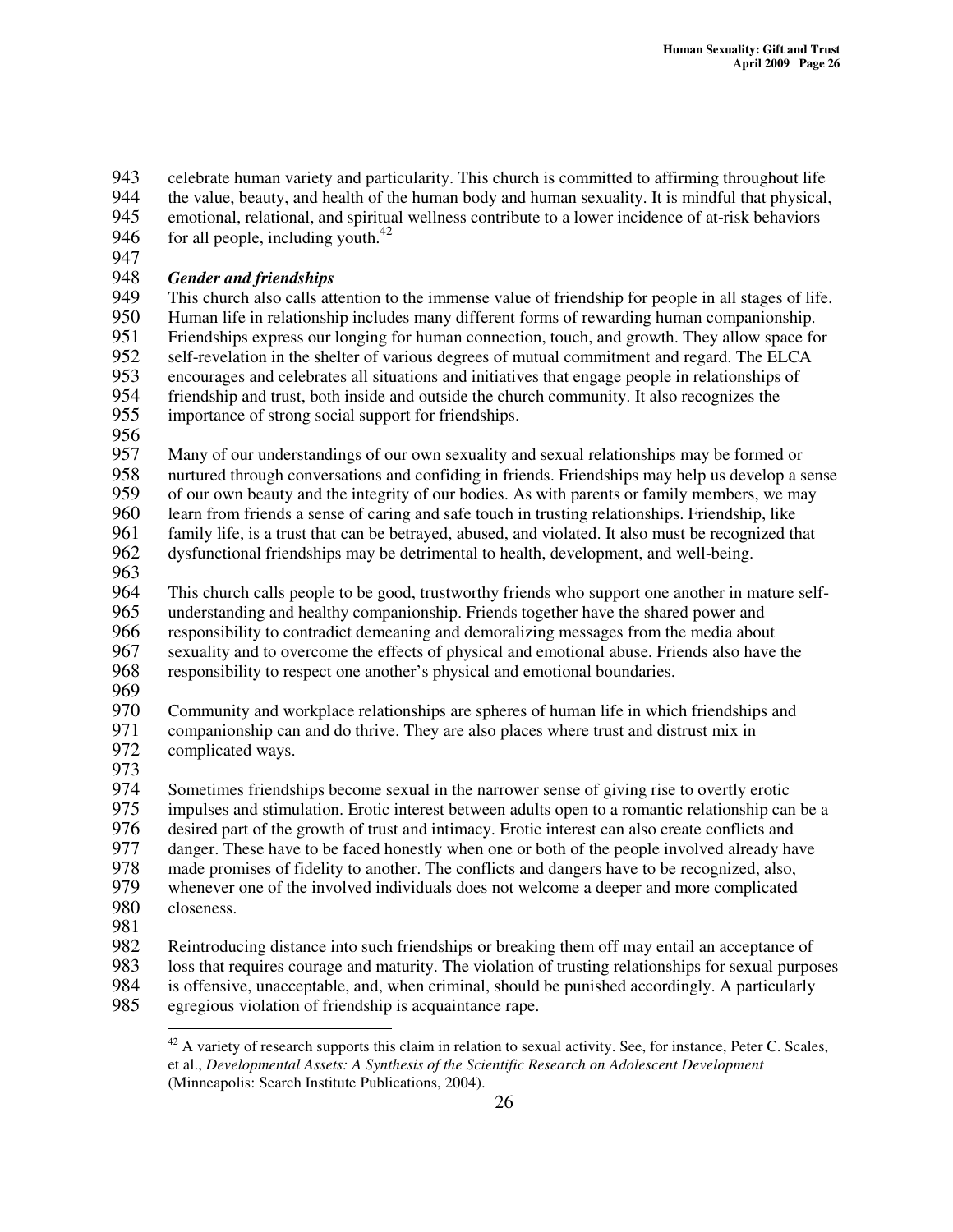943 celebrate human variety and particularity. This church is committed to affirming throughout life<br>944 the value, beauty, and health of the human body and human sexuality. It is mindful that physical.

944 the value, beauty, and health of the human body and human sexuality. It is mindful that physical,

945 emotional, relational, and spiritual wellness contribute to a lower incidence of at-risk behaviors for all people, including youth.<sup>42</sup> 946

947<br>948

# 948 *Gender and friendships*

This church also calls attention to the immense value of friendship for people in all stages of life. 950 Human life in relationship includes many different forms of rewarding human companionship.<br>951 Friendships express our longing for human connection, touch, and growth. They allow space for 951 Friendships express our longing for human connection, touch, and growth. They allow space for 952 self-revelation in the shelter of various degrees of mutual commitment and regard. The ELCA encourages and celebrates all situations and initiatives that engage people in relationships of 953 encourages and celebrates all situations and initiatives that engage people in relationships of<br>954 friendship and trust, both inside and outside the church community. It also recognizes the 954 friendship and trust, both inside and outside the church community. It also recognizes the importance of strong social support for friendships. importance of strong social support for friendships.

956<br>957

Many of our understandings of our own sexuality and sexual relationships may be formed or 958 nurtured through conversations and confiding in friends. Friendships may help us develop a sense 959 of our own beauty and the integrity of our bodies. As with parents or family members, we may 960 learn from friends a sense of caring and safe touch in trusting relationships. Friendship, like<br>961 family life, is a trust that can be betraved, abused, and violated. It also must be recognized the

961 family life, is a trust that can be betrayed, abused, and violated. It also must be recognized that dysfunctional friendships may be detrimental to health, development, and well-being. dysfunctional friendships may be detrimental to health, development, and well-being.

963

964 This church calls people to be good, trustworthy friends who support one another in mature self-965 understanding and healthy companionship. Friends together have the shared power and 966 responsibility to contradict demeaning and demoralizing messages from the media about sexuality and to overcome the effects of physical and emotional abuse. Friends also have 967 sexuality and to overcome the effects of physical and emotional abuse. Friends also have the responsibility to respect one another's physical and emotional boundaries.

969<br>970

970 Community and workplace relationships are spheres of human life in which friendships and<br>971 companionship can and do thrive. They are also places where trust and distrust mix in companionship can and do thrive. They are also places where trust and distrust mix in

- 972 complicated ways.
- 

973<br>974 Sometimes friendships become sexual in the narrower sense of giving rise to overtly erotic 975 impulses and stimulation. Erotic interest between adults open to a romantic relationship can be a<br>976 desired part of the growth of trust and intimacy. Erotic interest can also create conflicts and 976 desired part of the growth of trust and intimacy. Erotic interest can also create conflicts and<br>977 danger. These have to be faced honestly when one or both of the people involved already ha danger. These have to be faced honestly when one or both of the people involved already have 978 made promises of fidelity to another. The conflicts and dangers have to be recognized, also,<br>979 whenever one of the involved individuals does not welcome a deeper and more complicated 979 whenever one of the involved individuals does not welcome a deeper and more complicated closeness. closeness. 981<br>982

982 Reintroducing distance into such friendships or breaking them off may entail an acceptance of<br>983 Ioss that requires courage and maturity. The violation of trusting relationships for sexual purpo 983 loss that requires courage and maturity. The violation of trusting relationships for sexual purposes is offensive, unacceptable, and, when criminal, should be punished accordingly. A particularly

- 984 is offensive, unacceptable, and, when criminal, should be punished accordingly. A particularly egregious violation of friendship is acquaintance rape.
- egregious violation of friendship is acquaintance rape.

 $^{42}$  A variety of research supports this claim in relation to sexual activity. See, for instance, Peter C. Scales, et al., *Developmental Assets: A Synthesis of the Scientific Research on Adolescent Development* (Minneapolis: Search Institute Publications, 2004).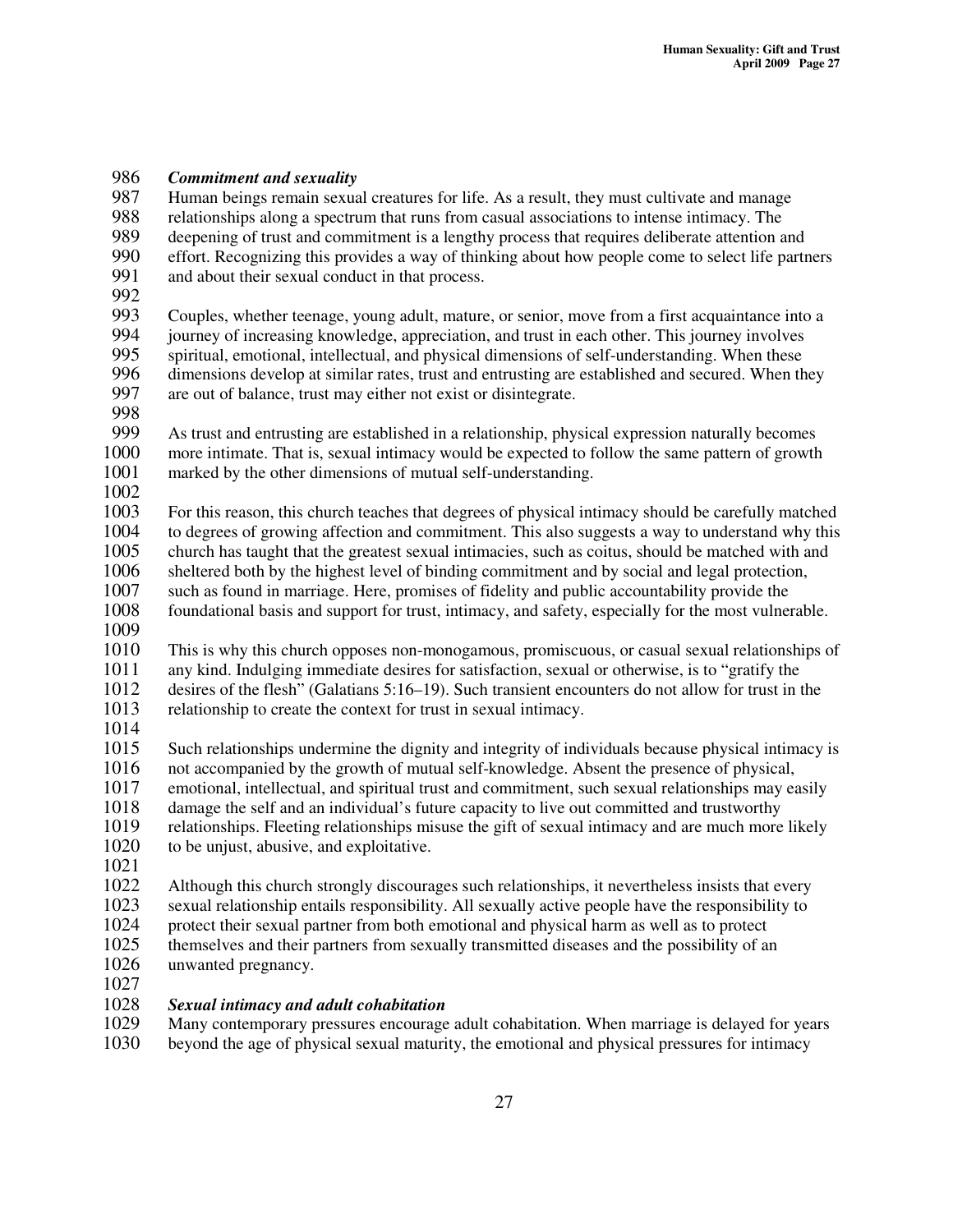# 986 *Commitment and sexuality*

987 Human beings remain sexual creatures for life. As a result, they must cultivate and manage<br>988 relationships along a spectrum that runs from casual associations to intense intimacy. The relationships along a spectrum that runs from casual associations to intense intimacy. The 989 deepening of trust and commitment is a lengthy process that requires deliberate attention and<br>990 effort. Recognizing this provides a way of thinking about how people come to select life partr 990 effort. Recognizing this provides a way of thinking about how people come to select life partners<br>991 and about their sexual conduct in that process.

- and about their sexual conduct in that process.
- 992<br>993

993 Couples, whether teenage, young adult, mature, or senior, move from a first acquaintance into a<br>994 iourney of increasing knowledge, appreciation, and trust in each other. This journey involves 994 journey of increasing knowledge, appreciation, and trust in each other. This journey involves<br>995 spiritual, emotional, intellectual, and physical dimensions of self-understanding. When these spiritual, emotional, intellectual, and physical dimensions of self-understanding. When these 996 dimensions develop at similar rates, trust and entrusting are established and secured. When they are out of balance, trust may either not exist or disintegrate. are out of balance, trust may either not exist or disintegrate.

998<br>999

999 As trust and entrusting are established in a relationship, physical expression naturally becomes 1000 more intimate. That is, sexual intimacy would be expected to follow the same pattern of growth 1000 more intimate. That is, sexual intimacy would be expected to follow the same pattern of growth 1001 marked by the other dimensions of mutual self-understanding. marked by the other dimensions of mutual self-understanding.

1002

1003 For this reason, this church teaches that degrees of physical intimacy should be carefully matched to degrees of growing affection and commitment. This also suggests a way to understand why this 1004 to degrees of growing affection and commitment. This also suggests a way to understand why this 1005 church has taught that the greatest sexual intimacies, such as coitus, should be matched with and 1006 sheltered both by the highest level of binding commitment and by social and legal protection,<br>1007 such as found in marriage. Here, promises of fidelity and public accountability provide the

1007 such as found in marriage. Here, promises of fidelity and public accountability provide the 1008 foundational basis and support for trust, intimacy, and safety, especially for the most vulner foundational basis and support for trust, intimacy, and safety, especially for the most vulnerable.

1009

 This is why this church opposes non-monogamous, promiscuous, or casual sexual relationships of any kind. Indulging immediate desires for satisfaction, sexual or otherwise, is to "gratify the desires of the flesh" (Galatians 5:16–19). Such transient encounters do not allow for trust in the relationship to create the context for trust in sexual intimacy.

1014<br>1015

Such relationships undermine the dignity and integrity of individuals because physical intimacy is 1016 not accompanied by the growth of mutual self-knowledge. Absent the presence of physical, 1017 emotional, intellectual, and spiritual trust and commitment, such sexual relationships may ea emotional, intellectual, and spiritual trust and commitment, such sexual relationships may easily damage the self and an individual's future capacity to live out committed and trustworthy relationships. Fleeting relationships misuse the gift of sexual intimacy and are much more likely to be unjust, abusive, and exploitative.

1021<br>1022

Although this church strongly discourages such relationships, it nevertheless insists that every

1023 sexual relationship entails responsibility. All sexually active people have the responsibility to 1024 protect their sexual partner from both emotional and physical harm as well as to protect

1024 protect their sexual partner from both emotional and physical harm as well as to protect

1025 themselves and their partners from sexually transmitted diseases and the possibility of an 1026 unwanted pregnancy.

1027

## 1028 *Sexual intimacy and adult cohabitation*

1029 Many contemporary pressures encourage adult cohabitation. When marriage is delayed for years 1030 beyond the age of physical sexual maturity, the emotional and physical pressures for intimacy

beyond the age of physical sexual maturity, the emotional and physical pressures for intimacy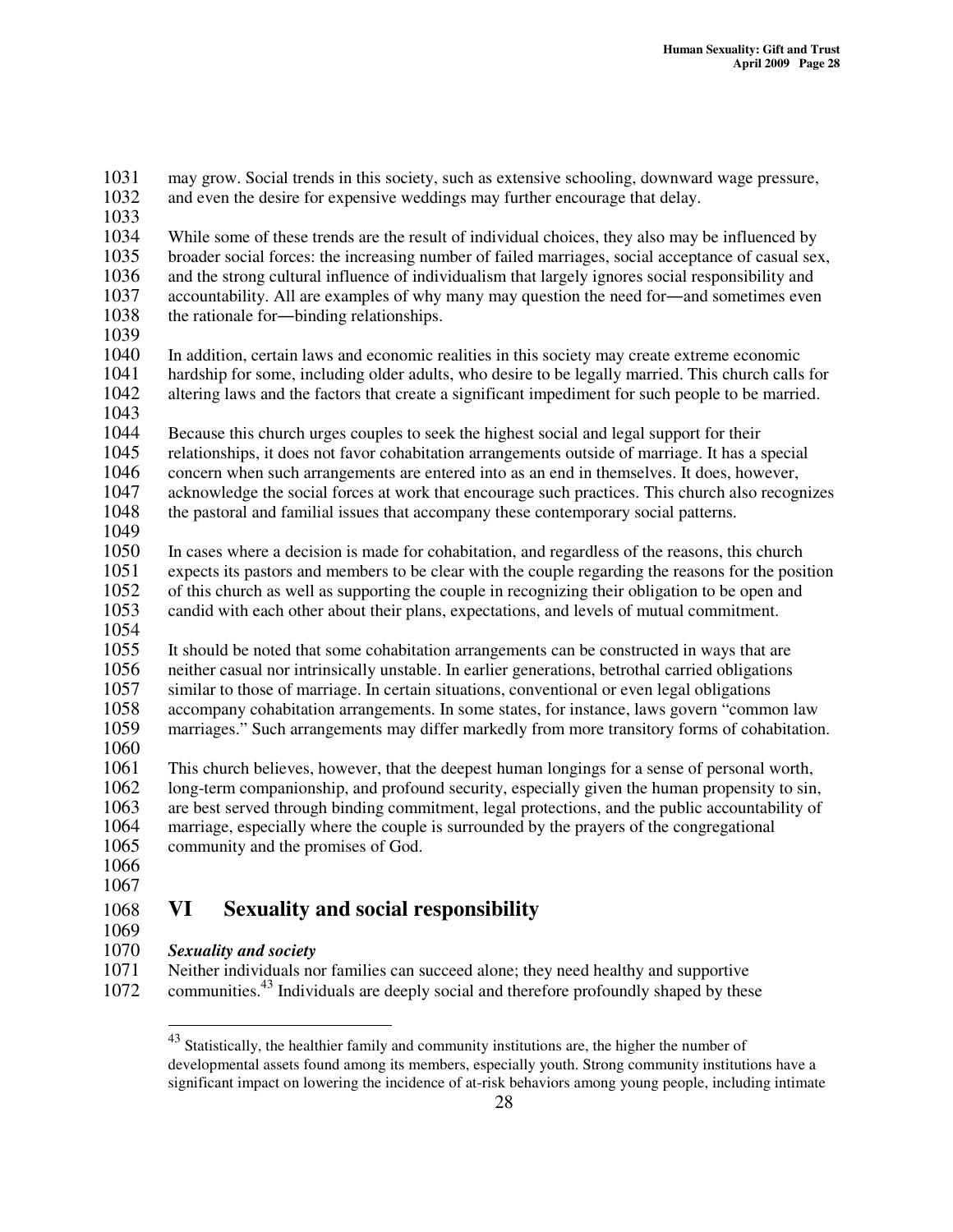1031 may grow. Social trends in this society, such as extensive schooling, downward wage pressure, 1032 and even the desire for expensive weddings may further encourage that delay. and even the desire for expensive weddings may further encourage that delay. 1033 1034 While some of these trends are the result of individual choices, they also may be influenced by 1035 broader social forces: the increasing number of failed marriages, social acceptance of casual sex 1035 broader social forces: the increasing number of failed marriages, social acceptance of casual sex, 1036 and the strong cultural influence of individualism that largely ignores social responsibility and 1037 accountability. All are examples of why many may question the need for—and sometimes even 1037 accountability. All are examples of why many may question the need for—and sometimes even 1038 the rationale for—binding relationships. the rationale for-binding relationships. 1039 1040 In addition, certain laws and economic realities in this society may create extreme economic 1041 hardship for some, including older adults, who desire to be legally married. This church calls for 1042 altering laws and the factors that create a significant impediment for such people to be married. altering laws and the factors that create a significant impediment for such people to be married. 1043<br>1044 1044 Because this church urges couples to seek the highest social and legal support for their<br>1045 relationships, it does not favor cohabitation arrangements outside of marriage. It has a s 1045 relationships, it does not favor cohabitation arrangements outside of marriage. It has a special<br>1046 concern when such arrangements are entered into as an end in themselves. It does, however, 1046 concern when such arrangements are entered into as an end in themselves. It does, however, 1047 acknowledge the social forces at work that encourage such practices. This church also recognizes 1048 the pastoral and familial issues that accompany these contemporary social patterns. 1049 1050 In cases where a decision is made for cohabitation, and regardless of the reasons, this church 1051 expects its pastors and members to be clear with the couple regarding the reasons for the position 1052 of this church as well as supporting the couple in recognizing their obligation to be open and 1052 of this church as well as supporting the couple in recognizing their obligation to be open and 1053 candid with each other about their plans, expectations, and levels of mutual commitment. candid with each other about their plans, expectations, and levels of mutual commitment. 1054 1055 It should be noted that some cohabitation arrangements can be constructed in ways that are 1056 neither casual nor intrinsically unstable. In earlier generations, betrothal carried obligations 1057 similar to those of marriage. In certain situations, conventional or even legal obligations 1058 accompany cohabitation arrangements. In some states, for instance, laws govern "common law<br>1059 marriages." Such arrangements may differ markedly from more transitory forms of cohabitation marriages." Such arrangements may differ markedly from more transitory forms of cohabitation. 1060 1061 This church believes, however, that the deepest human longings for a sense of personal worth, 1062 long-term companionship, and profound security, especially given the human propensity to sin, 1063 are best served through binding commitment, legal protections, and the public accountability of 1064 marriage, especially where the couple is surrounded by the prayers of the congregational 1065 community and the promises of God. 1066 1067 1068 **VI Sexuality and social responsibility** 1069<br>1070

1070 *Sexuality and society*

Neither individuals nor families can succeed alone; they need healthy and supportive 1072 communities.<sup>43</sup> Individuals are deeply social and therefore profoundly shaped by these

<sup>&</sup>lt;sup>43</sup> Statistically, the healthier family and community institutions are, the higher the number of developmental assets found among its members, especially youth. Strong community institutions have a significant impact on lowering the incidence of at-risk behaviors among young people, including intimate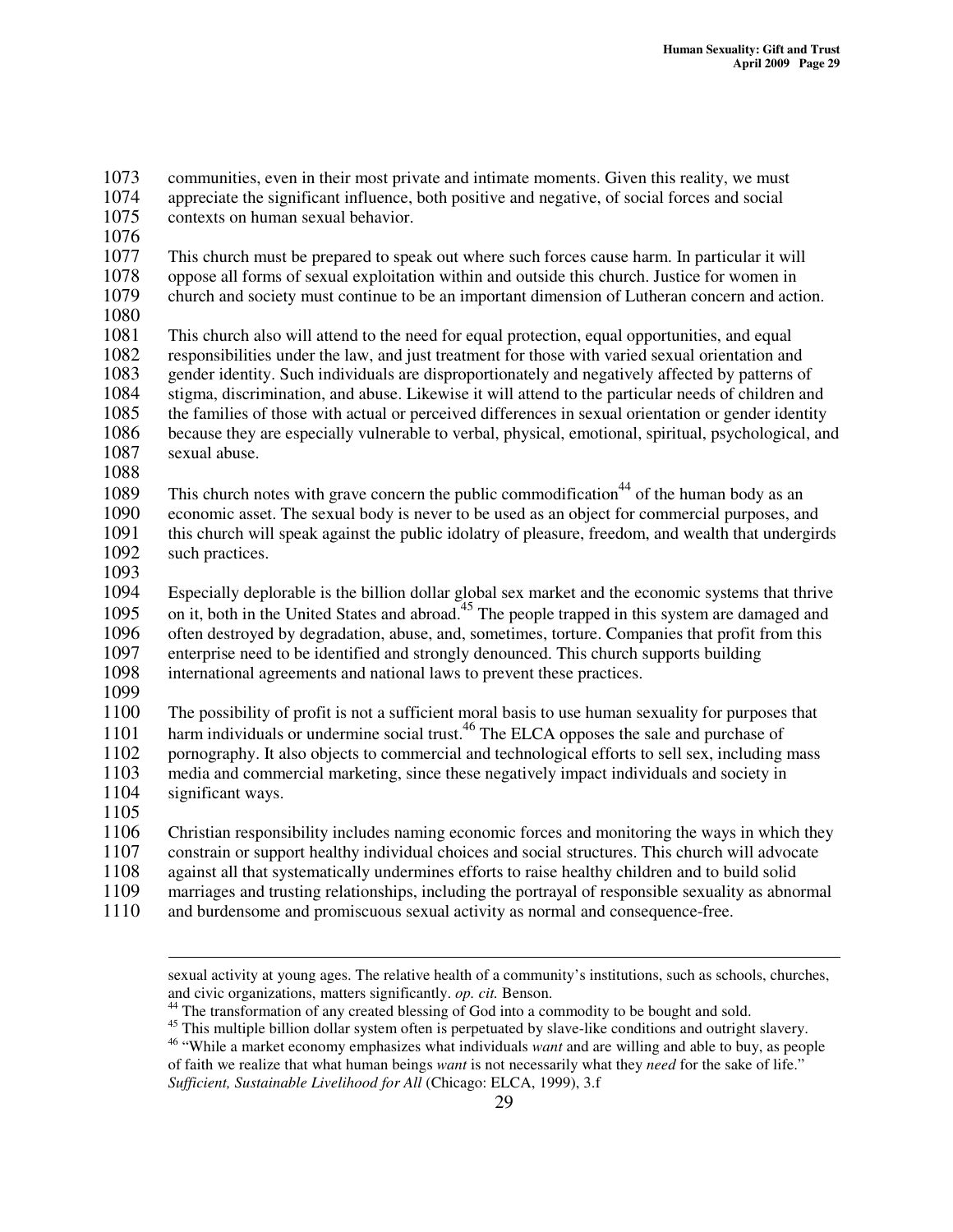1073 communities, even in their most private and intimate moments. Given this reality, we must 1074 appreciate the significant influence, both positive and negative, of social forces and social appreciate the significant influence, both positive and negative, of social forces and social 1075 contexts on human sexual behavior. 1076<br>1077 This church must be prepared to speak out where such forces cause harm. In particular it will 1078 oppose all forms of sexual exploitation within and outside this church. Justice for women in<br>1079 church and society must continue to be an important dimension of Lutheran concern and acti 1079 church and society must continue to be an important dimension of Lutheran concern and action. 1080 This church also will attend to the need for equal protection, equal opportunities, and equal 1082 responsibilities under the law, and just treatment for those with varied sexual orientation and 1083 gender identity. Such individuals are disproportionately and negatively affected by patterns of 1084 stigma, discrimination, and abuse. Likewise it will attend to the particular needs of children and stigma, discrimination, and abuse. Likewise it will attend to the particular needs of children and 1085 the families of those with actual or perceived differences in sexual orientation or gender identity<br>1086 because they are especially vulnerable to verbal, physical, emotional, spiritual, psychological, an 1086 because they are especially vulnerable to verbal, physical, emotional, spiritual, psychological, and 1087 sexual abuse. sexual abuse. 1088 1089 This church notes with grave concern the public commodification<sup>44</sup> of the human body as an 1090 economic asset. The sexual body is never to be used as an object for commercial purposes, and 1091 this church will speak against the public idolatry of pleasure, freedom, and wealth that undergire 1091 this church will speak against the public idolatry of pleasure, freedom, and wealth that undergirds such practices. such practices. 1093 1094 Especially deplorable is the billion dollar global sex market and the economic systems that thrive 1095 on it, both in the United States and abroad.<sup>45</sup> The people trapped in this system are damaged and 1096 often destroyed by degradation, abuse, and, sometimes, torture. Companies that profit from this enterprise need to be identified and strongly denounced. This church supports building 1097 enterprise need to be identified and strongly denounced. This church supports building 1098 international agreements and national laws to prevent these practices. 1099 1100 The possibility of profit is not a sufficient moral basis to use human sexuality for purposes that 1101 harm individuals or undermine social trust.<sup>46</sup> The ELCA opposes the sale and purchase of 1102 pornography. It also objects to commercial and technological efforts to sell sex, including mass 1103 media and commercial marketing, since these negatively impact individuals and society in 1104 significant ways. 1105<br>1106 1106 Christian responsibility includes naming economic forces and monitoring the ways in which they<br>1107 constrain or support healthy individual choices and social structures. This church will advocate 1107 constrain or support healthy individual choices and social structures. This church will advocate 1108 against all that systematically undermines efforts to raise healthy children and to build solid against all that systematically undermines efforts to raise healthy children and to build solid 1109 marriages and trusting relationships, including the portrayal of responsible sexuality as abnormal

1110 and burdensome and promiscuous sexual activity as normal and consequence-free.

sexual activity at young ages. The relative health of a community's institutions, such as schools, churches, and civic organizations, matters significantly. *op. cit.* Benson.

<sup>&</sup>lt;sup>44</sup> The transformation of any created blessing of God into a commodity to be bought and sold.

<sup>&</sup>lt;sup>45</sup> This multiple billion dollar system often is perpetuated by slave-like conditions and outright slavery.

<sup>46</sup> "While a market economy emphasizes what individuals *want* and are willing and able to buy, as people of faith we realize that what human beings *want* is not necessarily what they *need* for the sake of life." *Sufficient, Sustainable Livelihood for All* (Chicago: ELCA, 1999), 3.f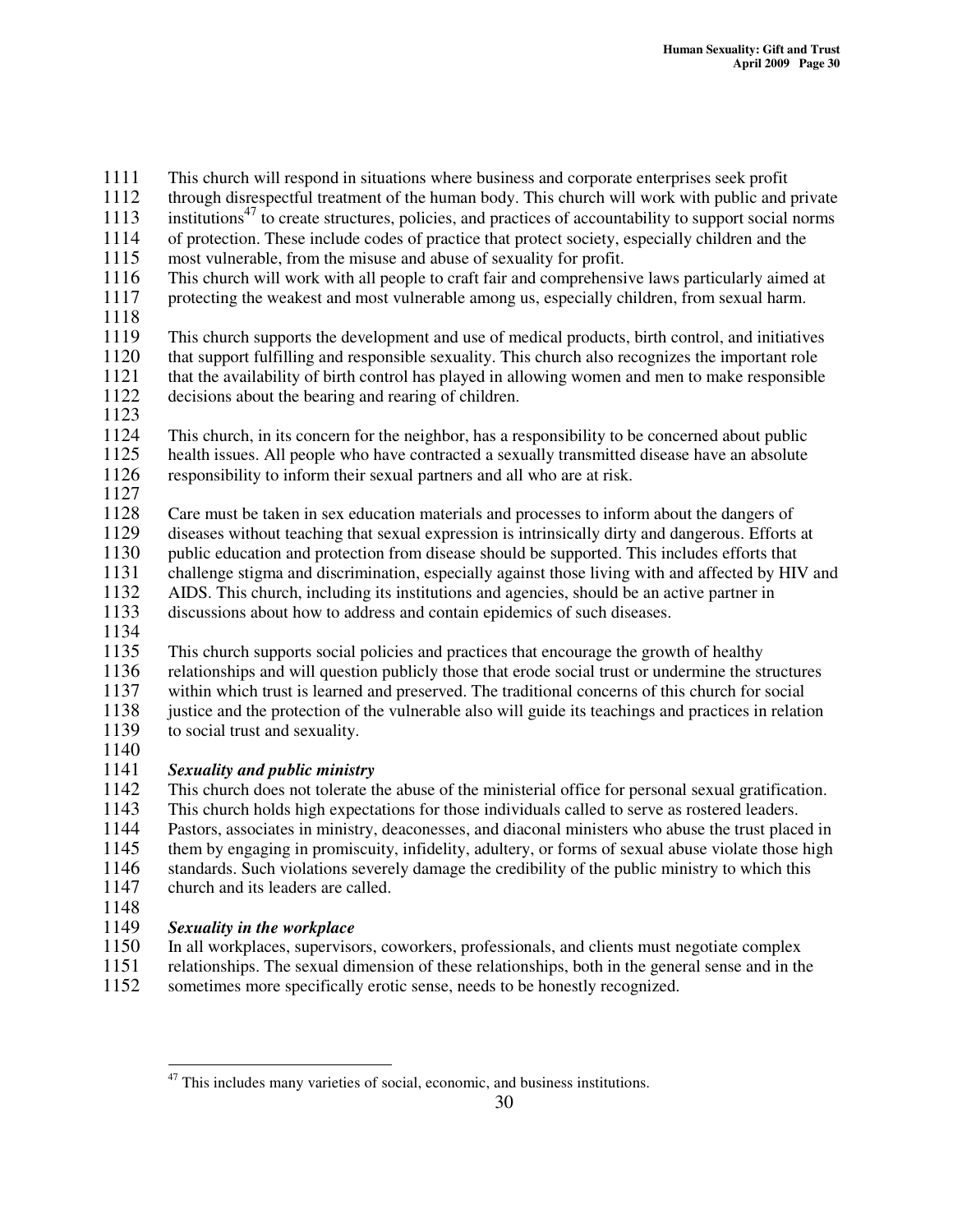1111 This church will respond in situations where business and corporate enterprises seek profit<br>1112 through disrespectful treatment of the human body. This church will work with public and t

through disrespectful treatment of the human body. This church will work with public and private

- 1113 institutions<sup>47</sup> to create structures, policies, and practices of accountability to support social norms
- 1114 of protection. These include codes of practice that protect society, especially children and the 1115 most vulnerable, from the misuse and abuse of sexuality for profit.
- most vulnerable, from the misuse and abuse of sexuality for profit.
- 1116 This church will work with all people to craft fair and comprehensive laws particularly aimed at 1117 protecting the weakest and most vulnerable among us, especially children, from sexual harm.
- 1118
- 1119 This church supports the development and use of medical products, birth control, and initiatives 1120 that support fulfilling and responsible sexuality. This church also recognizes the important role 1121 that the availability of birth control has played in allowing women and men to make responsible 1121 that the availability of birth control has played in allowing women and men to make responsible 1122 decisions about the bearing and rearing of children. decisions about the bearing and rearing of children.
- 1123
- 1124 This church, in its concern for the neighbor, has a responsibility to be concerned about public 1125 health issues. All people who have contracted a sexually transmitted disease have an absolute
- 1126 responsibility to inform their sexual partners and all who are at risk.
- 1127
- 
- 1128 Care must be taken in sex education materials and processes to inform about the dangers of 1129 diseases without teaching that sexual expression is intrinsically dirty and dangerous. Efforts 1129 diseases without teaching that sexual expression is intrinsically dirty and dangerous. Efforts at
- 1130 public education and protection from disease should be supported. This includes efforts that
- 1131 challenge stigma and discrimination, especially against those living with and affected by HIV and
- 1132 AIDS. This church, including its institutions and agencies, should be an active partner in
- 1133 discussions about how to address and contain epidemics of such diseases.
- 1134
- 1135 This church supports social policies and practices that encourage the growth of healthy 1136 relationships and will question publicly those that erode social trust or undermine the structures 1137 within which trust is learned and preserved. The traditional concerns of this church for social<br>1138 iustice and the protection of the vulnerable also will guide its teachings and practices in relation
- 1138 justice and the protection of the vulnerable also will guide its teachings and practices in relation 1139 to social trust and sexuality. to social trust and sexuality.
- 1140

## 1141 *Sexuality and public ministry*

- 1142 This church does not tolerate the abuse of the ministerial office for personal sexual gratification. 1143 This church holds high expectations for those individuals called to serve as rostered leaders.<br>1144 Pastors, associates in ministry, deaconesses, and diaconal ministers who abuse the trust place
- 1144 Pastors, associates in ministry, deaconesses, and diaconal ministers who abuse the trust placed in 1145 them by engaging in promiscuity, infidelity, adultery, or forms of sexual abuse violate those high them by engaging in promiscuity, infidelity, adultery, or forms of sexual abuse violate those high 1146 standards. Such violations severely damage the credibility of the public ministry to which this 1147 church and its leaders are called.
- 

#### 1148<br>1149  $Sexuality$  *in the workplace*

- 1150 In all workplaces, supervisors, coworkers, professionals, and clients must negotiate complex<br>1151 Interactionships. The sexual dimension of these relationships, both in the general sense and in th
- 1151 relationships. The sexual dimension of these relationships, both in the general sense and in the sometimes more specifically erotic sense, needs to be honestly recognized. sometimes more specifically erotic sense, needs to be honestly recognized.

 $47$  This includes many varieties of social, economic, and business institutions.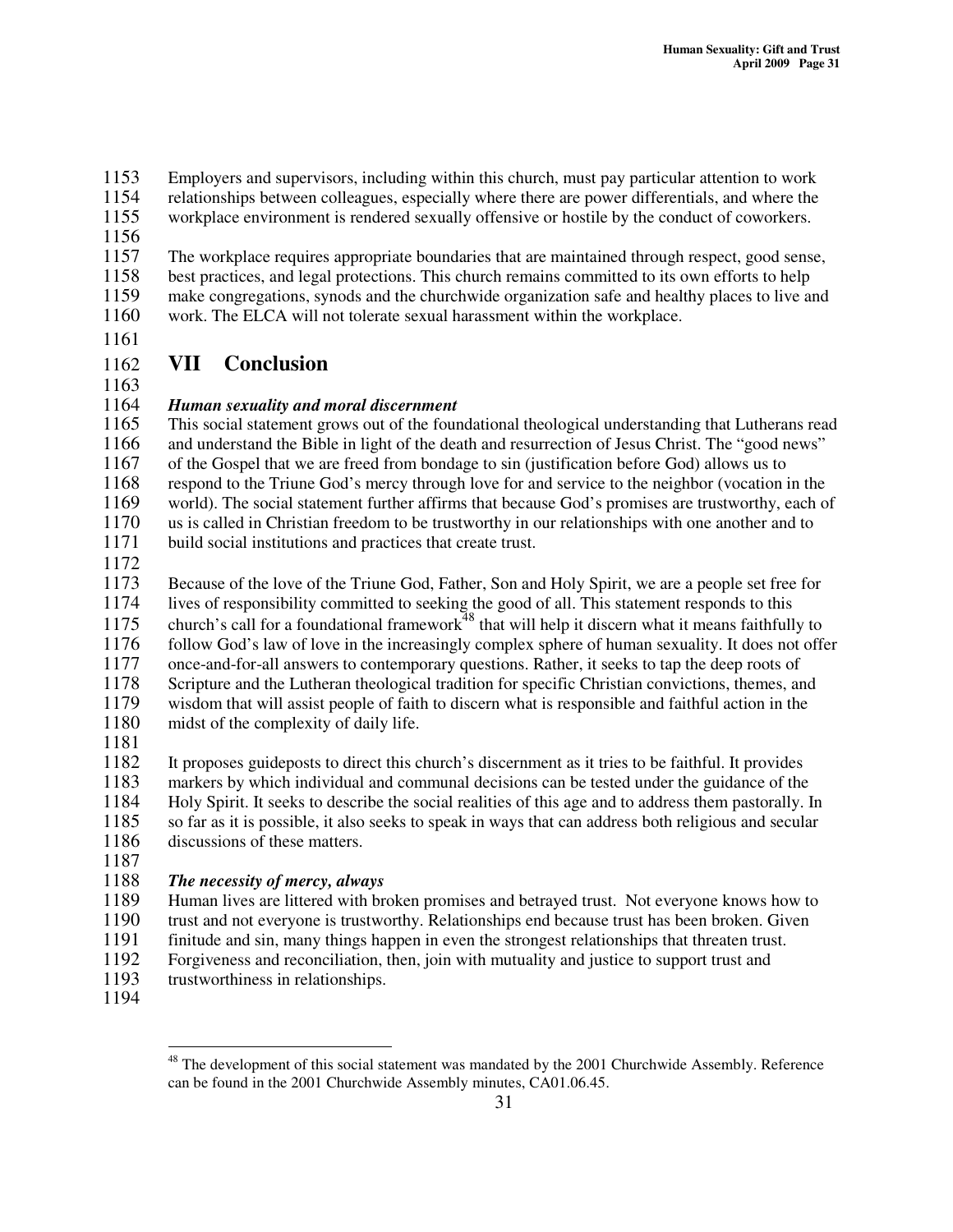1153 Employers and supervisors, including within this church, must pay particular attention to work<br>1154 relationships between colleagues, especially where there are power differentials, and where the

- 1154 relationships between colleagues, especially where there are power differentials, and where the
- 1155 workplace environment is rendered sexually offensive or hostile by the conduct of coworkers.
- 1156

1157 The workplace requires appropriate boundaries that are maintained through respect, good sense, 1158 best practices, and legal protections. This church remains committed to its own efforts to help<br>1159 make congregations, synods and the churchwide organization safe and healthy places to live and make congregations, synods and the churchwide organization safe and healthy places to live and

1160 work. The ELCA will not tolerate sexual harassment within the workplace.

1161

## 1162 **VII Conclusion**

1163

## 1164 *Human sexuality and moral discernment*

 This social statement grows out of the foundational theological understanding that Lutherans read and understand the Bible in light of the death and resurrection of Jesus Christ. The "good news" of the Gospel that we are freed from bondage to sin (justification before God) allows us to respond to the Triune God's mercy through love for and service to the neighbor (vocation in the 1169 world). The social statement further affirms that because God's promises are trustworthy, each of 1170 us is called in Christian freedom to be trustworthy in our relationships with one another and to us is called in Christian freedom to be trustworthy in our relationships with one another and to build social institutions and practices that create trust.

1172

1173 Because of the love of the Triune God, Father, Son and Holy Spirit, we are a people set free for 1174 lives of responsibility committed to seeking the good of all. This statement responds to this lives of responsibility committed to seeking the good of all. This statement responds to this 1175 church's call for a foundational framework<sup>48</sup> that will help it discern what it means faithfully to 1176 follow God's law of love in the increasingly complex sphere of human sexuality. It does not offer<br>1177 once-and-for-all answers to contemporary questions. Rather, it seeks to tap the deep roots of 1177 once-and-for-all answers to contemporary questions. Rather, it seeks to tap the deep roots of 1178 Scripture and the Lutheran theological tradition for specific Christian convictions, themes, and 1179 wisdom that will assist people of faith to discern what is responsible and faithful action in the 1180 midst of the complexity of daily life.

1181

1182 It proposes guideposts to direct this church's discernment as it tries to be faithful. It provides 1183 markers by which individual and communal decisions can be tested under the guidance of the 1184 Holy Spirit. It seeks to describe the social realities of this age and to address them pastorally. In so far as it is possible, it also seeks to speak in ways that can address both religious and secular so far as it is possible, it also seeks to speak in ways that can address both religious and secular 1186 discussions of these matters.

1187

## 1188 *The necessity of mercy, always*

1189 Human lives are littered with broken promises and betrayed trust. Not everyone knows how to

1190 trust and not everyone is trustworthy. Relationships end because trust has been broken. Given

1191 finitude and sin, many things happen in even the strongest relationships that threaten trust.<br>1192 Forgiveness and reconciliation, then, join with mutuality and justice to support trust and

1192 Forgiveness and reconciliation, then, join with mutuality and justice to support trust and trust trust worthiness in relationships. trustworthiness in relationships.

1194

<sup>&</sup>lt;sup>48</sup> The development of this social statement was mandated by the 2001 Churchwide Assembly. Reference can be found in the 2001 Churchwide Assembly minutes, CA01.06.45.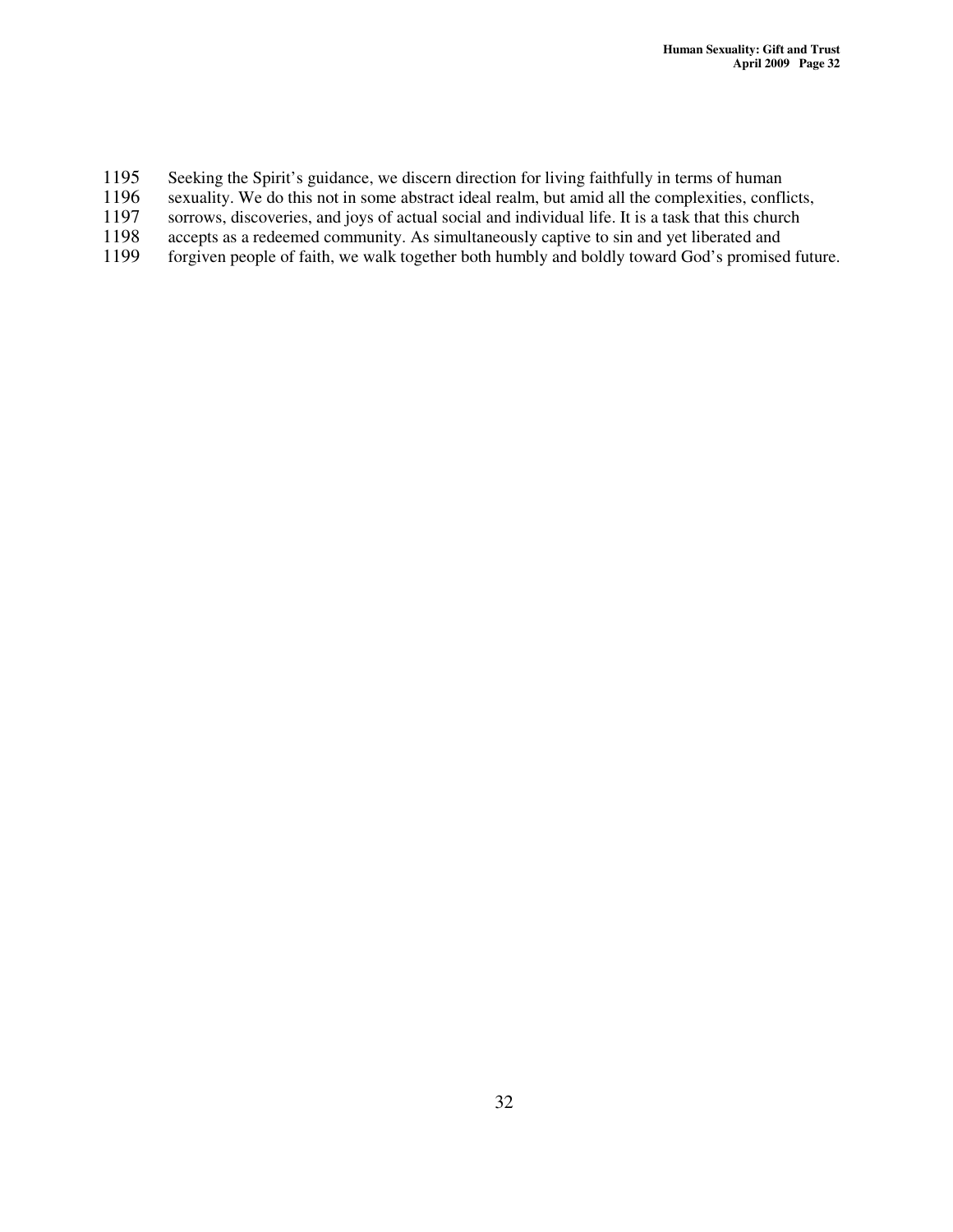- 1195 Seeking the Spirit's guidance, we discern direction for living faithfully in terms of human sexuality. We do this not in some abstract ideal realm, but amid all the complexities, confli
- 1196 sexuality. We do this not in some abstract ideal realm, but amid all the complexities, conflicts, sorrows, discoveries, and joys of actual social and individual life. It is a task that this church
- 1197 sorrows, discoveries, and joys of actual social and individual life. It is a task that this church<br>1198 accepts as a redeemed community. As simultaneously captive to sin and yet liberated and
- 1198 accepts as a redeemed community. As simultaneously captive to sin and yet liberated and 1199 forgiven people of faith, we walk together both humbly and boldly toward God's promised
- forgiven people of faith, we walk together both humbly and boldly toward God's promised future.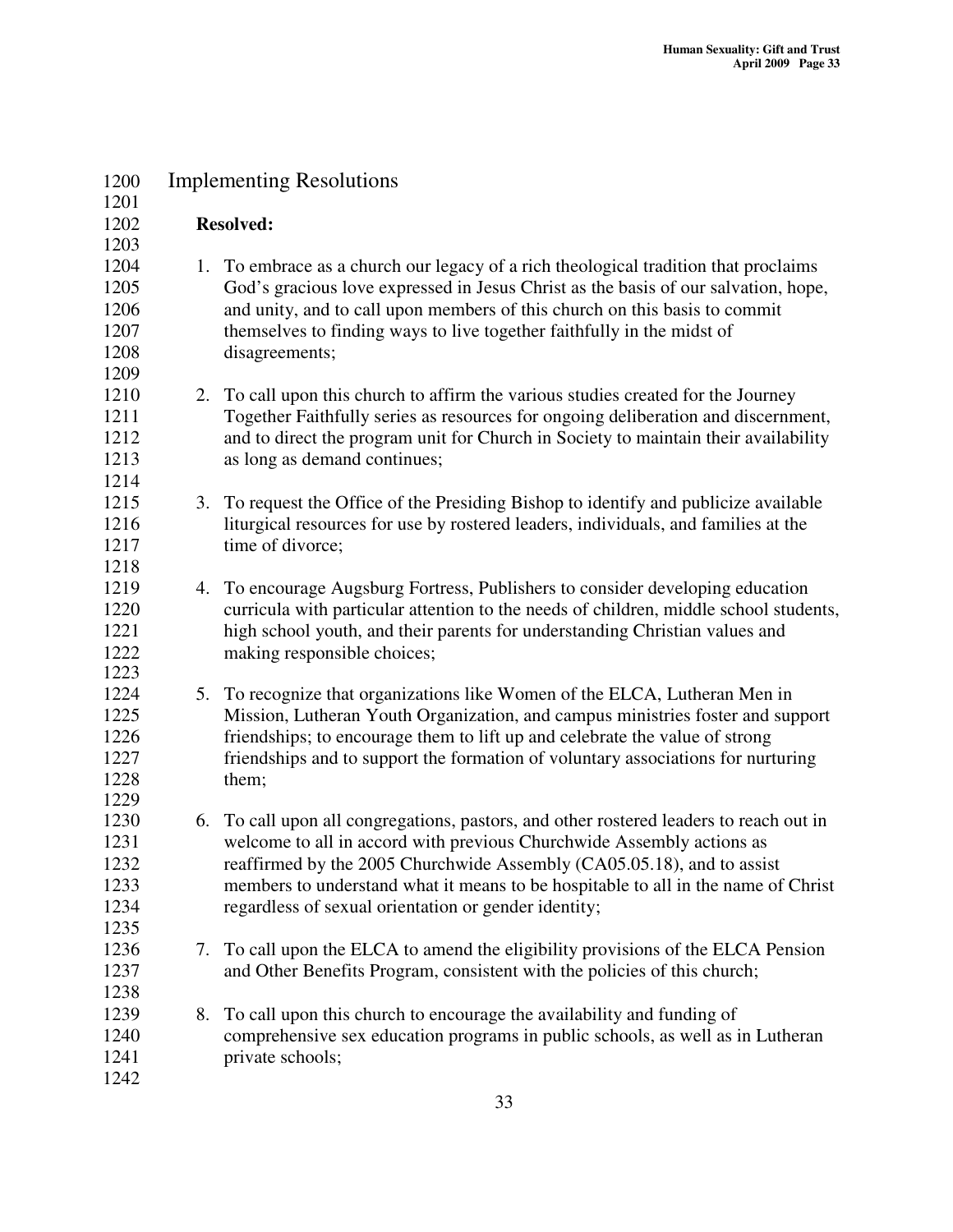| 1200         | <b>Implementing Resolutions</b> |                                                                                       |  |  |  |
|--------------|---------------------------------|---------------------------------------------------------------------------------------|--|--|--|
| 1201         |                                 |                                                                                       |  |  |  |
| 1202         |                                 | <b>Resolved:</b>                                                                      |  |  |  |
| 1203         |                                 |                                                                                       |  |  |  |
| 1204         |                                 | 1. To embrace as a church our legacy of a rich theological tradition that proclaims   |  |  |  |
| 1205         |                                 | God's gracious love expressed in Jesus Christ as the basis of our salvation, hope,    |  |  |  |
| 1206         |                                 | and unity, and to call upon members of this church on this basis to commit            |  |  |  |
| 1207         |                                 | themselves to finding ways to live together faithfully in the midst of                |  |  |  |
| 1208         |                                 | disagreements;                                                                        |  |  |  |
| 1209         |                                 |                                                                                       |  |  |  |
| 1210         |                                 | 2. To call upon this church to affirm the various studies created for the Journey     |  |  |  |
| 1211         |                                 | Together Faithfully series as resources for ongoing deliberation and discernment,     |  |  |  |
| 1212         |                                 | and to direct the program unit for Church in Society to maintain their availability   |  |  |  |
| 1213         |                                 | as long as demand continues;                                                          |  |  |  |
| 1214         |                                 |                                                                                       |  |  |  |
| 1215         | 3.                              | To request the Office of the Presiding Bishop to identify and publicize available     |  |  |  |
| 1216         |                                 | liturgical resources for use by rostered leaders, individuals, and families at the    |  |  |  |
| 1217         |                                 | time of divorce;                                                                      |  |  |  |
| 1218         |                                 |                                                                                       |  |  |  |
| 1219         |                                 | 4. To encourage Augsburg Fortress, Publishers to consider developing education        |  |  |  |
| 1220         |                                 | curricula with particular attention to the needs of children, middle school students, |  |  |  |
| 1221<br>1222 |                                 | high school youth, and their parents for understanding Christian values and           |  |  |  |
| 1223         |                                 | making responsible choices;                                                           |  |  |  |
| 1224         |                                 | 5. To recognize that organizations like Women of the ELCA, Lutheran Men in            |  |  |  |
| 1225         |                                 | Mission, Lutheran Youth Organization, and campus ministries foster and support        |  |  |  |
| 1226         |                                 | friendships; to encourage them to lift up and celebrate the value of strong           |  |  |  |
| 1227         |                                 | friendships and to support the formation of voluntary associations for nurturing      |  |  |  |
| 1228         |                                 | them;                                                                                 |  |  |  |
| 1229         |                                 |                                                                                       |  |  |  |
| 1230         | 6.                              | To call upon all congregations, pastors, and other rostered leaders to reach out in   |  |  |  |
| 1231         |                                 | welcome to all in accord with previous Churchwide Assembly actions as                 |  |  |  |
| 1232         |                                 | reaffirmed by the 2005 Churchwide Assembly (CA05.05.18), and to assist                |  |  |  |
| 1233         |                                 | members to understand what it means to be hospitable to all in the name of Christ     |  |  |  |
| 1234         |                                 | regardless of sexual orientation or gender identity;                                  |  |  |  |
| 1235         |                                 |                                                                                       |  |  |  |
| 1236         | 7.                              | To call upon the ELCA to amend the eligibility provisions of the ELCA Pension         |  |  |  |
| 1237         |                                 | and Other Benefits Program, consistent with the policies of this church;              |  |  |  |
| 1238         |                                 |                                                                                       |  |  |  |
| 1239         | 8.                              | To call upon this church to encourage the availability and funding of                 |  |  |  |
| 1240         |                                 | comprehensive sex education programs in public schools, as well as in Lutheran        |  |  |  |
| 1241         |                                 | private schools;                                                                      |  |  |  |
| 1242         |                                 |                                                                                       |  |  |  |
|              |                                 |                                                                                       |  |  |  |